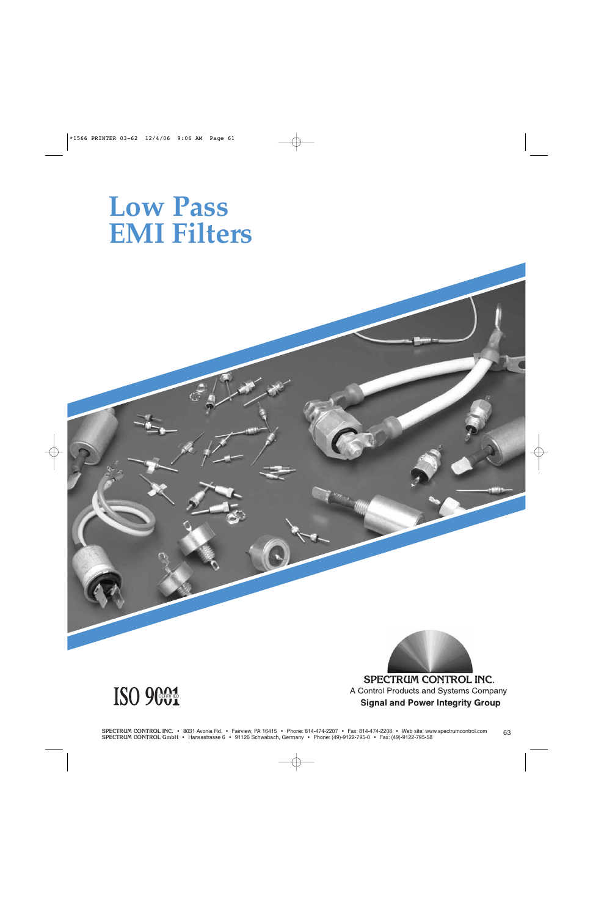# **Low Pass EMI Filters**



**Signal and Power Integrity Group** 

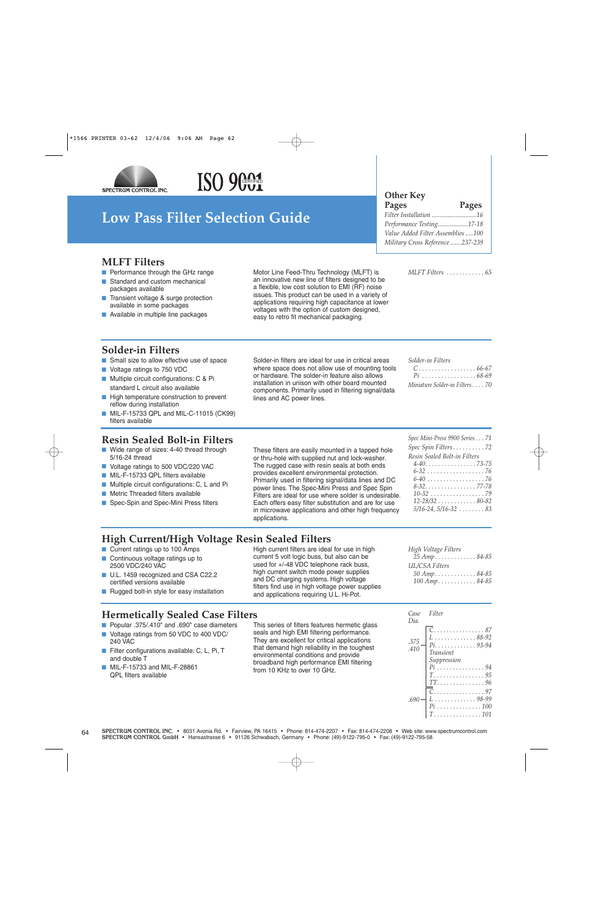

# ISO 9001

### **Low Pass Filter Selection Guide**

### **Other Key**

**Pages Pages** *Filter Installation ............................16 Performance Testing...................17-18 Value Added Filter Assemblies .....100 Military Cross Reference .......237-239*

#### **MLFT Filters**

- Performance through the GHz range
- Standard and custom mechanical packages available
- Transient voltage & surge protection available in some packages
- Available in multiple line packages

Motor Line Feed-Thru Technology (MLFT) is an innovative new line of filters designed to be a flexible, low cost solution to EMI (RF) noise issues. This product can be used in a variety of applications requiring high capacitance at lower voltages with the option of custom designed, easy to retro fit mechanical packaging.

#### *MLFT Filters . . . . . . . . . . . . 65*

#### **Solder-in Filters**

- Small size to allow effective use of space
- Voltage ratings to 750 VDC
- Multiple circuit configurations: C & Pi standard L circuit also available
- High temperature construction to prevent reflow during installation
- MIL-F-15733 QPL and MIL-C-11015 (CK99) filters available

#### **Resin Sealed Bolt-in Filters**

- Wide range of sizes: 4-40 thread through 5/16-24 thread
- Voltage ratings to 500 VDC/220 VAC
- MIL-F-15733 QPL filters available
- Multiple circuit configurations: C, L and Pi
- Metric Threaded filters available
- Spec-Spin and Spec-Mini Press filters

Solder-in filters are ideal for use in critical areas where space does not allow use of mounting tools or hardware. The solder-in feature also allows installation in unison with other board mounted components. Primarily used in filtering signal/data lines and AC power lines.

| $C \ldots \ldots \ldots \ldots \ldots \ldots 66-67$ |
|-----------------------------------------------------|
| $Pi$ 68-69                                          |
| Miniature Solder-in Filters70                       |

#### These filters are easily mounted in a tapped hole or thru-hole with supplied nut and lock-washer. The rugged case with resin seals at both ends provides excellent environmental protection. Primarily used in filtering signal/data lines and DC power lines. The Spec-Mini Press and Spec Spin Filters are ideal for use where solder is undesirable. Each offers easy filter substitution and are for use in microwave applications and other high frequency applications.

| Spec Mini-Press 9900 Series 71                       |
|------------------------------------------------------|
| Spec Spin Filters72                                  |
| Resin Sealed Bolt-in Filters                         |
| $4 - 40. \ldots \ldots \ldots \ldots \ldots$ . 73-75 |
| 6-32 76                                              |
| $6-40$ 76                                            |
| $8-32$ 77-78                                         |
|                                                      |
| $12 - 28/32$ 80-82                                   |
| $5/16 - 24, 5/16 - 32 \ldots$ 83                     |
|                                                      |

### **High Current/High Voltage Resin Sealed Filters**

- Current ratings up to 100 Amps
- Continuous voltage ratings up to 2500 VDC/240 VAC
- U.L. 1459 recognized and CSA C22.2 certified versions available
- Rugged bolt-in style for easy installation

High current filters are ideal for use in high current 5 volt logic buss, but also can be used for +/-48 VDC telephone rack buss, high current switch mode power supplies and DC charging systems. High voltage filters find use in high voltage power supplies and applications requiring U.L. Hi-Pot.

| High Voltage Filters                                             |  |
|------------------------------------------------------------------|--|
|                                                                  |  |
| UL/CSA Filters                                                   |  |
| 50 Amp. $\dots \dots \dots \dots 84-85$                          |  |
| $100 \, Amp. \, \ldots \, \ldots \, . \, . \, . \, . \, 84 - 85$ |  |

### **Hermetically Sealed Case Filters**

- Popular .375/.410" and .690" case diameters
- Voltage ratings from 50 VDC to 400 VDC/ 240 VAC
- Filter configurations available: C, L, Pi, T and double T
- MIL-F-15733 and MIL-F-28861 QPL filters available

This series of filters features hermetic glass seals and high EMI filtering performance. They are excellent for critical applications that demand high reliability in the toughest environmental conditions and provide broadband high performance EMI filtering from 10 KHz to over 10 GHz.

| Case<br>Dia. | Filter                                                    |
|--------------|-----------------------------------------------------------|
| .375<br>.410 | . 87<br>$\ldots \ldots 88-92$<br>$\ldots$ 93-94<br>$Pi$ . |
|              | <b>Transient</b><br>Suppression                           |
|              | T.<br>. 95<br>. 96<br>. 97                                |
| .690         | . 98-99<br>$\ldots \ldots \ldots 100$<br>. 101            |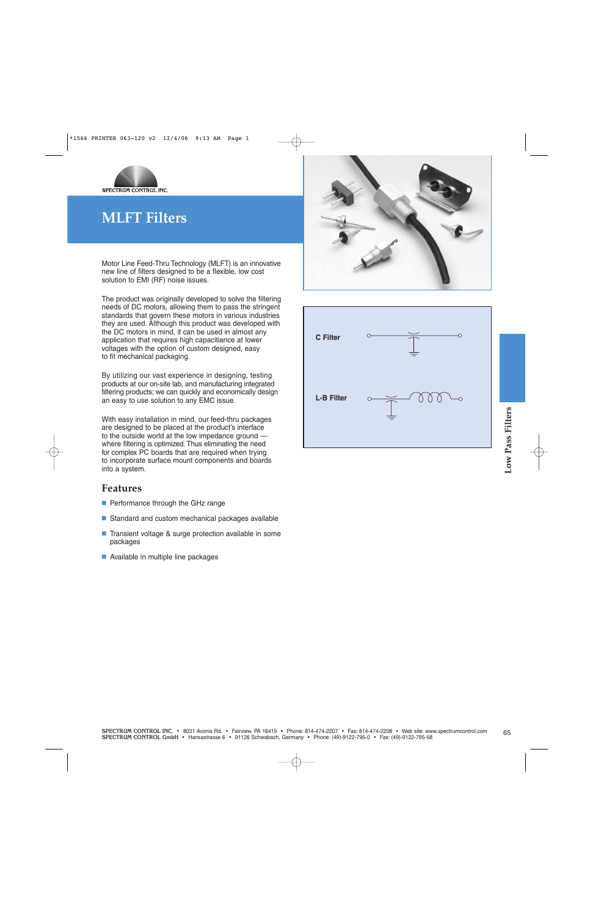

### **MLFT Filters**

Motor Line Feed-Thru Technology (MLFT) is an innovative new line of filters designed to be a flexible, low cost solution to EMI (RF) noise issues.

The product was originally developed to solve the filtering needs of DC motors, allowing them to pass the stringent standards that govern these motors in various industries they are used. Although this product was developed with the DC motors in mind, it can be used in almost any application that requires high capacitiance at lower voltages with the option of custom designed, easy to fit mechanical packaging.

By utilizing our vast experience in designing, testing products at our on-site lab, and manufacturing integrated filtering products; we can quickly and economically design an easy to use solution to any EMC issue.

**SPECTRUM CONTROL GMBH • Hansastrasse Franchises**<br> **SPECTRUM CONTROL GMBH AS THE product is method with the form of the spectrum of the product of the product of<br>
Spectrum Control of Phone: (4)-912-795-0 · Fax: (4)-912-795** With easy installation in mind, our feed-thru packages are designed to be placed at the product's interface to the outside world at the low impedance ground where filtering is optimized. Thus eliminating the need for complex PC boards that are required when trying to incorporate surface mount components and boards into a system.

#### **Features**

- Performance through the GHz range
- Standard and custom mechanical packages available
- Transient voltage & surge protection available in some packages
- Available in multiple line packages



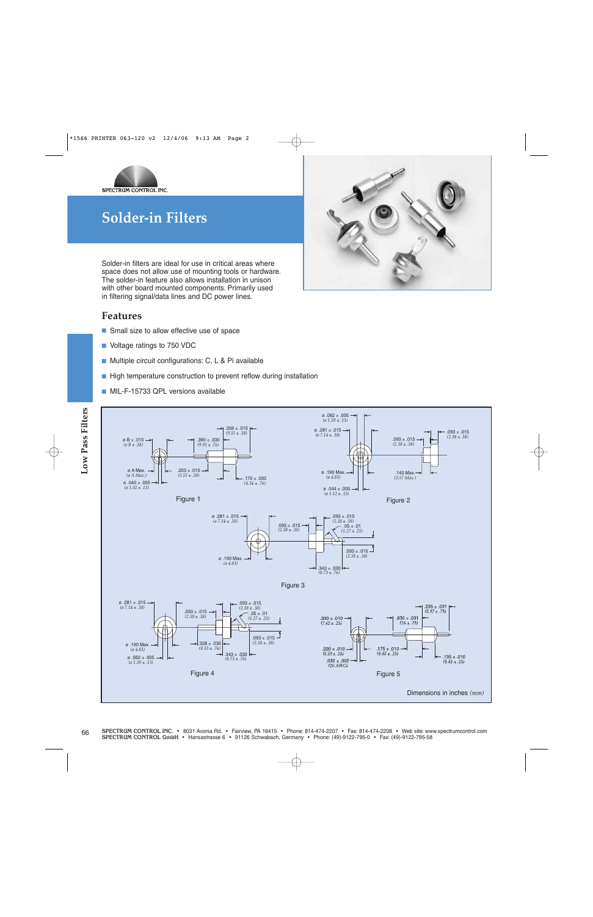

Solder-in filters are ideal for use in critical areas where space does not allow use of mounting tools or hardware. The solder-in feature also allows installation in unison with other board mounted components. Primarily used in filtering signal/data lines and DC power lines.

#### **Features**

- Small size to allow effective use of space
- Voltage ratings to 750 VDC
- Multiple circuit configurations: C, L & Pi available
- High temperature construction to prevent reflow during installation
- MIL-F-15733 QPL versions available



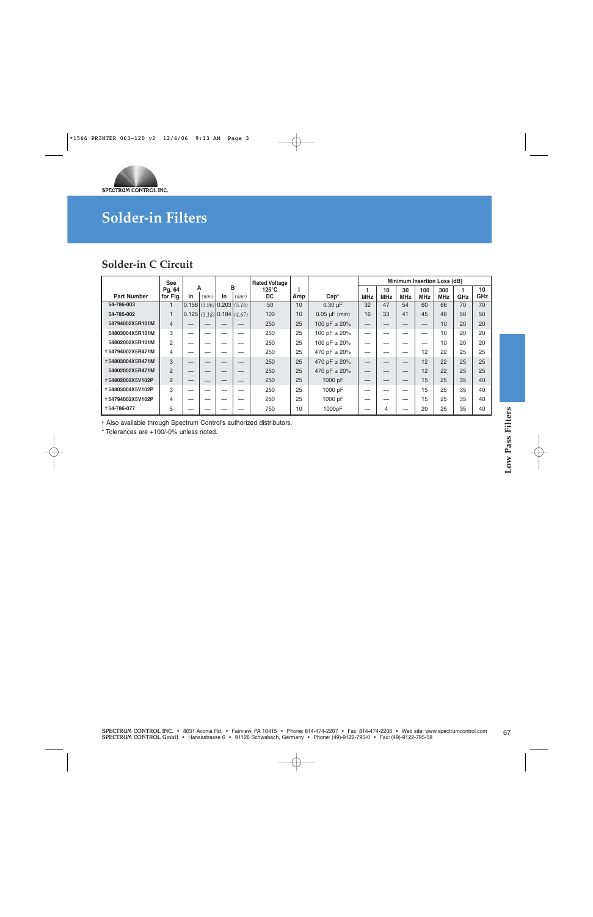

### **Solder-in C Circuit**

|                    | <b>See</b>     |    |      |                                                           |      | <b>Rated Voltage</b>         |     |                    |            |            |            |            | Minimum Insertion Loss (dB) |     |           |
|--------------------|----------------|----|------|-----------------------------------------------------------|------|------------------------------|-----|--------------------|------------|------------|------------|------------|-----------------------------|-----|-----------|
| <b>Part Number</b> | Pq. 64         | In | A    | In                                                        | в    | $125^{\circ}$ C<br><b>DC</b> |     | $Cap^*$            |            | 10         | 30         | 100        | 300                         | GHz | 10<br>GHz |
|                    | for Fig.       |    | (mm) |                                                           | (mm) |                              | Amp |                    | <b>MHz</b> | <b>MHz</b> | <b>MHz</b> | <b>MHz</b> | <b>MHz</b>                  |     |           |
| 54-786-003         |                |    |      | $\vert 0.156 \vert (3.96) \vert 0.203 \vert (5.16) \vert$ |      | 50                           | 10  | $0.30 \mu F$       | 32         | 47         | 54         | 60         | 66                          | 70  | 70        |
| 54-785-002         |                |    |      | [0.125](3.18)[0.184](4.67)                                |      | 100                          | 10  | $0.05 \mu F$ (min) | 16         | 33         | 41         | 45         | 48                          | 50  | 50        |
| 54794002X5R101M    | $\overline{4}$ |    |      |                                                           |      | 250                          | 25  | 100 pF $\pm$ 20%   |            |            | –          |            | 10                          | 20  | 20        |
| 54803004X5R101M    | 3              |    |      |                                                           |      | 250                          | 25  | 100 pF $\pm$ 20%   |            |            |            | _          | 10                          | 20  | 20        |
| 54802002X5R101M    | $\overline{2}$ |    |      |                                                           |      | 250                          | 25  | 100 pF $\pm$ 20%   |            |            |            |            | 10                          | 20  | 20        |
| +54794002X5R471M   | 4              |    |      |                                                           |      | 250                          | 25  | 470 pF ± 20%       |            |            | _          | 12         | 22                          | 25  | 25        |
| +54803004X5R471M   | 3              |    |      |                                                           |      | 250                          | 25  | 470 pF ± 20%       |            |            | –          | 12         | 22                          | 25  | 25        |
| 54802002X5R471M    | $\overline{2}$ |    |      |                                                           |      | 250                          | 25  | 470 pF ± 20%       |            |            |            | 12         | 22                          | 25  | 25        |
| +54802002X5V102P   | 2              |    |      |                                                           |      | 250                          | 25  | 1000 pF            |            |            | –          | 15         | 25                          | 35  | 40        |
| +54803004X5V102P   | 3              |    |      |                                                           |      | 250                          | 25  | 1000 pF            |            |            |            | 15         | 25                          | 35  | 40        |
| +54794002X5V102P   | 4              |    |      |                                                           |      | 250                          | 25  | 1000 pF            |            |            |            | 15         | 25                          | 35  | 40        |
| +54-786-077        | 5              |    |      |                                                           |      | 750                          | 10  | 1000pF             |            | 4          |            | 20         | 25                          | 35  | 40        |

✝ Also available through Spectrum Control's authorized distributors.

\* Tolerances are +100/-0% unless noted.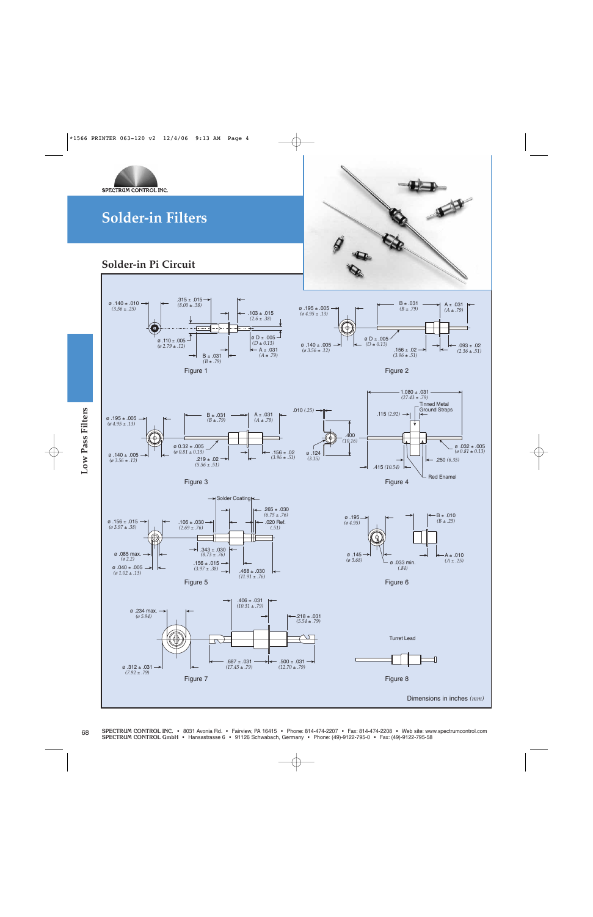

### **Solder-in Pi Circuit**











 $.265 \pm .030$ 







*(11.91* ± *.76)*





 $B \pm .010$ 



*(ø 1.02* ± *.13)*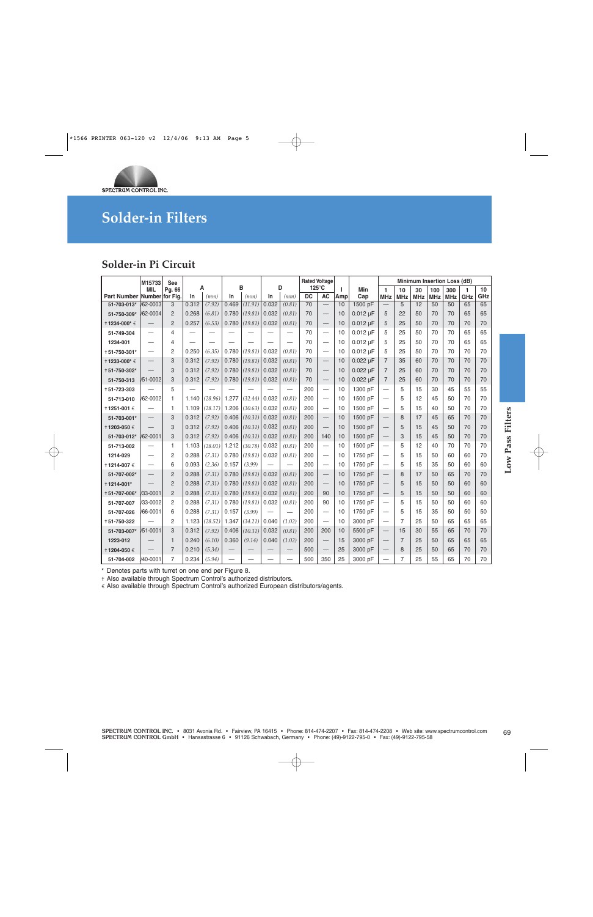

### **Solder-in Pi Circuit**

|                                                                                                                                                                                                                                                                  | M15733                   | <b>See</b>     |       |           |                   |                          |          |                          |                 | <b>Rated Voltage</b>             |          |               |                                  |                  | Minimum Insertion Loss (dB) |                   |                   |          |           |                |
|------------------------------------------------------------------------------------------------------------------------------------------------------------------------------------------------------------------------------------------------------------------|--------------------------|----------------|-------|-----------|-------------------|--------------------------|----------|--------------------------|-----------------|----------------------------------|----------|---------------|----------------------------------|------------------|-----------------------------|-------------------|-------------------|----------|-----------|----------------|
| Part Number Number for Fig.                                                                                                                                                                                                                                      | MIL                      | Pg. 66         | In    | Α<br>(mm) | In                | B<br>(mm)                | In       | D<br>(mm)                | <b>DC</b>       | $125^{\circ}$ C<br><b>AC</b>     | т<br>Amp | Min<br>Cap    | 1<br><b>MHz</b>                  | 10<br><b>MHz</b> | 30<br><b>MHz</b>            | 100<br><b>MHz</b> | 300<br><b>MHz</b> | 1<br>GHz | 10<br>GHz |                |
| 51-703-013*                                                                                                                                                                                                                                                      | /62-0003                 | 3              | 0.312 | (7.92)    | 0.469             | (11.91)                  | 0.032    | (0.81)                   | $\overline{70}$ | $\overline{\phantom{0}}$         | 10       | 1500 pF       |                                  | 5                | 12                          | 50                | 50                | 65       | 65        |                |
| 51-750-309*                                                                                                                                                                                                                                                      | /62-0004                 | $\overline{c}$ | 0.268 | (6.81)    | 0.780             | (19.81)                  | 0.032    | (0.81)                   | 70              | $\overbrace{\phantom{12322111}}$ | 10       | $0.012 \mu F$ | 5                                | 22               | 50                          | 70                | 70                | 65       | 65        |                |
| † 1234-000* €                                                                                                                                                                                                                                                    |                          | $\overline{2}$ | 0.257 | (6.53)    | 0.780             | (19.81)                  | 0.032    | (0.81)                   | 70              |                                  | 10       | $0.012 \mu F$ | 5                                | 25               | 50                          | 70                | 70                | 70       | 70        |                |
| 51-749-304                                                                                                                                                                                                                                                       | $\overline{\phantom{0}}$ | 4              |       |           |                   |                          |          | —<br>—                   | 70              | $\equiv$                         | 10       | $0.012 \mu F$ | 5                                | 25               | 50                          | 70                | 70                | 65       | 65        |                |
| 1234-001                                                                                                                                                                                                                                                         |                          | 4              |       |           |                   |                          |          | $\overline{\phantom{0}}$ | 70              | $\overline{\phantom{0}}$         | 10       | $0.012 \mu F$ | 5                                | 25               | 50                          | 70                | 70                | 65       | 65        |                |
| +51-750-301*                                                                                                                                                                                                                                                     |                          | $\overline{c}$ | 0.250 | (6.35)    | 0.780             | (19.81)                  | 0.032    | (0.81)                   | 70              | $\overline{\phantom{0}}$         | 10       | $0.012 \mu F$ | 5                                | 25               | 50                          | 70                | 70                | 70       | 70        |                |
| † 1233-000* €                                                                                                                                                                                                                                                    |                          | 3              | 0.312 | (7.92)    | 0.780             | (19.81)                  | 0.032    | (0.81)                   | 70              |                                  | 10       | $0.022 \mu F$ | $\overline{7}$                   | 35               | 60                          | 70                | 70                | 70       | 70        |                |
| +51-750-302*                                                                                                                                                                                                                                                     |                          | 3              | 0.312 | (7.92)    | 0.780             | (19.81)                  | 0.032    | (0.81)                   | 70              |                                  | 10       | $0.022 \mu F$ | $\overline{7}$                   | 25               | 60                          | 70                | 70                | 70       | 70        |                |
| 51-750-313                                                                                                                                                                                                                                                       | /51-0002                 | 3              | 0.312 | (7.92)    | 0.780             | (19.81)                  | 0.032    | (0.81)                   | 70              | $\qquad \qquad -$                | 10       | $0.022 \mu F$ | $\overline{7}$                   | 25               | 60                          | 70                | 70                | 70       | 70        |                |
| +51-723-303                                                                                                                                                                                                                                                      |                          | 5              |       |           |                   |                          |          | $\overline{\phantom{0}}$ | 200             |                                  | 10       | 1300 pF       |                                  | 5                | 15                          | 30                | 45                | 55       | 55        |                |
| 51-713-010                                                                                                                                                                                                                                                       | /62-0002                 | 1              | 1.140 | (28.96)   | 1.277             | (32.44)                  | 0.032    | (0.81)                   | 200             |                                  | 10       | 1500 pF       | $\overbrace{\phantom{12322111}}$ | 5                | 12                          | 45                | 50                | 70       | 70        |                |
| 11251-001€                                                                                                                                                                                                                                                       |                          | 1              | 1.109 | (28.17)   | 1.206             | (30.63)                  | 0.032    | (0.81)                   | 200             | $\overline{\phantom{m}}$         | 10       | 1500 pF       |                                  | 5                | 15                          | 40                | 50                | 70       | 70        |                |
| 51-703-001*                                                                                                                                                                                                                                                      |                          | 3              | 0.312 | (7.92)    | 0.406             | (10.31)                  | 0.032    | (0.81)                   | 200             | $\overline{\phantom{0}}$         | 10       | 1500 pF       | $\qquad \qquad -$                | 8                | 17                          | 45                | 65                | 70       | 70        |                |
| † 1203-050 €                                                                                                                                                                                                                                                     |                          | 3              | 0.312 | (7.92)    | 0.406             | (10.31)                  | 0.032    | (0.81)                   | 200             |                                  | 10       | 1500 pF       | $\qquad \qquad -$                | 5                | 15                          | 45                | 50                | 70       | 70        | <b>Filters</b> |
| 51-703-012*                                                                                                                                                                                                                                                      | /62-0001                 | 3              | 0.312 | (7.92)    | 0.406             | (10.31)                  | 0.032    | (0.81)                   | 200             | 140                              | 10       | 1500 pF       | $\overline{\phantom{0}}$         | 3                | 15                          | 45                | 50                | 70       | 70        |                |
| 51-713-002                                                                                                                                                                                                                                                       |                          | 1              | 1.103 | (28.01)   | 1.212             | (30.78)                  | 0.032    | (0.81)                   | 200             |                                  | 10       | 1500 pF       |                                  | 5                | 12                          | 40                | 70                | 70       | 70        | Pass           |
| 1214-029                                                                                                                                                                                                                                                         |                          | 2              | 0.288 | (7.31)    | 0.780             | (19.81)                  | 0.032    | (0.81)                   | 200             |                                  | 10       | 1750 pF       |                                  | 5                | 15                          | 50                | 60                | 60       | 70        |                |
| † 1214-007 €                                                                                                                                                                                                                                                     |                          | 6              | 0.093 | (2.36)    | 0.157             | (3.99)                   |          | $\overline{\phantom{0}}$ | 200             |                                  | 10       | 1750 pF       |                                  | 5                | 15                          | 35                | 50                | 60       | 60        | Low            |
| 51-707-002*                                                                                                                                                                                                                                                      |                          | $\overline{c}$ | 0.288 | (7.31)    | 0.780             | (19.81)                  | 0.032    | (0.81)                   | 200             |                                  | 10       | 1750 pF       |                                  | 8                | 17                          | 50                | 65                | 70       | 70        |                |
| +1214-001*                                                                                                                                                                                                                                                       |                          | $\overline{c}$ | 0.288 | (7.31)    | 0.780             | (19.81)                  | 0.032    | (0.81)                   | 200             |                                  | 10       | 1750 pF       | $\overline{\phantom{m}}$         | 5                | 15                          | 50                | 50                | 60       | 60        |                |
| +51-707-006*                                                                                                                                                                                                                                                     | 33-0001                  | $\overline{2}$ | 0.288 | (7.31)    | 0.780             | (19.81)                  | 0.032    | (0.81)                   | 200             | 90                               | 10       | 1750 pF       | $\qquad \qquad -$                | 5                | 15                          | 50                | 50                | 60       | 60        |                |
| 51-707-007                                                                                                                                                                                                                                                       | /33-0002                 | $\overline{c}$ | 0.288 | (7.31)    | 0.780             | (19.81)                  | 0.032    | (0.81)                   | 200             | 90                               | 10       | 1750 pF       | $\overline{\phantom{0}}$         | 5                | 15                          | 50                | 50                | 60       | 60        |                |
| 51-707-026                                                                                                                                                                                                                                                       | /66-0001                 | 6              | 0.288 | (7.31)    | 0.157             | (3.99)                   | $\equiv$ |                          | 200             |                                  | 10       | 1750 pF       |                                  | 5                | 15                          | 35                | 50                | 50       | 50        |                |
| +51-750-322                                                                                                                                                                                                                                                      |                          | $\overline{2}$ | 1.123 | (28.52)   | 1.347             | (34.21)                  | 0.040    | (1.02)                   | 200             |                                  | 10       | 3000 pF       |                                  | $\overline{7}$   | 25                          | 50                | 65                | 65       | 65        |                |
| 51-703-007*                                                                                                                                                                                                                                                      | /51-0001                 | 3              | 0.312 | (7.92)    | 0.406             | (10.31)                  | 0.032    | (0.81)                   | 200             | 200                              | 10       | 5500 pF       |                                  | 15               | 30                          | 55                | 65                | 70       | 70        |                |
| 1223-012                                                                                                                                                                                                                                                         |                          | $\mathbf{1}$   | 0.240 | (6.10)    | 0.360             | (9.14)                   | 0.040    | (1.02)                   | 200             | $\overline{\phantom{0}}$         | 15       | 3000 pF       | $\overline{\phantom{m}}$         | $\overline{7}$   | 25                          | 50                | 65                | 65       | 65        |                |
| † 1204-050 €                                                                                                                                                                                                                                                     |                          | $\overline{7}$ | 0.210 | (5.34)    | $\qquad \qquad -$ | $\overline{\phantom{0}}$ |          | $\overline{\phantom{0}}$ | 500             |                                  | 25       | 3000 pF       | $\qquad \qquad -$                | 8                | 25                          | 50                | 65                | 70       | 70        |                |
| 51-704-002                                                                                                                                                                                                                                                       | /40-0001                 | $\overline{7}$ | 0.234 | (5.94)    |                   |                          |          | $\equiv$                 | 500             | 350                              | 25       | 3000 pF       | $\overline{\phantom{0}}$         | $\overline{7}$   | 25                          | 55                | 65                | 70       | 70        |                |
| Denotes parts with turret on one end per Figure 8.<br>+ Also available through Spectrum Control's authorized distributors.<br>€ Also available through Spectrum Control's authorized European distributors/agents.                                               |                          |                |       |           |                   |                          |          |                          |                 |                                  |          |               |                                  |                  |                             |                   |                   |          |           |                |
| SPECTRUM CONTROL INC. • 8031 Avonia Rd. • Fairview, PA 16415 • Phone: 814-474-2207 • Fax: 814-474-2208 • Web site: www.spectrumcontrol.com<br>SPECTRUM CONTROL GmbH • Hansastrasse 6 • 91126 Schwabach, Germany • Phone: (49)-9122-795-0 • Fax: (49)-9122-795-58 |                          |                |       |           |                   |                          |          |                          |                 |                                  |          |               |                                  |                  |                             |                   |                   |          |           | 69             |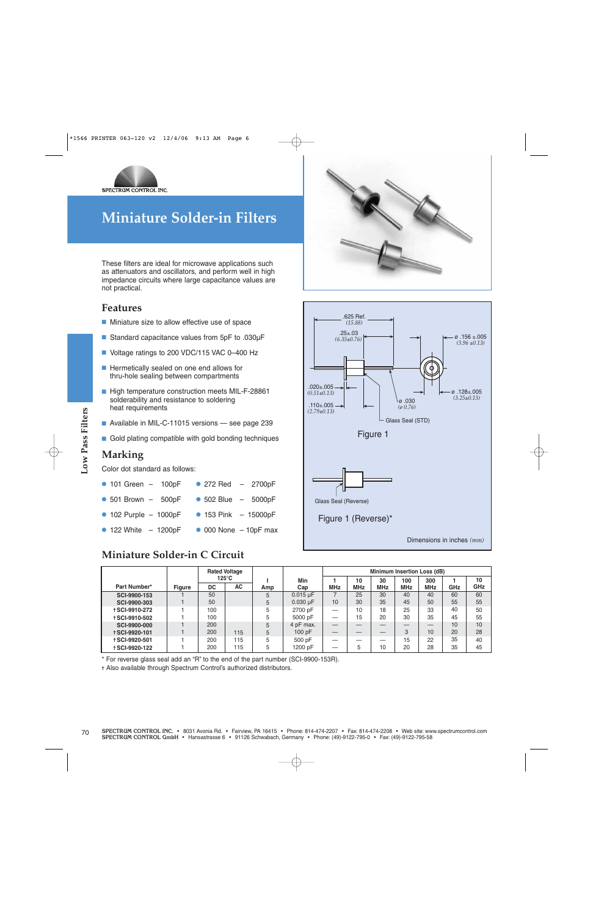

## **Miniature Solder-in Filters**

These filters are ideal for microwave applications such as attenuators and oscillators, and perform well in high impedance circuits where large capacitance values are not practical.

#### **Features**

- Miniature size to allow effective use of space
- Standard capacitance values from 5pF to .030uF
- Voltage ratings to 200 VDC/115 VAC 0-400 Hz
- Hermetically sealed on one end allows for thru-hole sealing between compartments
- High temperature construction meets MIL-F-28861 solderability and resistance to soldering heat requirements
- Available in MIL-C-11015 versions see page 239
- Gold plating compatible with gold bonding techniques

#### **Marking**

| • 101 Green $-$ 100pF • 272 Red $-$ 2700pF     |
|------------------------------------------------|
| • 501 Brown $-$ 500pF • 502 Blue $-$ 5000pF    |
| • 102 Purple $-$ 1000pF • 153 Pink $-$ 15000pF |

### **Miniature Solder-in C Circuit**





| Available in MIL-C-11015 versions - see page 239     |               |                                         |            |              |                                | $(2.79 \pm 0.13)$        |          |            |                                    |            |                             |          |
|------------------------------------------------------|---------------|-----------------------------------------|------------|--------------|--------------------------------|--------------------------|----------|------------|------------------------------------|------------|-----------------------------|----------|
|                                                      |               |                                         |            |              |                                |                          |          |            | Glass Seal (STD)                   |            |                             |          |
| Gold plating compatible with gold bonding techniques |               |                                         |            |              |                                |                          |          | Figure 1   |                                    |            |                             |          |
| <b>Marking</b>                                       |               |                                         |            |              |                                |                          |          |            |                                    |            |                             |          |
| Color dot standard as follows:                       |               |                                         |            |              |                                |                          |          |            |                                    |            |                             |          |
| $\bullet$ 101 Green - 100pF                          |               | • 272 Red $-$ 2700pF                    |            |              |                                |                          |          |            |                                    |            |                             |          |
| $\bullet$ 501 Brown $-$ 500pF                        |               | $\bullet$ 502 Blue $-$ 5000pF           |            |              |                                | Glass Seal (Reverse)     |          |            |                                    |            |                             |          |
|                                                      |               |                                         |            |              |                                |                          |          |            |                                    |            |                             |          |
| $\bullet$ 102 Purple - 1000pF                        |               | • 153 Pink - 15000pF                    |            |              |                                | Figure 1 (Reverse)*      |          |            |                                    |            |                             |          |
| $\bullet$ 122 White $-$ 1200pF                       |               | $\bullet$ 000 None $-10pF$ max          |            |              |                                |                          |          |            |                                    |            |                             |          |
|                                                      |               |                                         |            |              |                                |                          |          |            |                                    |            | Dimensions in inches $(mm)$ |          |
| Miniature Solder-in C Circuit                        |               |                                         |            |              |                                |                          |          |            |                                    |            |                             |          |
|                                                      |               |                                         |            |              |                                |                          |          |            |                                    |            |                             |          |
|                                                      |               | <b>Rated Voltage</b><br>$125^{\circ}$ C |            | $\mathbf{I}$ | Min                            | 1.                       | 10       | 30         | Minimum Insertion Loss (dB)<br>100 | 300        | 1                           | 10       |
| Part Number*                                         | <b>Figure</b> | <b>DC</b>                               | <b>AC</b>  | Amp          | Cap                            | <b>MHz</b>               | MHz      | <b>MHz</b> | <b>MHz</b>                         | <b>MHz</b> | GHz                         | GHz      |
| SCI-9900-153                                         | 1             | 50<br>50                                |            | 5            | $0.015 \mu F$<br>$0.030 \mu F$ | $\overline{7}$<br>10     | 25<br>30 | 30<br>35   | 40                                 | 40<br>50   | 60<br>55                    | 60<br>55 |
|                                                      |               | 100                                     |            | 5<br>5       | 2700 pF                        | $\overline{\phantom{0}}$ | 10       | 18         | 45<br>25                           | 33         | 40                          | 50       |
| SCI-9900-303                                         |               |                                         |            |              |                                |                          |          |            | 30                                 |            |                             |          |
| <b>+SCI-9910-272</b>                                 |               | 100                                     |            |              |                                | $\overline{\phantom{0}}$ | 15       | 20         |                                    | 35         |                             |          |
| <b>+SCI-9910-502</b><br>SCI-9900-000                 |               | 200                                     |            | 5<br>5       | 5000 pF<br>4 pF max.           |                          |          |            | $\overline{\phantom{0}}$           |            | 45<br>10                    | 55<br>10 |
| <b>+SCI-9920-101</b>                                 | $\mathbf{1}$  | 200                                     | 115        | 5            | 100 pF                         | $\qquad \qquad -$        |          |            | 3                                  | 10         | 20                          | 28       |
| <b>+SCI-9920-501</b><br><b>+SCI-9920-122</b>         | 1             | 200<br>200                              | 115<br>115 | 5<br>5       | 500 pF<br>1200 pF              | $\overline{\phantom{0}}$ | 5        | 10         | 15<br>20                           | 22<br>28   | 35<br>35                    | 40<br>45 |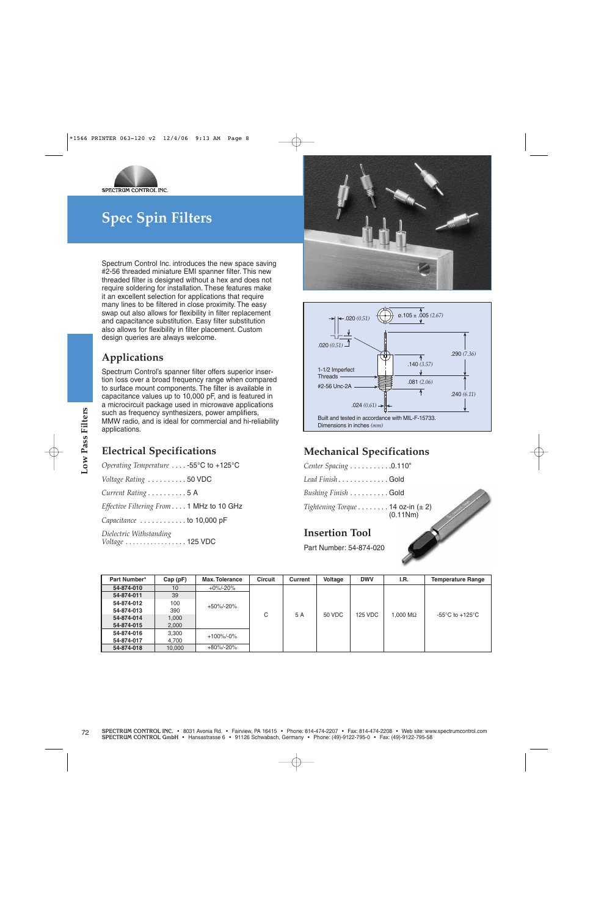

## **Spec Spin Filters**

Spectrum Control Inc. introduces the new space saving #2-56 threaded miniature EMI spanner filter. This new threaded filter is designed without a hex and does not require soldering for installation. These features make it an excellent selection for applications that require many lines to be filtered in close proximity. The easy swap out also allows for flexibility in filter replacement and capacitance substitution. Easy filter substitution also allows for flexibility in filter placement. Custom design queries are always welcome.

### **Applications**

Spectrum Control's spanner filter offers superior insertion loss over a broad frequency range when compared to surface mount components. The filter is available in capacitance values up to 10,000 pF, and is featured in a microcircuit package used in microwave applications such as frequency synthesizers, power amplifiers, MMW radio, and is ideal for commercial and hi-reliability applications.

### **Electrical Specifications**





### **Mechanical Specifications**

### **Insertion Tool**

| <b>Electrical Specifications</b>         |                 |                       |                |                |                       |                         | <b>Mechanical Specifications</b>                 |                                                                                   |
|------------------------------------------|-----------------|-----------------------|----------------|----------------|-----------------------|-------------------------|--------------------------------------------------|-----------------------------------------------------------------------------------|
| Operating Temperature  -55°C to +125°C   |                 |                       |                |                |                       | Center Spacing 0.110"   |                                                  |                                                                                   |
| Voltage Rating  50 VDC                   |                 |                       |                |                |                       | Lead Finish Gold        |                                                  |                                                                                   |
| Current Rating 5 A                       |                 |                       |                |                |                       | Bushing Finish Gold     |                                                  |                                                                                   |
|                                          |                 |                       |                |                |                       |                         |                                                  |                                                                                   |
| Effective Filtering From 1 MHz to 10 GHz |                 |                       |                |                |                       |                         | Tightening Torque 14 oz-in $(\pm 2)$<br>(0.11Nm) |                                                                                   |
| Capacitance  to 10,000 pF                |                 |                       |                |                |                       |                         |                                                  |                                                                                   |
| Dielectric Withstanding                  |                 |                       |                |                | <b>Insertion Tool</b> |                         |                                                  |                                                                                   |
| Voltage  125 VDC                         |                 |                       |                |                |                       |                         |                                                  |                                                                                   |
|                                          |                 |                       |                |                |                       | Part Number: 54-874-020 |                                                  |                                                                                   |
|                                          |                 |                       |                |                |                       |                         |                                                  |                                                                                   |
|                                          |                 |                       |                |                |                       |                         |                                                  |                                                                                   |
|                                          |                 |                       |                |                |                       |                         |                                                  |                                                                                   |
| Part Number*                             | $Cap$ ( $pF$ )  | <b>Max. Tolerance</b> | <b>Circuit</b> | <b>Current</b> | Voltage               | <b>DWV</b>              | I.R.                                             |                                                                                   |
| 54-874-010                               | 10              | $+0\% - 20\%$         |                |                |                       |                         |                                                  |                                                                                   |
| 54-874-011                               | 39              |                       |                |                |                       |                         |                                                  |                                                                                   |
| 54-874-012                               | 100             |                       |                |                |                       |                         |                                                  |                                                                                   |
| 54-874-013                               | 390             | +50%/-20%             |                |                |                       |                         |                                                  |                                                                                   |
| 54-874-014                               | 1,000           |                       | C              | 5 A            | <b>50 VDC</b>         | <b>125 VDC</b>          | 1.000 $M\Omega$                                  |                                                                                   |
| 54-874-015                               | 2,000           |                       |                |                |                       |                         |                                                  | <b>Temperature Range</b><br>-55 $\mathrm{^{\circ}C}$ to +125 $\mathrm{^{\circ}C}$ |
| 54-874-016                               | 3,300           | +100%/-0%             |                |                |                       |                         |                                                  |                                                                                   |
| 54-874-017<br>54-874-018                 | 4,700<br>10,000 | +80%/-20%             |                |                |                       |                         |                                                  |                                                                                   |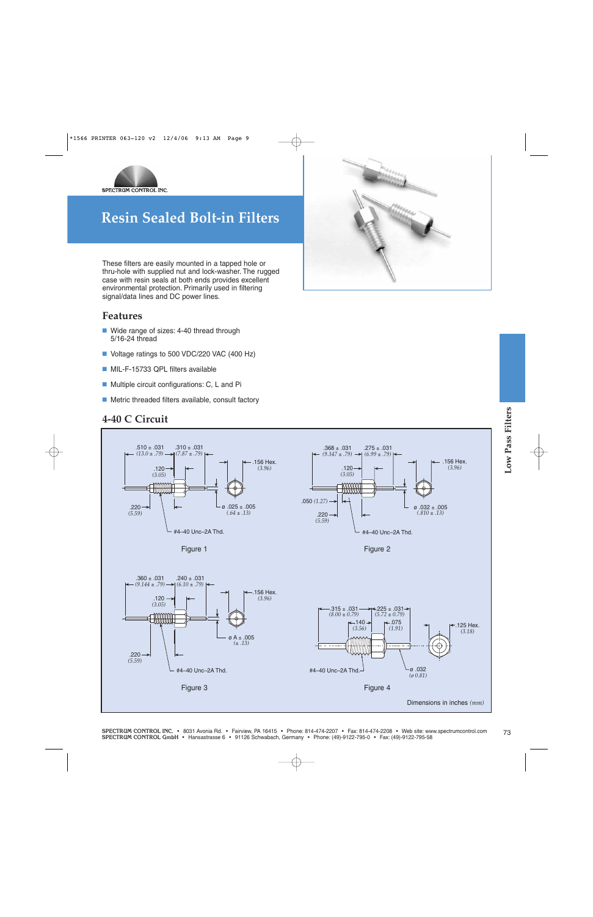

These filters are easily mounted in a tapped hole or thru-hole with supplied nut and lock-washer. The rugged case with resin seals at both ends provides excellent environmental protection. Primarily used in filtering signal/data lines and DC power lines.

#### **Features**

- Wide range of sizes: 4-40 thread through 5/16-24 thread
- Voltage ratings to 500 VDC/220 VAC (400 Hz)
- MIL-F-15733 QPL filters available
- Multiple circuit configurations: C, L and Pi
- Metric threaded filters available, consult factory

#### **4-40 C Circuit**







SPECTRUM CONTROL INC. • 8031 Avonia Rd. • Fairview, PA 16415 • Phone: 814-474-2207 • Fax: 814-474-2208 • Web site: www.spectrumcontrol.com<br>SPECTRUM CONTROL GmbH • Hansastrasse 6 • 91126 Schwabach, Germany • Phone: (49)-912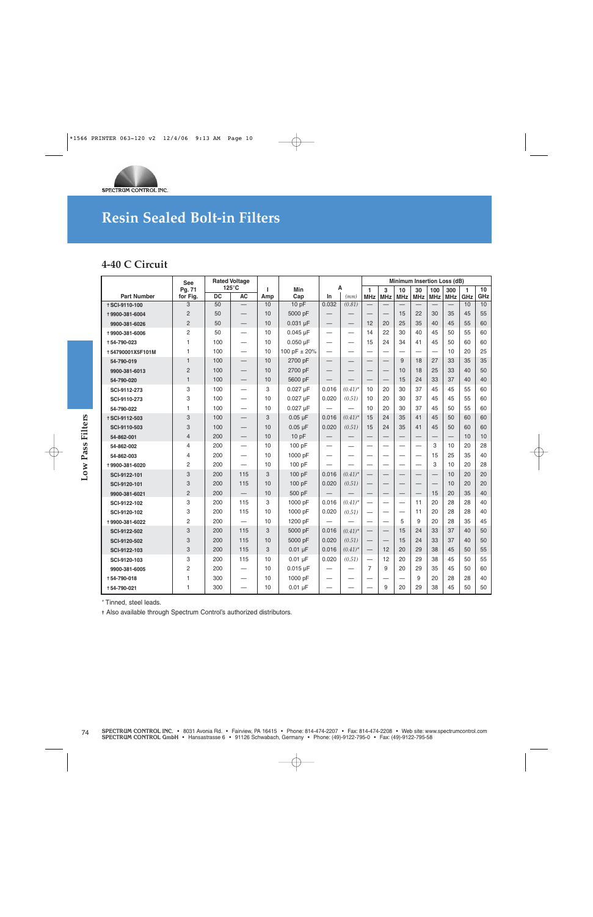

### **4-40 C Circuit**

| <b>Part Number</b><br><b>+SCI-9110-100</b><br>+9900-381-6004<br>9900-381-6026<br>+9900-381-6006<br>+54-790-023<br>+54790001X5F101M<br>54-790-019 | Pg. 71<br>for Fig.<br>3<br>$\overline{2}$<br>$\overline{2}$<br>$\overline{2}$ | <b>DC</b> | $125^{\circ}$ C          |          |               |                          |                          |                            |                          |                                   |                          |                          | Minimum Insertion Loss (dB) |          |           |
|--------------------------------------------------------------------------------------------------------------------------------------------------|-------------------------------------------------------------------------------|-----------|--------------------------|----------|---------------|--------------------------|--------------------------|----------------------------|--------------------------|-----------------------------------|--------------------------|--------------------------|-----------------------------|----------|-----------|
|                                                                                                                                                  |                                                                               |           | <b>AC</b>                | ı<br>Amp | Min<br>Cap    | Α<br>In                  | (mm)                     | $\mathbf{1}$<br><b>MHz</b> | 3<br><b>MHz</b>          | 10<br><b>MHz</b>                  | 30<br><b>MHz</b>         | 100<br><b>MHz</b>        | 300<br><b>MHz</b>           | 1<br>GHz | 10<br>GHz |
|                                                                                                                                                  |                                                                               | 50        |                          | 10       | 10pF          | 0.032                    | (0.81)                   |                            | $\overline{\phantom{0}}$ | $\overline{\phantom{0}}$          | $\overline{\phantom{0}}$ |                          |                             | 10       | 10        |
|                                                                                                                                                  |                                                                               | 50        |                          | 10       | 5000 pF       | $\qquad \qquad -$        |                          |                            | $\overline{\phantom{0}}$ | 15                                | 22                       | 30                       | 35                          | 45       | 55        |
|                                                                                                                                                  |                                                                               | 50        | $\qquad \qquad -$        | 10       | $0.031$ µF    | $\qquad \qquad -$        | $\qquad \qquad -$        | 12                         | 20                       | 25                                | 35                       | 40                       | 45                          | 55       | 60        |
|                                                                                                                                                  |                                                                               | 50        | $\overline{\phantom{0}}$ | 10       | $0.045$ µF    | $\qquad \qquad$          |                          | 14                         | 22                       | 30                                | 40                       | 45                       | 50                          | 55       | 60        |
|                                                                                                                                                  | 1                                                                             | 100       | $\equiv$                 | 10       | $0.050 \mu F$ | $\equiv$                 | $\equiv$                 | 15                         | 24                       | 34                                | 41                       | 45                       | 50                          | 60       | 60        |
|                                                                                                                                                  | $\mathbf{1}$                                                                  | 100       | $\overline{\phantom{0}}$ | 10       | 100 pF ± 20%  | $\equiv$                 | $\overline{\phantom{0}}$ | $\overline{\phantom{0}}$   | $\overline{\phantom{0}}$ |                                   |                          |                          | 10                          | 20       | 25        |
|                                                                                                                                                  | $\mathbf{1}$                                                                  | 100       | $\overline{\phantom{0}}$ | 10       | 2700 pF       | $\overline{\phantom{0}}$ |                          |                            | $\overline{\phantom{0}}$ | 9                                 | 18                       | 27                       | 33                          | 35       | 35        |
| 9900-381-6013                                                                                                                                    | $\overline{2}$                                                                | 100       |                          | 10       | 2700 pF       |                          |                          | –                          | —                        | 10                                | 18                       | 25                       | 33                          | 40       | 50        |
| 54-790-020                                                                                                                                       | $\mathbf{1}$                                                                  | 100       | $\qquad \qquad -$        | 10       | 5600 pF       | $\qquad \qquad -$        |                          | $\overline{\phantom{0}}$   | $\qquad \qquad -$        | 15                                | 24                       | 33                       | 37                          | 40       | 40        |
| SCI-9112-273                                                                                                                                     | 3                                                                             | 100       | $\equiv$                 | 3        | $0.027 \mu F$ | 0.016                    | $(0.41)^{*}$             | 10                         | 20                       | 30                                | 37                       | 45                       | 45                          | 55       | 60        |
| SCI-9110-273                                                                                                                                     | 3                                                                             | 100       | $\overline{\phantom{0}}$ | 10       | $0.027 \mu F$ | 0.020                    | (0.51)                   | 10                         | 20                       | 30                                | 37                       | 45                       | 45                          | 55       | 60        |
| 54-790-022                                                                                                                                       | $\mathbf{1}$                                                                  | 100       | $\overline{\phantom{0}}$ | 10       | $0.027 \mu F$ |                          |                          | 10                         | 20                       | 30                                | 37                       | 45                       | 50                          | 55       | 60        |
| <b>+SCI-9112-503</b>                                                                                                                             | 3                                                                             | 100       | $\overline{\phantom{0}}$ | 3        | $0.05 \mu F$  | 0.016                    | $(0.41)^{*}$             | 15                         | 24                       | 35                                | 41                       | 45                       | 50                          | 60       | 60        |
| SCI-9110-503                                                                                                                                     | 3                                                                             | 100       | $\qquad \qquad -$        | 10       | $0.05 \mu F$  | 0.020                    | (0.51)                   | 15                         | 24                       | 35                                | 41                       | 45                       | 50                          | 60       | 60        |
| 54-862-001                                                                                                                                       | $\overline{4}$                                                                | 200       | $\overline{\phantom{0}}$ | 10       | 10pF          | $\overline{\phantom{0}}$ | $\overline{\phantom{0}}$ | $\overline{\phantom{0}}$   | $\overline{\phantom{0}}$ | $\overline{\phantom{0}}$          | $\overline{\phantom{0}}$ | $\overline{\phantom{0}}$ |                             | 10       | 10        |
| 54-862-002                                                                                                                                       | $\overline{4}$                                                                | 200       | $\overline{\phantom{0}}$ | 10       | 100 pF        | $\overline{\phantom{0}}$ |                          |                            | $\overline{\phantom{0}}$ | $\overline{\phantom{0}}$          | $\overline{\phantom{0}}$ | 3                        | 10                          | 20       | 28        |
| 54-862-003                                                                                                                                       | 4                                                                             | 200       | $\overline{\phantom{0}}$ | 10       | 1000 pF       | —                        |                          |                            |                          |                                   |                          | 15                       | 25                          | 35       | 40        |
| +9900-381-6020                                                                                                                                   | $\overline{c}$                                                                | 200       |                          | 10       | 100 pF        | $\overline{\phantom{0}}$ |                          |                            | -                        | $\overbrace{\phantom{123221111}}$ |                          | 3                        | 10                          | 20       | 28        |
| SCI-9122-101                                                                                                                                     | 3                                                                             | 200       | 115                      | 3        | 100 pF        | 0.016                    | $(0.41)^{*}$             | $\overline{\phantom{0}}$   |                          |                                   | $\overline{\phantom{0}}$ |                          | 10                          | 20       | 20        |
| SCI-9120-101                                                                                                                                     | 3                                                                             | 200       | 115                      | 10       | 100 pF        | 0.020                    | (0.51)                   |                            |                          |                                   |                          |                          | 10                          | 20       | 20        |
| 9900-381-6021                                                                                                                                    | $\overline{c}$                                                                | 200       |                          | 10       | 500 pF        |                          | $\overline{\phantom{0}}$ | —                          | $\overline{\phantom{0}}$ |                                   | $\overline{\phantom{0}}$ | 15                       | 20                          | 35       | 40        |
| SCI-9122-102                                                                                                                                     | 3                                                                             | 200       | 115                      | 3        | 1000 pF       | 0.016                    | $(0.41)^{*}$             | $\overline{\phantom{0}}$   | —                        | $\overline{\phantom{0}}$          | 11                       | 20                       | 28                          | 28       | 40        |
| SCI-9120-102                                                                                                                                     | 3                                                                             | 200       | 115                      | 10       | 1000 pF       | 0.020                    | (0.51)                   |                            | $\overline{\phantom{0}}$ |                                   | 11                       | 20                       | 28                          | 28       | 40        |
| +9900-381-6022                                                                                                                                   | $\overline{2}$                                                                | 200       | $\equiv$                 | 10       | 1200 pF       |                          |                          | $\overline{\phantom{0}}$   | $\overline{\phantom{0}}$ | 5                                 | 9                        | 20                       | 28                          | 35       | 45        |
| SCI-9122-502                                                                                                                                     | 3                                                                             | 200       | 115                      | 3        | 5000 pF       | 0.016                    | $(0.41)^*$               |                            |                          | 15                                | 24                       | 33                       | 37                          | 40       | 50        |
| SCI-9120-502                                                                                                                                     | 3                                                                             | 200       | 115                      | 10       | 5000 pF       | 0.020                    | (0.51)                   |                            | $\overline{\phantom{0}}$ | 15                                | 24                       | 33                       | 37                          | 40       | 50        |
| SCI-9122-103                                                                                                                                     | 3                                                                             | 200       | 115                      | 3        | $0.01 \mu F$  | 0.016                    | $(0.41)^*$               |                            | 12                       | 20                                | 29                       | 38                       | 45                          | 50       | 55        |
| SCI-9120-103                                                                                                                                     | 3                                                                             | 200       | 115                      | 10       | $0.01 \mu F$  | 0.020                    | (0.51)                   |                            | 12                       | 20                                | 29                       | 38                       | 45                          | 50       | 55        |
| 9900-381-6005                                                                                                                                    | $\overline{2}$                                                                | 200       | $\overline{\phantom{0}}$ | 10       | $0.015$ µ $F$ | —                        |                          | $\overline{7}$             | 9                        | 20                                | 29                       | 35                       | 45                          | 50       | 60        |
| +54-790-018                                                                                                                                      | $\mathbf{1}$                                                                  | 300       | —                        | 10       | 1000 pF       | —                        |                          |                            |                          |                                   | 9                        | 20                       | 28                          | 28       | 40        |
| +54-790-021                                                                                                                                      | $\mathbf{1}$                                                                  | 300       | $\overline{\phantom{0}}$ | 10       | $0.01 \mu F$  | $\qquad \qquad -$        | $\overline{\phantom{0}}$ | $\overline{\phantom{0}}$   | 9                        | 20                                | 29                       | 38                       | 45                          | 50       | 50        |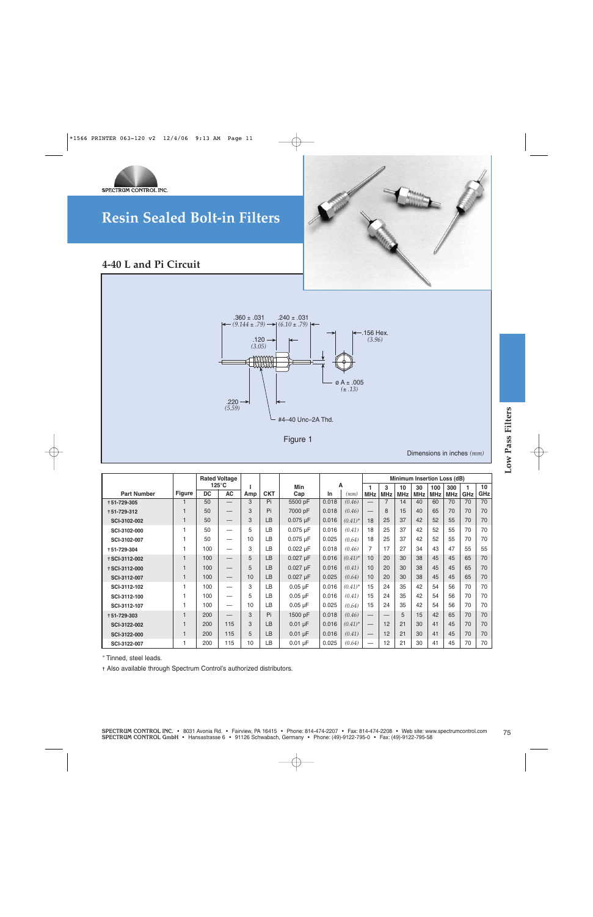



### **4-40 L and Pi Circuit**



Figure 1

|                      |               |           | <b>Rated Voltage</b>     |           |            |               |       |            |                            |                          |                  | Minimum Insertion Loss (dB) |                   |                   |          |           |
|----------------------|---------------|-----------|--------------------------|-----------|------------|---------------|-------|------------|----------------------------|--------------------------|------------------|-----------------------------|-------------------|-------------------|----------|-----------|
| <b>Part Number</b>   | <b>Figure</b> | <b>DC</b> | 125°C<br>AC              | J.<br>Amp | <b>CKT</b> | Min<br>Cap    | In    | Α<br>(mm)  | $\mathbf{1}$<br><b>MHz</b> | 3<br><b>MHz</b>          | 10<br><b>MHz</b> | 30<br><b>MHz</b>            | 100<br><b>MHz</b> | 300<br><b>MHz</b> | 1<br>GHz | 10<br>GHz |
| +51-729-305          | 1             | 50        | $\overline{\phantom{0}}$ | 3         | Pi         | 5500 pF       | 0.018 | (0.46)     |                            | 7                        | 14               | 40                          | 60                | 70                | 70       | 70        |
| +51-729-312          | $\mathbf{1}$  | 50        |                          | 3         | Pi         | 7000 pF       | 0.018 | (0.46)     |                            | 8                        | 15               | 40                          | 65                | 70                | 70       | 70        |
| SCI-3102-002         | $\mathbf{1}$  | 50        | $\overline{\phantom{0}}$ | 3         | LB         | $0.075 \mu F$ | 0.016 | $(0.41)^*$ | 18                         | 25                       | 37               | 42                          | 52                | 55                | 70       | 70        |
| SCI-3102-000         | $\mathbf{1}$  | 50        |                          | 5         | LB         | $0.075$ µ $F$ | 0.016 | (0.41)     | 18                         | 25                       | 37               | 42                          | 52                | 55                | 70       | 70        |
| SCI-3102-007         | 1             | 50        | $\overline{\phantom{0}}$ | 10        | LB         | $0.075$ µ $F$ | 0.025 | (0.64)     | 18                         | 25                       | 37               | 42                          | 52                | 55                | 70       | 70        |
| +51-729-304          | 1             | 100       | $\overline{\phantom{0}}$ | 3         | LB         | $0.022 \mu F$ | 0.018 | (0.46)     | $\overline{7}$             | 17                       | 27               | 34                          | 43                | 47                | 55       | 55        |
| <b>+SCI-3112-002</b> | $\mathbf{1}$  | 100       |                          | 5         | LB         | $0.027 \mu F$ | 0.016 | $(0.41)^*$ | 10                         | 20                       | 30               | 38                          | 45                | 45                | 65       | 70        |
| <b>+SCI-3112-000</b> | $\mathbf{1}$  | 100       |                          | 5         | LB         | $0.027 \mu F$ | 0.016 | (0.41)     | 10                         | 20                       | 30               | 38                          | 45                | 45                | 65       | 70        |
| SCI-3112-007         | $\mathbf{1}$  | 100       |                          | 10        | LB         | $0.027$ µ $F$ | 0.025 | (0.64)     | 10                         | 20                       | 30               | 38                          | 45                | 45                | 65       | 70        |
| SCI-3112-102         | 1             | 100       | $\overline{\phantom{0}}$ | 3         | LB         | $0.05 \mu F$  | 0.016 | $(0.41)^*$ | 15                         | 24                       | 35               | 42                          | 54                | 56                | 70       | 70        |
| SCI-3112-100         | 1             | 100       |                          | 5         | LB         | $0.05 \mu F$  | 0.016 | (0.41)     | 15                         | 24                       | 35               | 42                          | 54                | 56                | 70       | 70        |
| SCI-3112-107         | 1             | 100       |                          | 10        | LB         | $0.05 \mu F$  | 0.025 | (0.64)     | 15                         | 24                       | 35               | 42                          | 54                | 56                | 70       | 70        |
| +51-729-303          | $\mathbf{1}$  | 200       | $\overline{\phantom{0}}$ | 3         | Pi         | 1500 pF       | 0.018 | (0.46)     |                            | $\overline{\phantom{0}}$ | 5                | 15                          | 42                | 65                | 70       | 70        |
| SCI-3122-002         | $\mathbf{1}$  | 200       | 115                      | 3         | LB         | $0.01 \mu F$  | 0.016 | $(0.41)^*$ | $\overline{\phantom{0}}$   | 12                       | 21               | 30                          | 41                | 45                | 70       | 70        |
| SCI-3122-000         | $\mathbf{1}$  | 200       | 115                      | 5         | LB         | $0.01 \mu F$  | 0.016 | (0.41)     |                            | 12                       | 21               | 30                          | 41                | 45                | 70       | 70        |
|                      | 1             | 200       | 115                      | 10        | LB         | $0.01 \mu F$  | 0.025 | (0.64)     |                            | 12                       | 21               | 30                          | 41                | 45                | 70       | 70        |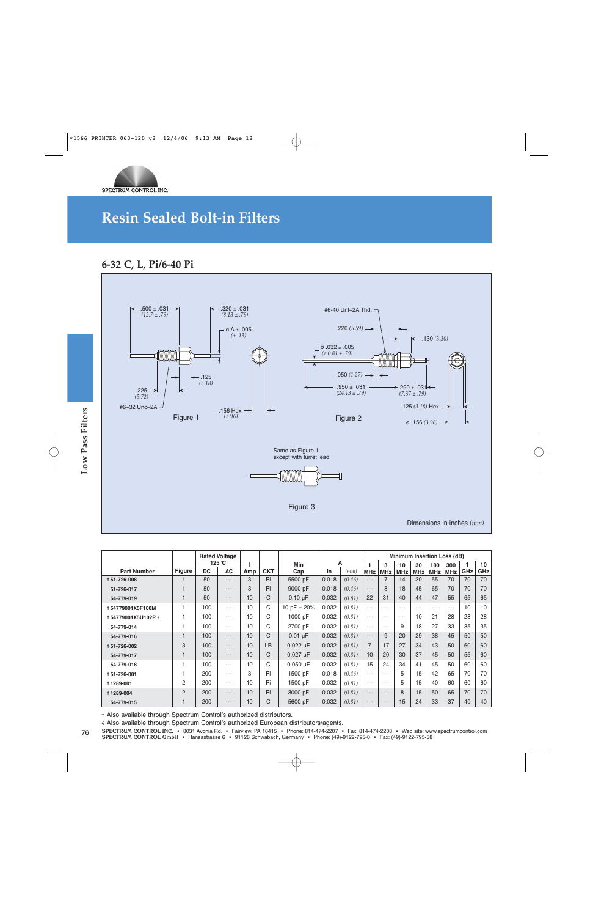

### **6-32 C, L, Pi/6-40 Pi**



|                     |                |                 |                                         |                |            | Same as Figure 1<br>except with turret lead<br>ANAMAN |       |        |                          |                          |            |            |                 |                                    |     |
|---------------------|----------------|-----------------|-----------------------------------------|----------------|------------|-------------------------------------------------------|-------|--------|--------------------------|--------------------------|------------|------------|-----------------|------------------------------------|-----|
|                     |                |                 |                                         |                |            | Figure 3                                              |       |        |                          |                          |            |            |                 |                                    |     |
|                     |                |                 |                                         |                |            |                                                       |       |        |                          |                          |            |            |                 | Dimensions in inches $(mm)$        |     |
|                     |                |                 |                                         |                |            |                                                       |       |        |                          |                          |            |            |                 |                                    |     |
|                     |                |                 | <b>Rated Voltage</b><br>$125^{\circ}$ C | т              |            | Min                                                   |       | А      | 1                        | 3                        | 10         | 30         | 100             | Minimum Insertion Loss (dB)<br>300 | 1   |
| <b>Part Number</b>  | <b>Figure</b>  | <b>DC</b>       | <b>AC</b>                               | Amp            | <b>CKT</b> | Cap                                                   | In    | (mm)   | <b>MHz</b>               | <b>MHz</b>               | <b>MHz</b> | <b>MHz</b> | <b>MHz</b>      | <b>MHz</b>                         | GHz |
| +51-726-008         | $\mathbf{1}$   | $\overline{50}$ |                                         | $\overline{3}$ | Pi         | 5500 pF                                               | 0.018 | (0.46) |                          | $\overline{7}$           | 14         | 30         | $\overline{55}$ | 70                                 | 70  |
| 51-726-017          | $\mathbf{1}$   | 50              |                                         | 3              | Pi         | 9000 pF                                               | 0.018 | (0.46) |                          | 8                        | 18         | 45         | 65              | 70                                 | 70  |
| 54-779-019          | $\mathbf{1}$   | 50              |                                         | 10             | C          | $0.10 \mu F$                                          | 0.032 | (0.81) | 22                       | 31                       | 40         | 44         | 47              | 55                                 | 65  |
| +54779001X5F100M    | 1              | 100             |                                         | 10             | C          | 10 pF $\pm$ 20%                                       | 0.032 | (0.81) | —                        |                          |            |            | -               |                                    | 10  |
| † 54779001X5U102P € | 1              | 100             |                                         | 10             | C          | 1000 pF                                               | 0.032 | (0.81) |                          |                          |            | 10         | 21              | 28                                 | 28  |
| 54-779-014          | 1              | 100             |                                         | 10             | C          | 2700 pF                                               | 0.032 | (0.81) | $\overline{\phantom{0}}$ | $\overline{\phantom{0}}$ | 9          | 18         | 27              | 33                                 | 35  |
| 54-779-016          | $\mathbf{1}$   | 100             |                                         | 10             | C          | $0.01 \mu F$                                          | 0.032 | (0.81) | $\overline{\phantom{0}}$ | 9                        | 20         | 29         | 38              | 45                                 | 50  |
| +51-726-002         | 3              | 100             |                                         | 10             | LB         | $0.022 \mu F$                                         | 0.032 | (0.81) | $\overline{7}$           | 17                       | 27         | 34         | 43              | 50                                 | 60  |
| 54-779-017          | $\mathbf{1}$   | 100             |                                         | 10             | C          | $0.027 \mu F$                                         | 0.032 | (0.81) | 10                       | 20                       | 30         | 37         | 45              | 50                                 | 55  |
| 54-779-018          | 1              | 100             |                                         | 10             | C          | $0.050 \mu F$                                         | 0.032 | (0.81) | 15                       | 24                       | 34         | 41         | 45              | 50                                 | 60  |
| +51-726-001         | 1              | 200             |                                         | 3              | Pi         | 1500 pF                                               | 0.018 | (0.46) | $\equiv$                 | -                        | 5          | 15         | 42              | 65                                 | 70  |
| +1289-001           | 2              | 200             |                                         | 10             | Pi         | 1500 pF                                               | 0.032 | (0.81) | $\overline{\phantom{0}}$ |                          | 5          | 15         | 40              | 60                                 | 60  |
|                     | $\overline{2}$ | 200             |                                         | 10             | Pi<br>C    | 3000 pF                                               | 0.032 | (0.81) | $\overline{\phantom{0}}$ |                          | 8          | 15         | 50              | 65                                 | 70  |
| +1289-004           | $\mathbf{1}$   | 200             |                                         | 10             |            | 5600 pF                                               | 0.032 | (0.81) |                          |                          | 15         | 24         | 33              | 37                                 | 40  |

SPECTRUM CONTROL INC. • 8031 Avonia Rd. • Fairview, PA 16415 • Phone: 814-474-2207 • Fax: 814-474-2208 • Web site: www.spectrumcontrol.com<br>SPECTRUM CONTROL GmbH • Hansastrasse 6 • 91126 Schwabach, Germany • Phone: (49)-912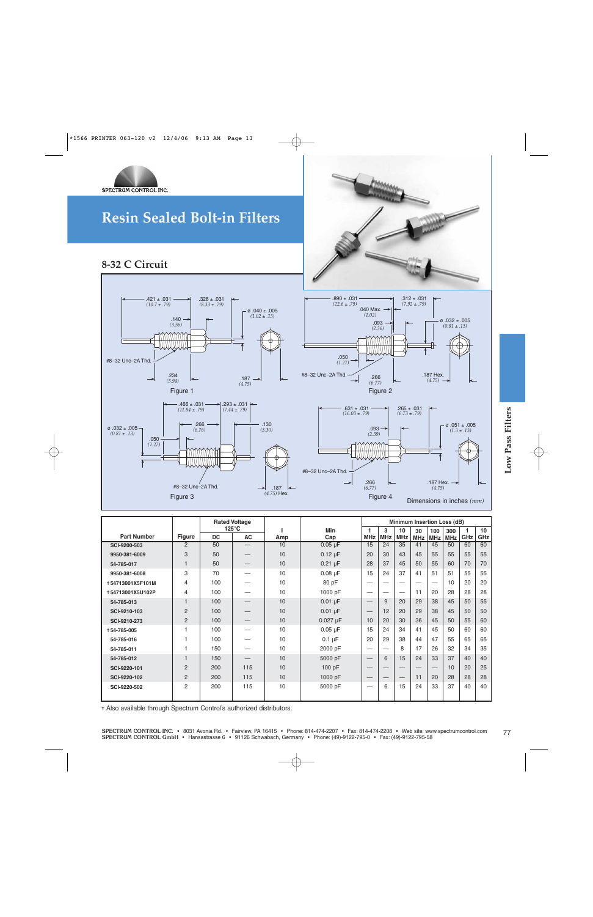



### **8-32 C Circuit**







| $\varnothing$ .032 ±.005 -<br>$(0.81 \pm .13)$<br>.050<br>(1.27) | .266<br>(6.76)<br>#8-32 Unc-2A Thd.<br>Figure 3 | ШШШШШ     |                              | .130<br>(3.30)<br>.187<br>$(4.75)$ Hex. | #8-32 Unc-2A Thd. | (2.39)<br>.266<br>(6.77) | $.093 \rightarrow$<br>Figure 4 |                             | Dimensions in inches $(mm)$ | .187 Hex. $\rightarrow$<br>(4.75) |                   | $\varnothing$ .051 ± .005<br>$(1.3 \pm .13)$ |           |
|------------------------------------------------------------------|-------------------------------------------------|-----------|------------------------------|-----------------------------------------|-------------------|--------------------------|--------------------------------|-----------------------------|-----------------------------|-----------------------------------|-------------------|----------------------------------------------|-----------|
|                                                                  |                                                 |           | <b>Rated Voltage</b>         |                                         |                   |                          |                                | Minimum Insertion Loss (dB) |                             |                                   |                   |                                              |           |
| <b>Part Number</b>                                               | <b>Figure</b>                                   | <b>DC</b> | $125^{\circ}$ C<br><b>AC</b> | L<br>Amp                                | <b>Min</b><br>Cap | 1<br><b>MHz</b>          | 3<br><b>MHz</b>                | 10<br><b>MHz</b>            | 30<br><b>MHz</b>            | 100<br><b>MHz</b>                 | 300<br><b>MHz</b> | $\overline{1}$<br>GHz                        | 10<br>GHz |
| SCI-9200-503                                                     | $\overline{2}$                                  | 50        |                              | 10                                      | $0.05 \mu F$      | 15                       | 24                             | 35                          | 41                          | 45                                | 50                | 60                                           | 60        |
| 9950-381-6009                                                    | 3                                               | 50        |                              | 10                                      | $0.12 \mu F$      | 20                       | 30                             | 43                          | 45                          | 55                                | 55                | 55                                           | 55        |
| 54-785-017                                                       | $\mathbf{1}$                                    | 50        |                              | 10                                      | $0.21 \mu F$      | 28                       | 37                             | 45                          | 50                          | 55                                | 60                | 70                                           | 70        |
| 9950-381-6008                                                    | 3                                               | 70        |                              | 10                                      | $0.08 \mu F$      | 15                       | 24                             | 37                          | 41                          | 51                                | 51                | 55                                           | 55        |
| +54713001X5F101M                                                 | 4                                               | 100       |                              | 10                                      | 80 pF             |                          |                                |                             |                             |                                   | 10                | 20                                           | 20        |
| +54713001X5U102P                                                 | 4                                               | 100       |                              | 10                                      | 1000 pF           |                          | $\overline{\phantom{0}}$       |                             | 11                          | 20                                | 28                | 28                                           | 28        |
| 54-785-013                                                       | $\mathbf{1}$                                    | 100       |                              | 10                                      | $0.01 \mu F$      |                          | 9                              | 20                          | 29                          | 38                                | 45                | 50                                           | 55        |
| SCI-9210-103                                                     | $\overline{2}$                                  | 100       |                              | 10                                      | $0.01 \mu F$      |                          | 12                             | 20                          | 29                          | 38                                | 45                | 50                                           | 50        |
| SCI-9210-273                                                     | $\overline{2}$                                  | 100       |                              | 10                                      | $0.027$ µF        | 10                       | 20                             | 30                          | 36                          | 45                                | 50                | 55                                           | 60        |
| +54-785-005                                                      | 1                                               | 100       |                              | 10                                      | $0.05 \mu F$      | 15                       | 24                             | 34                          | 41                          | 45                                | 50                | 60                                           | 60        |
| 54-785-016                                                       | 1                                               | 100       |                              | 10                                      | $0.1 \mu F$       | 20                       | 29                             | 38                          | 44                          | 47                                | 55                | 65                                           | 65        |
| 54-785-011                                                       | 1                                               | 150       |                              | 10                                      | 2000 pF           |                          |                                | 8                           | 17                          | 26                                | 32                | 34                                           | 35        |
| 54-785-012                                                       | $\mathbf{1}$                                    | 150       |                              | 10                                      | 5000 pF           |                          | 6                              | 15                          | 24                          | 33                                | 37                | 40                                           | 40        |
| SCI-9220-101                                                     | 2                                               | 200       | 115                          | 10                                      | 100 pF            |                          |                                |                             |                             |                                   | 10                | 20                                           | 25        |
| SCI-9220-102                                                     | $\overline{2}$                                  | 200       | 115                          | 10                                      | 1000 pF           |                          |                                |                             | 11                          | 20                                | 28                | 28                                           | 28        |
|                                                                  | $\overline{2}$                                  | 200       | 115                          | 10                                      | 5000 pF           |                          | 6                              | 15                          | 24                          | 33                                | 37                | 40                                           | 40        |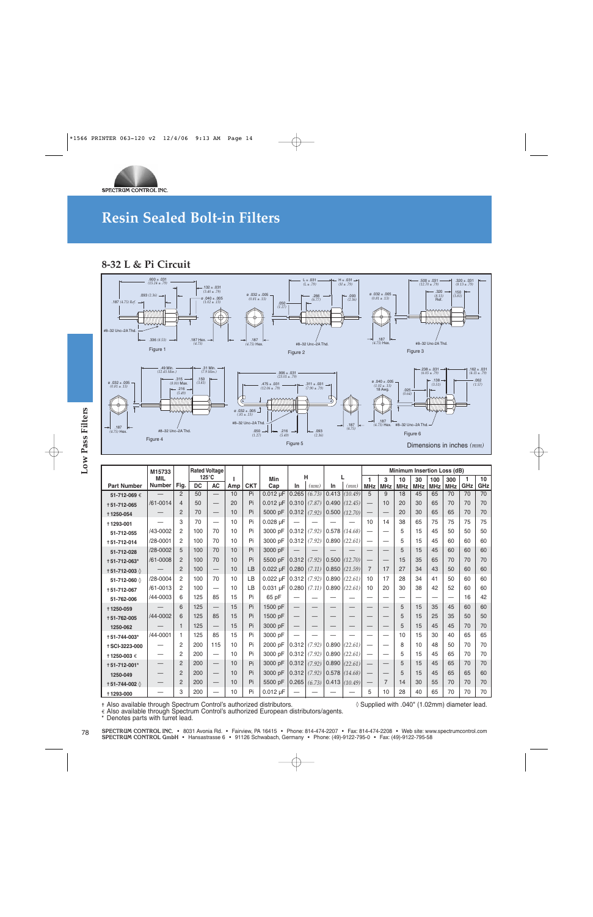

### **8-32 L & Pi Circuit**



|                                                                                                                                                              | Figure 4                    |                |                 |                                   |           |            |               | Figure 5                 |        |       |         |                            |                 |                             | Dimensions in inches $(mm)$                   |                   |                   |                     |
|--------------------------------------------------------------------------------------------------------------------------------------------------------------|-----------------------------|----------------|-----------------|-----------------------------------|-----------|------------|---------------|--------------------------|--------|-------|---------|----------------------------|-----------------|-----------------------------|-----------------------------------------------|-------------------|-------------------|---------------------|
|                                                                                                                                                              |                             |                |                 |                                   |           |            |               |                          |        |       |         |                            |                 |                             |                                               |                   |                   |                     |
|                                                                                                                                                              | M15733                      |                | $125^{\circ}$ C | <b>Rated Voltage</b>              |           |            |               |                          | н      |       |         |                            |                 | Minimum Insertion Loss (dB) |                                               |                   |                   |                     |
| <b>Part Number</b>                                                                                                                                           | <b>MIL</b><br><b>Number</b> | Fig.           | <b>DC</b>       | <b>AC</b>                         | J.<br>Amp | <b>CKT</b> | Min<br>Cap    | In                       | (mm)   | In    | (mm)    | $\mathbf{1}$<br><b>MHz</b> | 3<br><b>MHz</b> | 10<br><b>MHz</b>            | 30<br><b>MHz</b>                              | 100<br><b>MHz</b> | 300<br><b>MHz</b> | $\mathbf{1}$<br>GHz |
| 51-712-069€                                                                                                                                                  |                             | 2              | 50              |                                   | 10        | Pi         | $0.012 \mu F$ | 0.265                    | (6.73) | 0.413 | (10.49) | 5                          | 9               | 18                          | 45                                            | 65                | 70                | 70                  |
| +51-712-065                                                                                                                                                  | /61-0014                    | $\overline{4}$ | 50              |                                   | 20        | Pi         | $0.012 \mu F$ | 0.310                    | (7.87) | 0.490 | (12.45) |                            | 10              | 20                          | 30                                            | 65                | 70                | 70                  |
| +1250-054                                                                                                                                                    |                             | 2              | 70              | $\qquad \qquad -$                 | 10        | Pi         | 5000 pF       | 0.312                    | (7.92) | 0.500 | (12.70) |                            |                 | 20                          | 30                                            | 65                | 65                | 70                  |
| +1293-001                                                                                                                                                    |                             | 3              | 70              | $\equiv$                          | 10        | Pi         | 0.028 µF      |                          |        |       |         | 10                         | 14              | 38                          | 65                                            | 75                | 75                | 75                  |
| 51-712-055                                                                                                                                                   | /43-0002                    | $\overline{2}$ | 100             | 70                                | 10        | Pi         | 3000 pF       | 0.312                    | (7.92) | 0.578 | (14.68) | $\overline{\phantom{0}}$   |                 | 5                           | 15                                            | 45                | 50                | 50                  |
| +51-712-014                                                                                                                                                  | /28-0001                    | $\overline{2}$ | 100             | 70                                | 10        | Pi         | 3000 pF       | 0.312                    | (7.92) | 0.890 | (22.61) | $\overline{\phantom{0}}$   |                 | 5                           | 15                                            | 45                | 60                | 60                  |
| 51-712-028                                                                                                                                                   | /28-0002                    | 5              | 100             | 70                                | 10        | Pi         | 3000 pF       |                          |        |       |         | <u>—</u>                   |                 | 5                           | 15                                            | 45                | 60                | 60                  |
| +51-712-063*                                                                                                                                                 | /61-0008                    | $\overline{2}$ | 100             | 70                                | 10        | Pi         | 5500 pF       | 0.312                    | (7.92) | 0.500 | (12.70) |                            |                 | 15                          | 35                                            | 65                | 70                | 70                  |
| † 51-712-003 ♦                                                                                                                                               |                             | $\overline{2}$ | 100             |                                   | 10        | LB         | $0.022 \mu F$ | 0.280                    | (7.11) | 0.850 | (21.59) | $\overline{7}$             | 17              | 27                          | 34                                            | 43                | 50                | 60                  |
| 51-712-060 ♦                                                                                                                                                 | /28-0004                    | $\overline{2}$ | 100             | 70                                | 10        | LB         | $0.022 \mu F$ | 0.312                    | (7.92) | 0.890 | (22.61) | 10                         | 17              | 28                          | 34                                            | 41                | 50                | 60                  |
| +51-712-067                                                                                                                                                  | /61-0013                    | $\overline{2}$ | 100             |                                   | 10        | LB         | $0.031 \mu F$ | 0.280                    | (7.11) | 0.890 | (22.61) | 10                         | 20              | 30                          | 38                                            | 42                | 52                | 60                  |
| 51-762-006                                                                                                                                                   | /44-0003                    | 6              | 125             | 85                                | 15        | Pi         | 65 pF         |                          |        |       |         | $\overline{\phantom{0}}$   | —               | $\overline{\phantom{0}}$    | $\overline{\phantom{0}}$                      |                   |                   | 16                  |
| +1250-059                                                                                                                                                    |                             | 6              | 125             | $\overline{\phantom{0}}$          | 15        | Pi         | 1500 pF       | $\overline{\phantom{0}}$ |        |       |         | -                          |                 | 5                           | 15                                            | 35                | 45                | 60                  |
| +51-762-005                                                                                                                                                  | /44-0002                    | 6              | 125             | 85                                | 15        | Pi         | 1500 pF       |                          |        |       |         |                            |                 | 5                           | 15                                            | 25                | 35                | 50                  |
| 1250-062                                                                                                                                                     |                             | $\mathbf{1}$   | 125             | $\overline{\phantom{0}}$          | 15        | Pi         | 3000 pF       |                          |        |       |         |                            |                 | 5                           | 15                                            | 45                | 45                | 70                  |
| +51-744-003*                                                                                                                                                 | /44-0001                    | $\mathbf{1}$   | 125             | 85                                | 15        | Pi         | 3000 pF       |                          |        |       |         |                            |                 | 10                          | 15                                            | 30                | 40                | 65                  |
| +SCI-3223-000                                                                                                                                                |                             | $\overline{2}$ | 200             | 115                               | 10        | Pi         | 2000 pF       | 0.312                    | (7.92) | 0.890 | (22.61) | $\overline{\phantom{0}}$   |                 | 8                           | 10                                            | 48                | 50                | 70                  |
| † 1250-003 €                                                                                                                                                 |                             | $\overline{2}$ | 200             |                                   | 10        | Pi         | 3000 pF       | 0.312                    | (7.92) | 0.890 | (22.61) | $\equiv$                   |                 | 5                           | 15                                            | 45                | 65                | 70                  |
| +51-712-001*                                                                                                                                                 |                             | 2              | 200             |                                   | 10        | Pi         | 3000 pF       | $0.312$ (7.92)           |        | 0.890 | (22.61) |                            |                 | 5                           | 15                                            | 45                | 65                | 70                  |
| 1250-049                                                                                                                                                     |                             | $\overline{2}$ | 200             |                                   | 10        | Pi         | 3000 pF       | 0.312                    | (7.92) | 0.578 | (14.68) |                            |                 | 5                           | 15                                            | 45                | 65                | 65                  |
| † 51-744-002 ♦                                                                                                                                               |                             | $\overline{2}$ | 200             | $\overbrace{\phantom{123221111}}$ | 10        | Pi         | 5500 pF       | 0.265                    | (6.73) | 0.413 | (10.49) | $\qquad \qquad$            | $\overline{7}$  | 14                          | 30                                            | 55                | 70                | 70                  |
| +1293-000                                                                                                                                                    |                             | 3              | 200             |                                   | 10        | Pi         | $0.012 \mu F$ |                          |        |       |         | 5                          | 10              | 28                          | 40                                            | 65                | 70                | 70                  |
| + Also available through Spectrum Control's authorized distributors.<br>€ Also available through Spectrum Control's authorized European distributors/agents. |                             |                |                 |                                   |           |            |               |                          |        |       |         |                            |                 |                             | ◊ Supplied with .040" (1.02mm) diameter lead. |                   |                   |                     |

SPECTRUM CONTROL INC. • 8031 Avonia Rd. • Fairview, PA 16415 • Phone: 814-474-2207 • Fax: 814-474-2208 • Web site: www.spectrumcontrol.com<br>SPECTRUM CONTROL GmbH • Hansastrasse 6 • 91126 Schwabach, Germany • Phone: (49)-912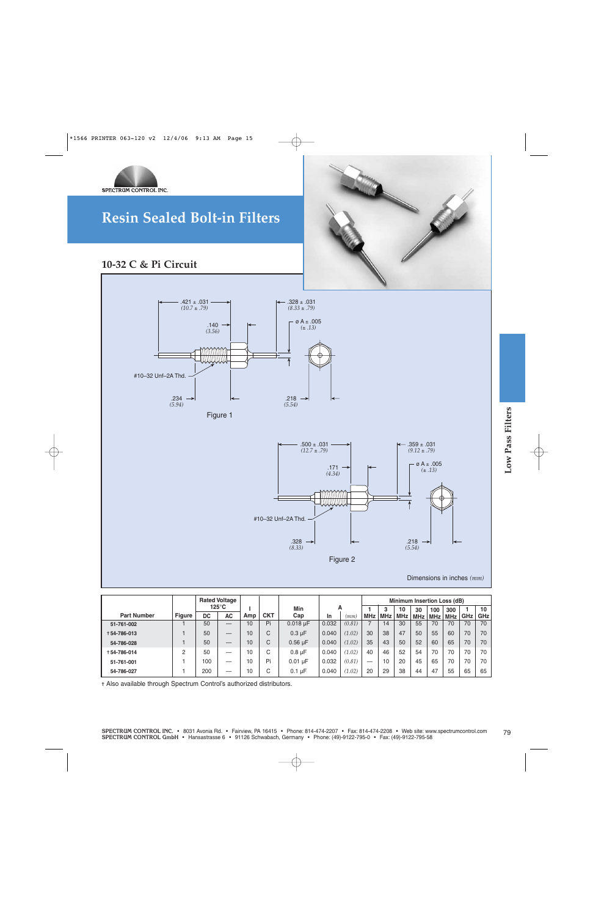

### **10-32 C & Pi Circuit**



|                    |               |           | <b>Rated Voltage</b>     |     |            |               |       |        |            |            |            | Minimum Insertion Loss (dB) |     |     |     |                 |
|--------------------|---------------|-----------|--------------------------|-----|------------|---------------|-------|--------|------------|------------|------------|-----------------------------|-----|-----|-----|-----------------|
|                    |               |           | $125^{\circ}$ C          |     |            | Min           | A     |        |            | 3          | 10         | 30                          | 100 | 300 |     | 10 <sup>1</sup> |
| <b>Part Number</b> | <b>Figure</b> | <b>DC</b> | <b>AC</b>                | Amp | <b>CKT</b> | Cap           | In    | (mm.   | <b>MHz</b> | <b>MHz</b> | <b>MHz</b> | <b>MHz</b>                  | MHz | MHz | GHz | <b>GHz</b>      |
| 51-761-002         |               | 50        | $\overline{\phantom{0}}$ | 10  | Pi         | $0.018 \mu F$ | 0.032 | (0.81) |            | 14         | 30         | 55                          | 70  | 70  | 70  | 70              |
| +54-786-013        |               | 50        |                          | 10  | C          | $0.3 \mu F$   | 0.040 | (1.02) | 30         | 38         | 47         | 50                          | 55  | 60  | 70  | 70              |
| 54-786-028         |               | 50        |                          | 10  | C          | $0.56 \mu F$  | 0.040 | (1.02) | 35         | 43         | 50         | 52                          | 60  | 65  | 70  | 70              |
| +54-786-014        | C             | 50        | -                        | 10  | С          | $0.8 \mu F$   | 0.040 | (1.02) | 40         | 46         | 52         | 54                          | 70  | 70  | 70  | 70              |
| 51-761-001         |               | 100       |                          | 10  | Pi         | $0.01 \mu F$  | 0.032 | (0.81) | _          | 10         | 20         | 45                          | 65  | 70  | 70  | 70              |
| 54-786-027         |               | 200       |                          | 10  | С          | $0.1 \mu F$   | 0.040 | (1.02) | 20         | 29         | 38         | 44                          | 47  | 55  | 65  | 65              |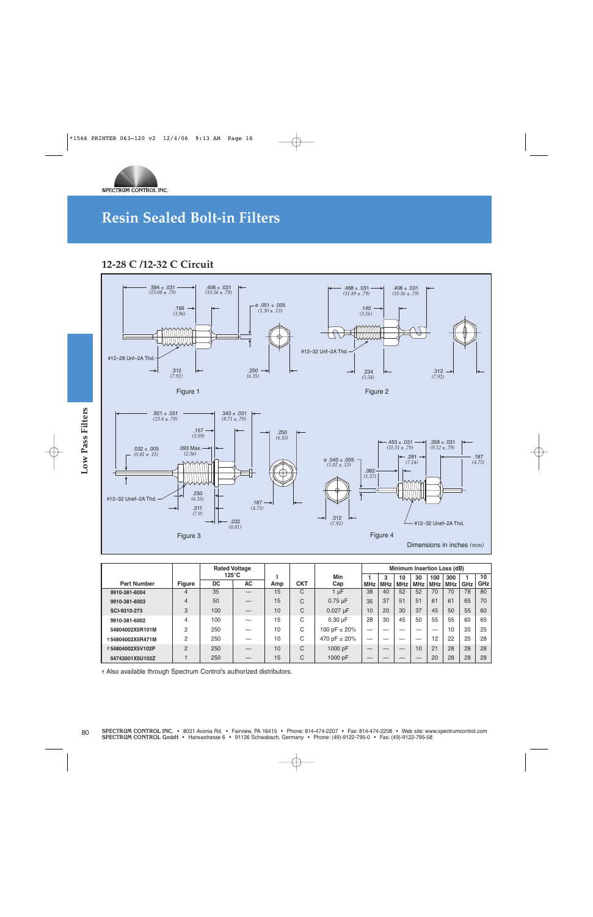

### **12-28 C /12-32 C Circuit**



|                    |                     | <b>Rated Voltage</b>            |                  |     |            |              |            |            | Minimum Insertion Loss (dB) |            |            |            |     |            |
|--------------------|---------------------|---------------------------------|------------------|-----|------------|--------------|------------|------------|-----------------------------|------------|------------|------------|-----|------------|
|                    |                     | $125^{\circ}$ C                 |                  |     |            | Min          |            | 3          | 10                          | 30         | 100        | 300        |     | 10         |
| <b>Part Number</b> | <b>Figure</b>       | DC.                             | <b>AC</b>        | Amp | <b>CKT</b> | Cap          | <b>MHz</b> | <b>MHz</b> | <b>MHz</b>                  | <b>MHz</b> | <b>MHz</b> | <b>MHz</b> | GHz | <b>GHz</b> |
| 9910-381-6004      |                     | 35                              |                  | 15  | C          | $1 \mu$ F    | 38         | 40         | 52                          | 52         | 70         | 70         | 78  | 80         |
| 9910-381-6003      | 4                   | 50                              |                  | 15  | C          | $0.75 \mu F$ | 35         | 37         | 51                          | 51         | 61         | 61         | 65  | 70         |
| SCI-9310-273       | 3                   | C<br>100<br>10<br>$0.027 \mu F$ |                  |     | 10         | 20           | 30         | 37         | 45                          | 50         | 55         | 60         |     |            |
| 9910-381-6002      | 4                   | 100                             |                  | 15  | C          | $0.30 \mu F$ | 28         | 30         | 45                          | 50         | 55         | 55         | 60  | 65         |
| 54804002X5R101M    | 10<br>2<br>250<br>С |                                 | 100 pF $\pm$ 20% | _   |            |              |            |            | 10                          | 20         | 25         |            |     |            |
| +54804002X5R471M   | С<br>2<br>250<br>10 |                                 | 470 pF ± 20%     | _   |            |              |            | 12         | 22                          | 25         | 28         |            |     |            |
| +54804002X5V102P   | 2                   | 250                             |                  | 10  | C          | 1000 pF      |            | __         |                             | 10         | 21         | 28         | 28  | 28         |
| 54743001X5U102Z    |                     | 250                             |                  | 15  | C          | 1000 pF      |            |            |                             |            | 20         | 28         | 28  | 28         |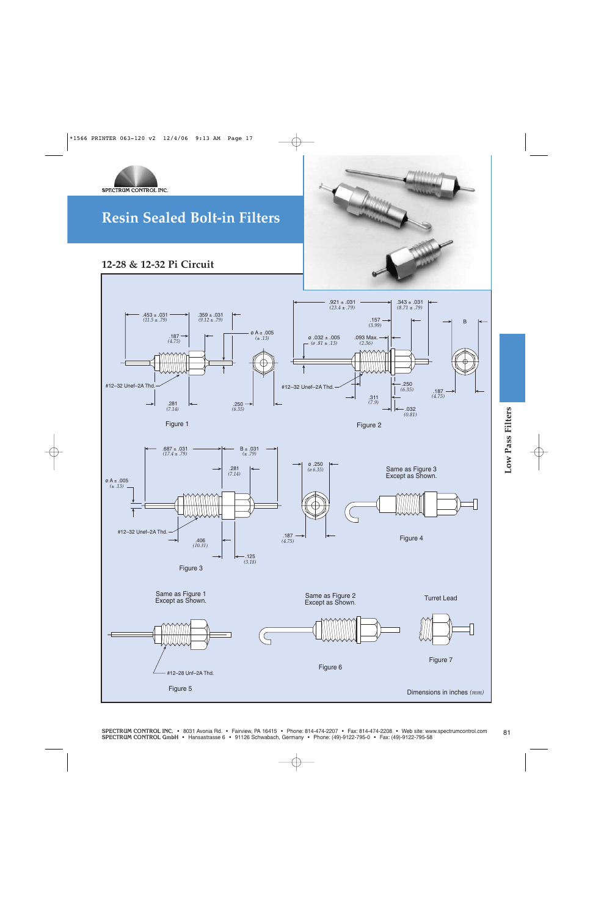

### **12-28 & 12-32 Pi Circuit**



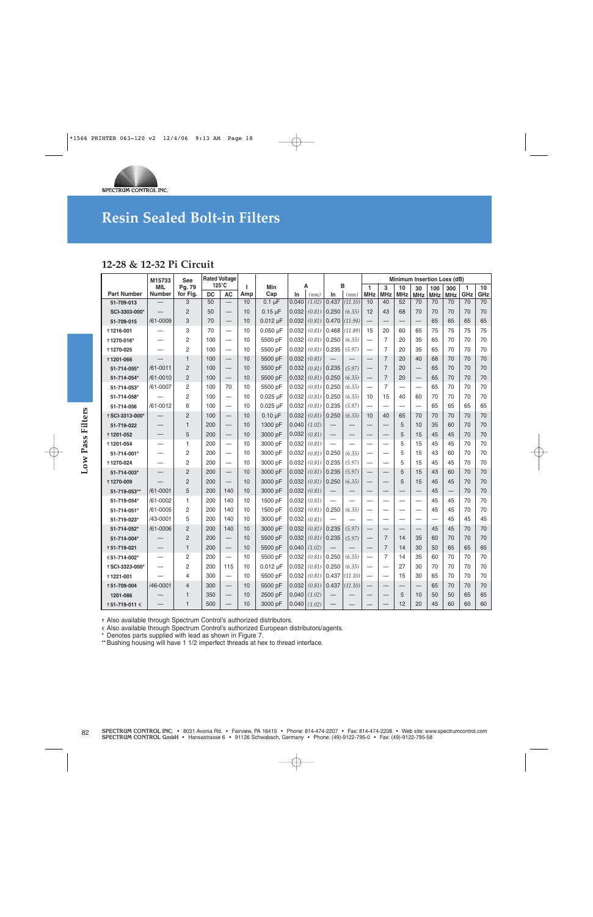

### **12-28 & 12-32 Pi Circuit**

|                    | M15733               | See                |                              | <b>Rated Voltage</b>     |          |               |       |           |                          |         |                            |                          |                          |                          |                   | Minimum Insertion Loss (dB) |          |           |
|--------------------|----------------------|--------------------|------------------------------|--------------------------|----------|---------------|-------|-----------|--------------------------|---------|----------------------------|--------------------------|--------------------------|--------------------------|-------------------|-----------------------------|----------|-----------|
| <b>Part Number</b> | MIL<br><b>Number</b> | Pg. 79<br>for Fig. | $125^{\circ}$ C<br><b>DC</b> | <b>AC</b>                | т<br>Amp | Min<br>Cap    | In.   | Α<br>(mm) | в<br>In                  | (mm)    | $\mathbf{1}$<br><b>MHz</b> | 3<br><b>MHz</b>          | 10<br><b>MHz</b>         | 30<br><b>MHz</b>         | 100<br><b>MHz</b> | 300<br><b>MHz</b>           | 1<br>GHz | 10<br>GHz |
| 51-709-013         |                      | 3                  | 50                           |                          | 10       | $0.1 \mu F$   | 0.040 | (1.02)    | 0.437                    | (11.10) | 10                         | 40                       | 52                       | 70                       | 70                | 70                          | 70       | 70        |
| SCI-3303-000*      |                      | 2                  | 50                           | $\overline{\phantom{0}}$ | 10       | $0.15 \mu F$  | 0.032 | (0.81)    | 0.250                    | (6.35)  | 12                         | 43                       | 68                       | 70                       | 70                | 70                          | 70       | 70        |
| 51-709-015         | /61-0009             | 3                  | 70                           | $\overline{\phantom{m}}$ | 10       | $0.012 \mu F$ | 0.032 | (0.81)    | 0.470                    | (11.94) | —                          |                          |                          | $\qquad \qquad -$        | 65                | 65                          | 65       | 65        |
| +1216-001          |                      | 3                  | 70                           | —                        | 10       | $0.050 \mu F$ | 0.032 | (0.81)    | 0.468                    | (11.89) | 15                         | 20                       | 60                       | 65                       | 75                | 75                          | 75       | 75        |
| +1270-016*         |                      | 2                  | 100                          | —                        | 10       | 5500 pF       | 0.032 | (0.81)    | 0.250                    | (6.35)  | $\overline{\phantom{0}}$   | 7                        | 20                       | 35                       | 65                | 70                          | 70       | 70        |
| +1270-025          |                      | $\overline{2}$     | 100                          |                          | 10       | 5500 pF       | 0.032 | (0.81)    | 0.235                    | (5.97)  |                            | 7                        | 20                       | 35                       | 65                | 70                          | 70       | 70        |
| +1201-066          |                      | 1                  | 100                          |                          | 10       | 5500 pF       | 0.032 | (0.81)    |                          |         | $\overline{\phantom{0}}$   | $\overline{7}$           | 20                       | 40                       | 68                | 70                          | 70       | 70        |
| 51-714-055*        | $/61 - 0011$         | $\overline{2}$     | 100                          |                          | 10       | 5500 pF       | 0.032 | (0.81)    | 0.235                    | (5.97)  |                            | $\overline{7}$           | 20                       | $\qquad \qquad -$        | 65                | 70                          | 70       | 70        |
| 51-714-054*        | /61-0010             | $\overline{2}$     | 100                          |                          | 10       | 5500 pF       | 0.032 | (0.81)    | 0.250                    | (6.35)  |                            | $\overline{7}$           | 20                       |                          | 65                | 70                          | 70       | 70        |
| 51-714-053*        | /61-0007             | 2                  | 100                          | 70                       | 10       | 5500 pF       | 0.032 | (0.81)    | 0.250                    | (6.35)  | —                          | $\overline{7}$           |                          |                          | 65                | 70                          | 70       | 70        |
| 51-714-058*        |                      | 2                  | 100                          | —                        | 10       | $0.025 \mu F$ | 0.032 | (0.81)    | 0.250                    | (6.35)  | 10                         | 15                       | 40                       | 60                       | 70                | 70                          | 70       | 70        |
| 51-714-056         | /61-0012             | 6                  | 100                          |                          | 10       | $0.025 \mu F$ | 0.032 | (0.81)    | 0.235                    | (5.97)  | $\overline{\phantom{0}}$   |                          |                          |                          | 65                | 65                          | 65       | 65        |
| +SCI-3313-000*     |                      | 2                  | 100                          |                          | 10       | $0.10 \mu F$  | 0.032 | (0.81)    | 0.250                    | (6.35)  | 10                         | 40                       | 65                       | 70                       | 70                | 70                          | 70       | 70        |
| 51-719-022         |                      | $\mathbf{1}$       | 200                          |                          | 10       | 1300 pF       | 0.040 | (1.02)    |                          |         | —                          |                          | 5                        | 10                       | 35                | 60                          | 70       | 70        |
| +1201-052          |                      | 5                  | 200                          | $\overline{\phantom{0}}$ | 10       | 3000 pF       | 0.032 | (0.81)    |                          |         | $\overline{\phantom{0}}$   | $\overline{\phantom{0}}$ | 5                        | 15                       | 45                | 45                          | 70       | 70        |
| +1201-054          |                      | $\mathbf{1}$       | 200                          |                          | 10       | 3000 pF       | 0.032 | (0.81)    | $\overline{\phantom{0}}$ |         | $\overline{\phantom{0}}$   | $\overline{\phantom{0}}$ | 5                        | 15                       | 45                | 45                          | 70       | 70        |
| 51-714-001*        |                      | 2                  | 200                          |                          | 10       | 3000 pF       | 0.032 | (0.81)    | 0.250                    | (6.35)  |                            | $\overline{\phantom{0}}$ | 5                        | 15                       | 43                | 60                          | 70       | 70        |
| +1270-024          |                      | $\overline{c}$     | 200                          | —                        | 10       | 3000 pF       | 0.032 | (0.81)    | 0.235                    | (5.97)  |                            | —                        | 5                        | 15                       | 45                | 45                          | 70       | 70        |
| 51-714-003*        |                      | $\overline{2}$     | 200                          |                          | 10       | 3000 pF       | 0.032 | (0.81)    | 0.235                    | (5.97)  | $\overline{\phantom{0}}$   |                          | 5                        | 15                       | 43                | 60                          | 70       | 70        |
| +1270-009          |                      | $\overline{2}$     | 200                          |                          | 10       | 3000 pF       | 0.032 | (0.81)    | 0.250                    | (6.35)  |                            | $\overline{\phantom{0}}$ | 5                        | 15                       | 45                | 45                          | 70       | 70        |
| 51-719-053**       | /61-0001             | 5                  | 200                          | 140                      | 10       | 3000 pF       | 0.032 | (0.81)    | $\overline{\phantom{0}}$ |         | $\overline{\phantom{0}}$   |                          | $\overline{\phantom{0}}$ |                          | 45                |                             | 70       | 70        |
| 51-719-054*        | /61-0002             | 1                  | 200                          | 140                      | 10       | 1500 pF       | 0.032 | (0.81)    | $\overline{\phantom{0}}$ |         | —                          |                          |                          |                          | 45                | 45                          | 70       | 70        |
| 51-714-051*        | /61-0005             | 2                  | 200                          | 140                      | 10       | 1500 pF       | 0.032 | (0.81)    | 0.250                    | (6.35)  | -                          |                          | -                        | -                        | 45                | 45                          | 70       | 70        |
| 51-719-023*        | /43-0001             | 5                  | 200                          | 140                      | 10       | 3000 pF       | 0.032 | (0.81)    |                          |         | —                          | —                        |                          | —                        |                   | 45                          | 45       | 45        |
| 51-714-052*        | /61-0006             | $\overline{2}$     | 200                          | 140                      | 10       | 3000 pF       | 0.032 | (0.81)    | 0.235                    | (5.97)  |                            | $\overline{\phantom{0}}$ | $\qquad \qquad -$        |                          | 45                | 45                          | 70       | 70        |
| 51-714-004*        |                      | $\overline{2}$     | 200                          | $\overline{\phantom{0}}$ | 10       | 5500 pF       | 0.032 | (0.81)    | 0.235                    | (5.97)  |                            | $\overline{7}$           | 14                       | 35                       | 60                | 70                          | 70       | 70        |
| +51-719-021        |                      | $\mathbf{1}$       | 200                          |                          | 10       | 5500 pF       | 0.040 | (1.02)    |                          |         | —<br>—                     | $\overline{7}$           | 14                       | 30                       | 50                | 65                          | 65       | 65        |
| €51-714-002*       |                      | $\overline{c}$     | 200                          |                          | 10       | 5500 pF       | 0.032 | (0.81)    | 0.250                    | (6.35)  |                            | $\overline{7}$           | 14                       | 35                       | 60                | 70                          | 70       | 70        |
| +SCI-3323-000*     | -                    | 2                  | 200                          | 115                      | 10       | $0.012 \mu F$ | 0.032 | (0.81)    | 0.250                    | (6.35)  |                            | -                        | 27                       | 30                       | 70                | 70                          | 70       | 70        |
| +1221-001          |                      | 4                  | 300                          | $\overline{\phantom{0}}$ | 10       | 5500 pF       | 0.032 | (0.81)    | 0.437                    | (11.10) |                            | $\overline{\phantom{0}}$ | 15                       | 30                       | 65                | 70                          | 70       | 70        |
| +51-709-004        | /46-0001             | 4                  | 300                          |                          | 10       | 5500 pF       | 0.032 | (0.81)    | 0.437                    | (11.10) | —                          |                          | $\qquad \qquad$          | $\overline{\phantom{0}}$ | 65                | 70                          | 70       | 70        |
| 1201-086           |                      | 1                  | 350                          |                          | 10       | 2500 pF       | 0.040 | (1.02)    |                          |         |                            |                          | 5                        | 10                       | 50                | 50                          | 65       | 65        |
| † 51-719-011 €     |                      | 1                  | 500                          |                          | 10       | 3000 pF       | 0.040 | (1.02)    |                          |         |                            |                          | 12                       | 20                       | 45                | 60                          | 60       | 60        |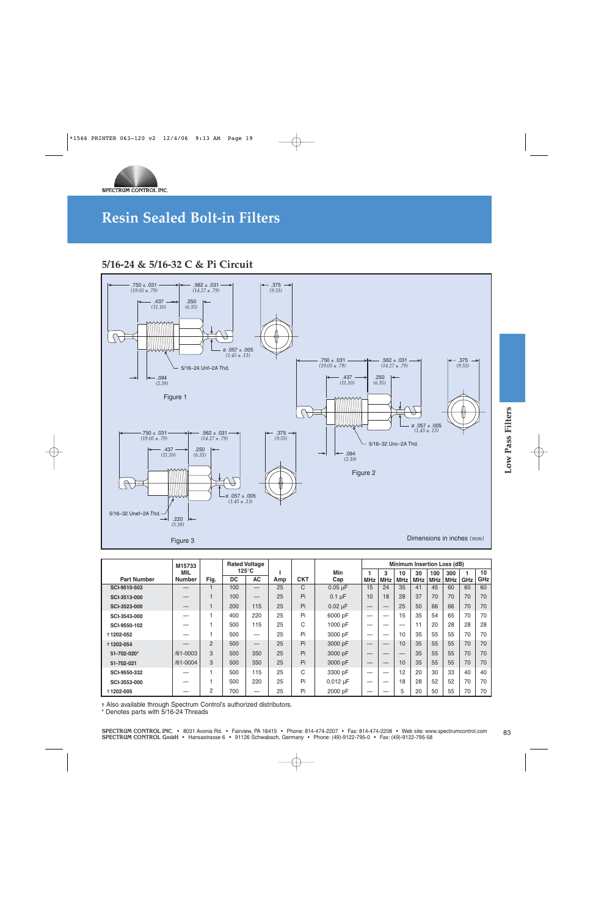

### **5/16-24 & 5/16-32 C & Pi Circuit**



|                    | M15733        |                |           | <b>Rated Voltage</b> |     |            |               |            |            |            | <b>Minimum Insertion Loss (dB)</b> |     |            |            |     |
|--------------------|---------------|----------------|-----------|----------------------|-----|------------|---------------|------------|------------|------------|------------------------------------|-----|------------|------------|-----|
|                    | <b>MIL</b>    |                |           | $125^{\circ}$ C      |     |            | Min           |            | 3          | 10         | 30                                 | 100 | 300        |            | 10  |
| <b>Part Number</b> | <b>Number</b> | Fig.           | <b>DC</b> | <b>AC</b>            | Amp | <b>CKT</b> | Cap           | <b>MHz</b> | <b>MHz</b> | <b>MHz</b> | <b>MHz</b>                         | MHz | <b>MHz</b> | <b>GHz</b> | GHz |
| SCI-9510-503       | —             |                | 100       |                      | 25  | C.         | $0.05 \mu F$  | 15         | 24         | 35         | 41                                 | 45  | 60         | 60         | 60  |
| SCI-3513-000       |               |                | 100       |                      | 25  | Pi         | $0.1 \mu F$   | 10         | 18         | 28         | 37                                 | 70  | 70         | 70         | 70  |
| SCI-3523-000       |               |                | 200       | 115                  | 25  | Pi         | $0.02 \mu F$  |            |            | 25         | 50                                 | 66  | 66         | 70         | 70  |
| SCI-3543-000       |               |                | 400       | 220                  | 25  | Pi         | 6000 pF       | –          |            | 15         | 35                                 | 54  | 65         | 70         | 70  |
| SCI-9550-102       |               |                | 500       | 115                  | 25  | C          | 1000 pF       | –          | _          | _          | 11                                 | 20  | 28         | 28         | 28  |
| +1202-052          |               |                | 500       | —                    | 25  | Pi         | 3000 pF       | –          |            | 10         | 35                                 | 55  | 55         | 70         | 70  |
| +1202-054          |               | $\overline{2}$ | 500       | –                    | 25  | Pi         | 3000 pF       |            |            | 10         | 35                                 | 55  | 55         | 70         | 70  |
| 51-702-020*        | /61-0003      | 3              | 500       | 350                  | 25  | Pi         | 3000 pF       |            |            |            | 35                                 | 55  | 55         | 70         | 70  |
| 51-702-021         | $/61 - 0004$  | 3              | 500       | 350                  | 25  | Pi         | 3000 pF       |            |            | 10         | 35                                 | 55  | 55         | 70         | 70  |
| SCI-9550-332       |               |                | 500       | 115                  | 25  | C          | 3300 pF       | –          |            | 12         | 20                                 | 30  | 33         | 40         | 40  |
| SCI-3553-000       |               |                | 500       | 220                  | 25  | Pi         | $0.012 \mu F$ | _          |            | 18         | 28                                 | 52  | 52         | 70         | 70  |
| +1202-005          |               | 2              | 700       |                      | 25  | Pi         | 2000 pF       | –          |            | 5          | 20                                 | 50  | 55         | 70         | 70  |

✝ Also available through Spectrum Control's authorized distributors. **\*** Denotes parts with 5/16-24 Threads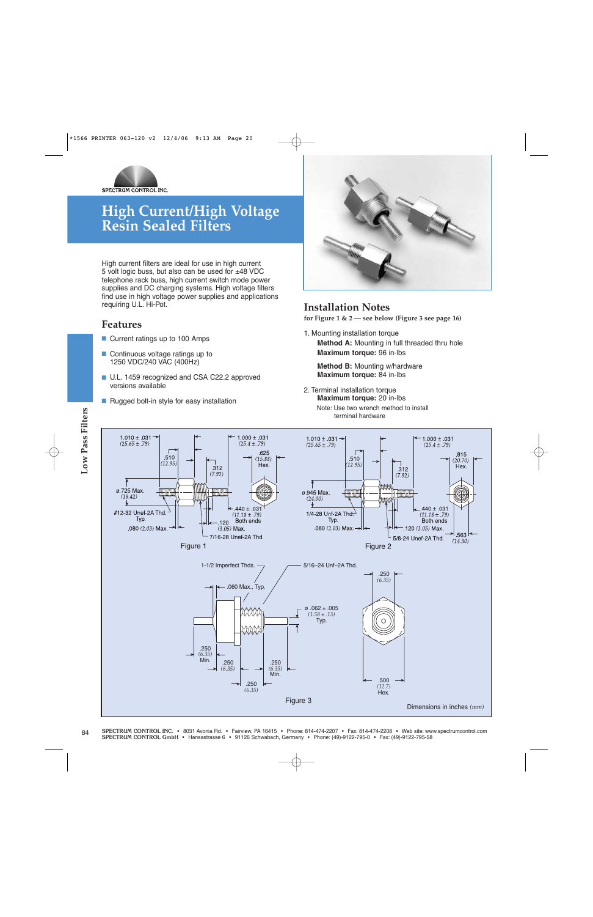

### **High Current/High Voltage Resin Sealed Filters**

High current filters are ideal for use in high current 5 volt logic buss, but also can be used for  $±48$  VDC telephone rack buss, high current switch mode power supplies and DC charging systems. High voltage filters find use in high voltage power supplies and applications requiring U.L. Hi-Pot.

#### **Features**

- Current ratings up to 100 Amps
- Continuous voltage ratings up to 1250 VDC/240 VAC (400Hz)
- U.L. 1459 recognized and CSA C22.2 approved versions available
- Rugged bolt-in style for easy installation



#### **Installation Notes**

**for Figure 1 & 2 — see below (Figure 3 see page 16)** 

1. Mounting installation torque **Method A:** Mounting in full threaded thru hole **Maximum torque:** 96 in-lbs

**Method B:** Mounting w/hardware **Maximum torque:** 84 in-lbs

2. Terminal installation torque **Maximum torque:** 20 in-lbs

Note: Use two wrench method to install terminal hardware

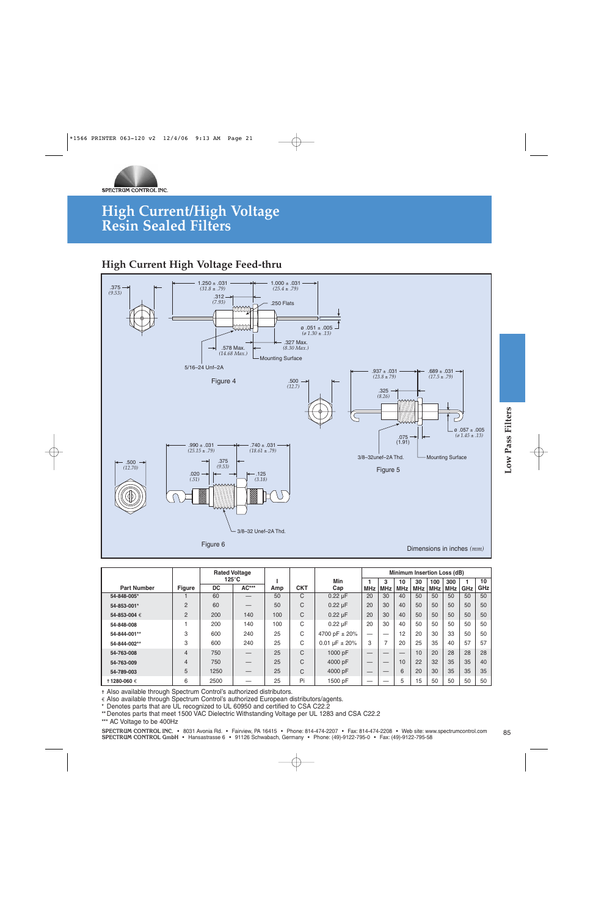

### **High Current/High Voltage Resin Sealed Filters**

### **High Current High Voltage Feed-thru**



|                    |                | <b>Rated Voltage</b> |       |                          |                   |                    |            |                |            | Minimum Insertion Loss (dB) |            |            |     |     |
|--------------------|----------------|----------------------|-------|--------------------------|-------------------|--------------------|------------|----------------|------------|-----------------------------|------------|------------|-----|-----|
|                    |                | $125^{\circ}$ C      |       |                          |                   | Min                |            | 3              | 10         | 30                          | 100        | 300        |     | 10  |
| <b>Part Number</b> | <b>Figure</b>  | <b>DC</b>            | AC*** | Amp                      | <b>CKT</b>        | Cap                | <b>MHz</b> | <b>MHz</b>     | <b>MHz</b> | <b>MHz</b>                  | <b>MHz</b> | <b>MHz</b> | GHz | GHz |
| 54-848-005*        |                | 60                   |       | 50                       | C                 | $0.22 \mu F$       | 20         | 30             | 40         | 50                          | 50         | 50         | 50  | 50  |
| 54-853-001*        | $\overline{2}$ | 60                   | –     | 50                       | C                 | $0.22 \mu F$       | 20         | 30             | 40         | 50                          | 50         | 50         | 50  | 50  |
| 54-853-004 €       | $\overline{2}$ | 200                  | 140   | C<br>100<br>$0.22 \mu F$ |                   |                    | 20         | 30             | 40         | 50                          | 50         | 50         | 50  | 50  |
| 54-848-008         |                | 200                  | 140   | 100                      | C<br>$0.22 \mu F$ |                    | 20         | 30             | 40         | 50                          | 50         | 50         | 50  | 50  |
| 54-844-001**       | 3              | 600                  | 240   | 25                       | C                 | 4700 pF ± 20%      |            |                | 12         | 20                          | 30         | 33         | 50  | 50  |
| 54-844-002**       | 3              | 600                  | 240   | 25                       | C                 | 0.01 $\mu$ F ± 20% | 3          | $\overline{7}$ | 20         | 25                          | 35         | 40         | 57  | 57  |
| 54-763-008         | $\overline{4}$ | C<br>25<br>750       |       | 1000 pF                  |                   | __                 |            | 10             | 20         | 28                          | 28         | 28         |     |     |
| 54-763-009         | 4              | 750                  |       | 25                       | C                 | 4000 pF            |            |                | 10         | 22                          | 32         | 35         | 35  | 40  |
| 54-789-003         | 5              | 1250                 | —     | 25                       | C                 | 4000 pF            |            |                | 6          | 20                          | 30         | 35         | 35  | 35  |
| 11280-060€         | 6              | 2500                 |       | 25                       | Pi                | 1500 pF            |            |                | 5          | 15                          | 50         | 50         | 50  | 50  |

✝ Also available through Spectrum Control's authorized distributors.

€ Also available through Spectrum Control's authorized European distributors/agents.

**\*** Denotes parts that are UL recognized to UL 60950 and certified to CSA C22.2

**\*\*** Denotes parts that meet 1500 VAC Dielectric Withstanding Voltage per UL 1283 and CSA C22.2

**\*\*\*** AC Voltage to be 400Hz

SPECTRUM CONTROL INC. • 8031 Avonia Rd. • Fairview, PA 16415 • Phone: 814-474-2207 • Fax: 814-474-2208 • Web site: www.spectrumcontrol.com<br>SPECTRUM CONTROL GmbH • Hansastrasse 6 • 91126 Schwabach, Germany • Phone: (49)-912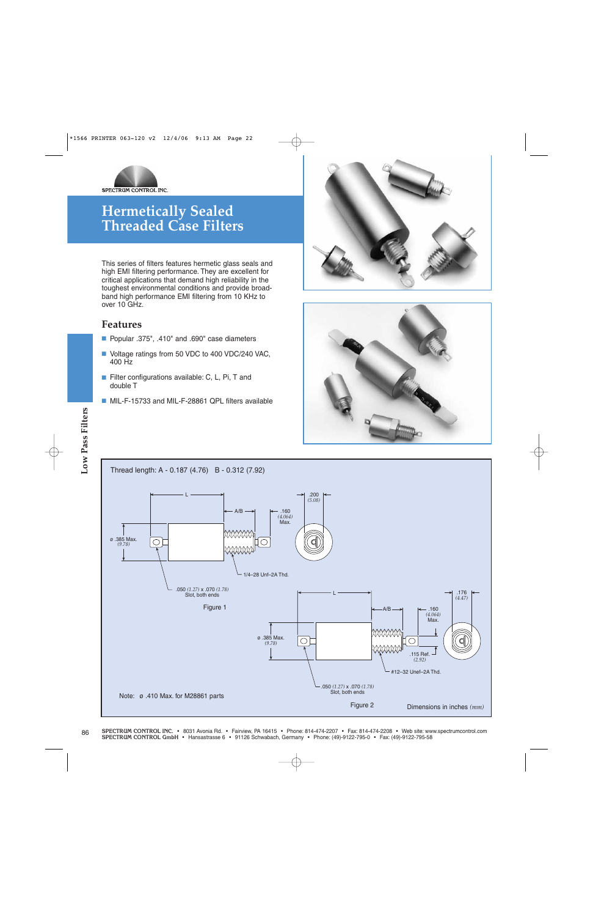

This series of filters features hermetic glass seals and high EMI filtering performance. They are excellent for critical applications that demand high reliability in the toughest environmental conditions and provide broadband high performance EMI filtering from 10 KHz to over 10 GHz.

#### **Features**

- Popular .375", .410" and .690" case diameters
- Voltage ratings from 50 VDC to 400 VDC/240 VAC, 400 Hz
- Filter configurations available: C, L, Pi, T and double T
- MIL-F-15733 and MIL-F-28861 QPL filters available





#### **SPECTRUM CONTROL (PC. • 8012-795-0 • 91126 Schwabach, Germany • Phone: (49)-9122-795-0 • Phone: (49)-912-795-0 • 912-795-0 • 912-795-0 • 912-795-0 • 912-795-0 • 912-795-0 • Fax: (49)-912-795-0 • 912-795-0 • 912-795-0 • 91** Thread length: A - 0.187 (4.76) B - 0.312 (7.92) L .200 *(5.08)* A/B .160 *(4.064)* Max. ø .385 Max. *(9.78)* 1/4–28 Unf–2A Thd. .050 *(1.27)* x .070 *(1.78)* Slot, both ends L .176 *(4.47)* Figure 1 . The contract of the contract of  $\leftarrow$  A/B  $\rightarrow$  . The contract of the contract of the contract of the contract of the contract of the contract of the contract of the contract of the contract of the contract of t A/B *(4.064)* Max. ø .385 Max.  $\mathbb{Q}$ *(9.78)* .115 Ref. *(2.92)* #12–32 Unef–2A Thd. .050 *(1.27)* x .070 *(1.78)* Slot, both ends Note: ø .410 Max. for M28861 parts Figure 2 Dimensions in inches *(mm)*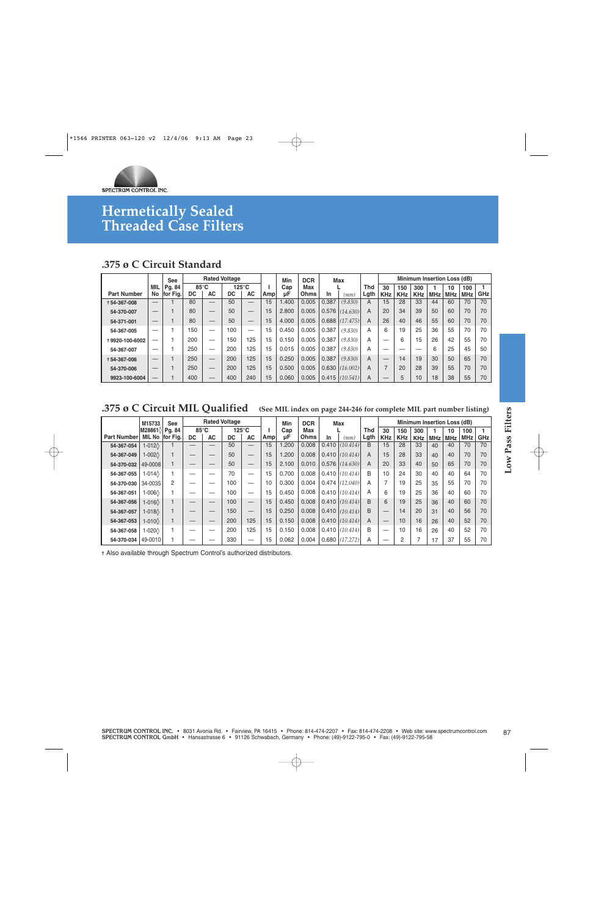

### **.375 ø C Circuit Standard**

|                    |     | <b>See</b> |                |    | <b>Rated Voltage</b> |                 |     | Min   | <b>DCR</b>  |       | Max      |      |            |            |                 |     | <b>Minimum Insertion Loss (dB)</b> |            |            |
|--------------------|-----|------------|----------------|----|----------------------|-----------------|-----|-------|-------------|-------|----------|------|------------|------------|-----------------|-----|------------------------------------|------------|------------|
|                    | MIL | Pg. 84     | $85^{\circ}$ C |    |                      | $125^{\circ}$ C |     | Cap   | Max         |       |          | Thd  | 30         | 150        | 300             |     | 10                                 | 100        |            |
| <b>Part Number</b> | No  | for Fig.   | DC             | AC | DC                   | AC              | Amp | цF    | <b>Ohms</b> | In    | mm)      | Lgth | <b>KHz</b> | <b>KHz</b> | <b>KHz</b>      | MHz | <b>MHz</b>                         | <b>MHz</b> | <b>GHz</b> |
| +54-367-008        | –   |            | 80             |    | 50                   |                 | 15  | .400  | 0.005       | 0.387 | (9.830)  | A    | 15         | 28         | 33              | 44  | 60                                 | 70         | 70         |
| 54-370-007         |     |            | 80             |    | 50                   |                 | 15  | 2.800 | 0.005       | 0.576 | (14.630) | A    | 20         | 34         | 39              | 50  | 60                                 | 70         | 70         |
| 54-371-001         | _   |            | 80             | –  | 50                   |                 | 15  | 4.000 | 0.005       | 0.688 | (17.475) | A    | 26         | 40         | 46              | 55  | 60                                 | 70         | 70         |
| 54-367-005         | –   |            | 150            |    | 100                  |                 | 15  | 0.450 | 0.005       | 0.387 | (9.830)  | A    | 6          | 19         | 25              | 36  | 55                                 | 70         | 70         |
| +9920-100-6002     | –   |            | 200            |    | 150                  | 125             | 15  | 0.150 | 0.005       | 0.387 | (9.830)  | A    | –          | 6          | 15              | 26  | 42                                 | 55         | 70         |
| 54-367-007         | –   |            | 250            |    | 200                  | 125             | 15  | 0.015 | 0.005       | 0.387 | (9.830)  | A    |            |            |                 | 6   | 25                                 | 45         | 50         |
| +54-367-006        |     |            | 250            |    | 200                  | 125             | 15  | 0.250 | 0.005       | 0.387 | (9.830)  | A    |            | 14         | 19              | 30  | 50                                 | 65         | 70         |
| 54-370-006         |     |            | 250            | _  | 200                  | 125             | 15  | 0.500 | 0.005       | 0.630 | (16.002) | A    |            | 20         | 28              | 39  | 55                                 | 70         | 70         |
| 9923-100-6004      | –   |            | 400            |    | 400                  | 240             | 15  | 0.060 | 0.005       | 0.415 | (10.541) | A    |            | 5          | 10 <sup>°</sup> | 18  | 38                                 | 55         | 70         |

### **.375 ø C Circuit MIL Qualified (See MIL index on page 244-246 for complete MIL part number listing)**

| M28861\<br>Pg. 84<br>85°C<br>$125^{\circ}$ C<br>Cap<br>Max<br><b>Thd</b><br>$\mathbf{1}$<br>30<br>150<br>300<br>100<br>1<br>10<br>Lgth<br>MIL No for Fig.<br>Ohms<br><b>DC</b><br><b>AC</b><br><b>DC</b><br>AC<br>Amp<br>μF<br>In<br><b>KHz</b><br><b>KHz</b><br>GHz<br>(mm)<br><b>KHz</b><br><b>MHz</b><br><b>MHz</b><br><b>MHz</b><br>50<br>15<br>1.200<br>0.008<br>0.410   (10.414)<br>B<br>70<br>70<br>1<br>15<br>28<br>33<br>40<br>1-012 $\Diamond$<br>$\overline{\phantom{0}}$<br>40<br>$1-002$<br>50<br>1.200<br>0.008<br>$0.410$ (10.414)<br>15<br>33<br>40<br>70<br>70<br>1<br>15<br>A<br>28<br>40<br>$\qquad \qquad -$<br>15<br>2.100<br>0.010<br>$0.576$ (14.630)<br>20<br>33<br>40<br>65<br>70<br>70<br>49-0008<br>$\mathbf{1}$<br>50<br>Α<br>50<br>$\qquad \qquad -$<br>$\overline{\phantom{0}}$<br>$\overline{\phantom{0}}$<br>0.700<br>0.008<br>0.410   (10.414)<br>B<br>10<br>24<br>64<br>70<br>1<br>70<br>15<br>30<br>40<br>1-014 $\Diamond$<br>40<br>$\overline{\phantom{0}}$<br>$\overline{\phantom{m}}$<br>0.300<br>0.004<br>$0.474$ (12.040)<br>$\overline{7}$<br>34-0035<br>10<br>19<br>25<br>55<br>70<br>70<br>2<br>100<br>A<br>35<br>$\overline{\phantom{0}}$<br>—<br>1<br>0.450<br>0.008<br>0.410   (10.414)<br>6<br>70<br>100<br>15<br>A<br>19<br>25<br>40<br>60<br>1-006 $\Diamond$<br>36<br>$\overline{\phantom{0}}$<br>-<br>0.410   (10.414)<br>70<br>$1-016\Diamond$<br>$\mathbf{1}$<br>15<br>0.450<br>0.008<br>B<br>6<br>19<br>25<br>40<br>60<br>100<br>36<br>$\overline{\phantom{0}}$<br>$1-018$<br>0.250<br>0.008<br>$0.410$ (10.414)<br>14<br>56<br>70<br>$\mathbf{1}$<br>150<br>15<br>B<br>20<br>31<br>40<br>$\overline{\phantom{0}}$<br>0.150<br>0.008<br>52<br>200<br>125<br>15<br>0.410   (10.414)<br>10<br>40<br>70<br>$1-010\Diamond$<br>1<br>Α<br>16<br>26<br>$\qquad \qquad -$<br>$\qquad \qquad -$<br>1-020 $\Diamond$<br>15<br>0.150<br>0.008<br>$0.410$ (10.414)<br>B<br>52<br>70<br>1<br>200<br>125<br>10<br>16<br>40<br>26<br>$\overline{\phantom{0}}$<br>-<br>330<br>15<br>0.062<br>0.004<br>0.680   (17.272)<br>2<br>$\overline{7}$<br>37<br>55<br>49-0010<br>1<br>A<br>70<br>$\overbrace{\phantom{1232211}}$<br>17<br>$\overline{\phantom{0}}$<br>$\overline{\phantom{0}}$ | <b>Part Number</b><br>54-367-054<br>54-367-049<br>54-370-032<br>54-367-057<br>54-367-053<br>54-370-034<br>+ Also available through Spectrum Control's authorized distributors. |            | M15733 | See | <b>Rated Voltage</b> |  | Min | <b>DCR</b> | Max |  | Minimum Insertion Loss (dB) |  |  |
|------------------------------------------------------------------------------------------------------------------------------------------------------------------------------------------------------------------------------------------------------------------------------------------------------------------------------------------------------------------------------------------------------------------------------------------------------------------------------------------------------------------------------------------------------------------------------------------------------------------------------------------------------------------------------------------------------------------------------------------------------------------------------------------------------------------------------------------------------------------------------------------------------------------------------------------------------------------------------------------------------------------------------------------------------------------------------------------------------------------------------------------------------------------------------------------------------------------------------------------------------------------------------------------------------------------------------------------------------------------------------------------------------------------------------------------------------------------------------------------------------------------------------------------------------------------------------------------------------------------------------------------------------------------------------------------------------------------------------------------------------------------------------------------------------------------------------------------------------------------------------------------------------------------------------------------------------------------------------------------------------------------------------------------------------------------------------------------------------------------------------------------------------------------------------------------------------------------------------|--------------------------------------------------------------------------------------------------------------------------------------------------------------------------------|------------|--------|-----|----------------------|--|-----|------------|-----|--|-----------------------------|--|--|
|                                                                                                                                                                                                                                                                                                                                                                                                                                                                                                                                                                                                                                                                                                                                                                                                                                                                                                                                                                                                                                                                                                                                                                                                                                                                                                                                                                                                                                                                                                                                                                                                                                                                                                                                                                                                                                                                                                                                                                                                                                                                                                                                                                                                                              |                                                                                                                                                                                |            |        |     |                      |  |     |            |     |  |                             |  |  |
|                                                                                                                                                                                                                                                                                                                                                                                                                                                                                                                                                                                                                                                                                                                                                                                                                                                                                                                                                                                                                                                                                                                                                                                                                                                                                                                                                                                                                                                                                                                                                                                                                                                                                                                                                                                                                                                                                                                                                                                                                                                                                                                                                                                                                              |                                                                                                                                                                                |            |        |     |                      |  |     |            |     |  |                             |  |  |
|                                                                                                                                                                                                                                                                                                                                                                                                                                                                                                                                                                                                                                                                                                                                                                                                                                                                                                                                                                                                                                                                                                                                                                                                                                                                                                                                                                                                                                                                                                                                                                                                                                                                                                                                                                                                                                                                                                                                                                                                                                                                                                                                                                                                                              |                                                                                                                                                                                |            |        |     |                      |  |     |            |     |  |                             |  |  |
|                                                                                                                                                                                                                                                                                                                                                                                                                                                                                                                                                                                                                                                                                                                                                                                                                                                                                                                                                                                                                                                                                                                                                                                                                                                                                                                                                                                                                                                                                                                                                                                                                                                                                                                                                                                                                                                                                                                                                                                                                                                                                                                                                                                                                              |                                                                                                                                                                                |            |        |     |                      |  |     |            |     |  |                             |  |  |
|                                                                                                                                                                                                                                                                                                                                                                                                                                                                                                                                                                                                                                                                                                                                                                                                                                                                                                                                                                                                                                                                                                                                                                                                                                                                                                                                                                                                                                                                                                                                                                                                                                                                                                                                                                                                                                                                                                                                                                                                                                                                                                                                                                                                                              |                                                                                                                                                                                | 54-367-055 |        |     |                      |  |     |            |     |  |                             |  |  |
|                                                                                                                                                                                                                                                                                                                                                                                                                                                                                                                                                                                                                                                                                                                                                                                                                                                                                                                                                                                                                                                                                                                                                                                                                                                                                                                                                                                                                                                                                                                                                                                                                                                                                                                                                                                                                                                                                                                                                                                                                                                                                                                                                                                                                              |                                                                                                                                                                                | 54-370-030 |        |     |                      |  |     |            |     |  |                             |  |  |
|                                                                                                                                                                                                                                                                                                                                                                                                                                                                                                                                                                                                                                                                                                                                                                                                                                                                                                                                                                                                                                                                                                                                                                                                                                                                                                                                                                                                                                                                                                                                                                                                                                                                                                                                                                                                                                                                                                                                                                                                                                                                                                                                                                                                                              |                                                                                                                                                                                | 54-367-051 |        |     |                      |  |     |            |     |  |                             |  |  |
|                                                                                                                                                                                                                                                                                                                                                                                                                                                                                                                                                                                                                                                                                                                                                                                                                                                                                                                                                                                                                                                                                                                                                                                                                                                                                                                                                                                                                                                                                                                                                                                                                                                                                                                                                                                                                                                                                                                                                                                                                                                                                                                                                                                                                              |                                                                                                                                                                                | 54-367-056 |        |     |                      |  |     |            |     |  |                             |  |  |
|                                                                                                                                                                                                                                                                                                                                                                                                                                                                                                                                                                                                                                                                                                                                                                                                                                                                                                                                                                                                                                                                                                                                                                                                                                                                                                                                                                                                                                                                                                                                                                                                                                                                                                                                                                                                                                                                                                                                                                                                                                                                                                                                                                                                                              |                                                                                                                                                                                |            |        |     |                      |  |     |            |     |  |                             |  |  |
|                                                                                                                                                                                                                                                                                                                                                                                                                                                                                                                                                                                                                                                                                                                                                                                                                                                                                                                                                                                                                                                                                                                                                                                                                                                                                                                                                                                                                                                                                                                                                                                                                                                                                                                                                                                                                                                                                                                                                                                                                                                                                                                                                                                                                              |                                                                                                                                                                                |            |        |     |                      |  |     |            |     |  |                             |  |  |
|                                                                                                                                                                                                                                                                                                                                                                                                                                                                                                                                                                                                                                                                                                                                                                                                                                                                                                                                                                                                                                                                                                                                                                                                                                                                                                                                                                                                                                                                                                                                                                                                                                                                                                                                                                                                                                                                                                                                                                                                                                                                                                                                                                                                                              |                                                                                                                                                                                | 54-367-058 |        |     |                      |  |     |            |     |  |                             |  |  |
|                                                                                                                                                                                                                                                                                                                                                                                                                                                                                                                                                                                                                                                                                                                                                                                                                                                                                                                                                                                                                                                                                                                                                                                                                                                                                                                                                                                                                                                                                                                                                                                                                                                                                                                                                                                                                                                                                                                                                                                                                                                                                                                                                                                                                              |                                                                                                                                                                                |            |        |     |                      |  |     |            |     |  |                             |  |  |
|                                                                                                                                                                                                                                                                                                                                                                                                                                                                                                                                                                                                                                                                                                                                                                                                                                                                                                                                                                                                                                                                                                                                                                                                                                                                                                                                                                                                                                                                                                                                                                                                                                                                                                                                                                                                                                                                                                                                                                                                                                                                                                                                                                                                                              |                                                                                                                                                                                |            |        |     |                      |  |     |            |     |  |                             |  |  |
|                                                                                                                                                                                                                                                                                                                                                                                                                                                                                                                                                                                                                                                                                                                                                                                                                                                                                                                                                                                                                                                                                                                                                                                                                                                                                                                                                                                                                                                                                                                                                                                                                                                                                                                                                                                                                                                                                                                                                                                                                                                                                                                                                                                                                              |                                                                                                                                                                                |            |        |     |                      |  |     |            |     |  |                             |  |  |
|                                                                                                                                                                                                                                                                                                                                                                                                                                                                                                                                                                                                                                                                                                                                                                                                                                                                                                                                                                                                                                                                                                                                                                                                                                                                                                                                                                                                                                                                                                                                                                                                                                                                                                                                                                                                                                                                                                                                                                                                                                                                                                                                                                                                                              |                                                                                                                                                                                |            |        |     |                      |  |     |            |     |  |                             |  |  |
|                                                                                                                                                                                                                                                                                                                                                                                                                                                                                                                                                                                                                                                                                                                                                                                                                                                                                                                                                                                                                                                                                                                                                                                                                                                                                                                                                                                                                                                                                                                                                                                                                                                                                                                                                                                                                                                                                                                                                                                                                                                                                                                                                                                                                              |                                                                                                                                                                                |            |        |     |                      |  |     |            |     |  |                             |  |  |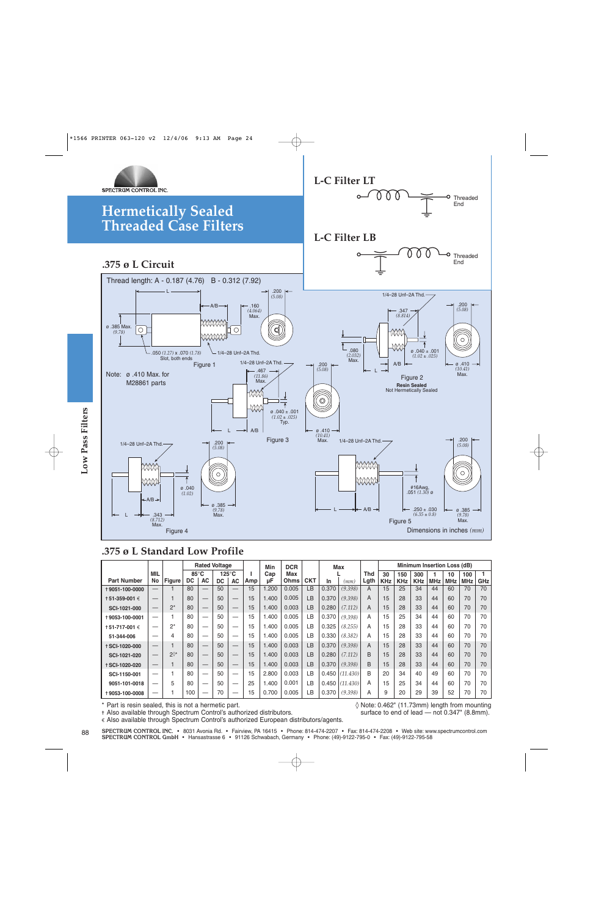

### **.375 ø L Standard Low Profile**

| 1/4-28 Unf-2A Thd.<br>laaaan<br>MANAH<br>$\leftarrow$ A/B $\rightarrow$                                       | .343<br>(8.712)<br>Max. | Figure 4     | 040.0<br>(1.02) |                                       | .200<br>(5.08)<br>$\circ$<br>Ø.385<br>(9.78)<br>Max. |                          |           | Figure 3    |               |                               | (10.41)<br>Max. | 1/4-28 Unf-2A Thd. | hnnnn<br>MMMA<br>$A/B \rightarrow$ |                               | Figure 5                      | #16Awg,<br>$.051~(1.3\bar{0})$ ø<br>$.250 \pm .030$<br>$(6.35 \pm 0.8)$ |                  | Dimensions in inches $(mm)$ | .200<br>(5.08)<br>$\circ$<br>Ø.385<br>(9.78)<br>Max. |                                  |
|---------------------------------------------------------------------------------------------------------------|-------------------------|--------------|-----------------|---------------------------------------|------------------------------------------------------|--------------------------|-----------|-------------|---------------|-------------------------------|-----------------|--------------------|------------------------------------|-------------------------------|-------------------------------|-------------------------------------------------------------------------|------------------|-----------------------------|------------------------------------------------------|----------------------------------|
| .375 ø L Standard Low Profile                                                                                 |                         |              |                 |                                       | <b>Rated Voltage</b>                                 |                          |           | Min         | <b>DCR</b>    |                               |                 | Max                |                                    |                               |                               |                                                                         |                  | Minimum Insertion Loss (dB) |                                                      |                                  |
| <b>Part Number</b>                                                                                            | <b>MIL</b>              |              | 85°C            |                                       | $125^{\circ}$ C                                      |                          | L.        | Cap         | Max           |                               |                 |                    | <b>Thd</b>                         | 30                            | 150                           | 300                                                                     | $\mathbf{1}$     | 10                          | 100                                                  | 1                                |
|                                                                                                               |                         |              |                 |                                       |                                                      |                          |           |             |               |                               |                 |                    |                                    |                               |                               |                                                                         |                  |                             |                                                      |                                  |
|                                                                                                               | No                      | Figure       | DC<br>80        | <b>AC</b><br>$\overline{\phantom{0}}$ | <b>DC</b><br>50                                      | <b>AC</b>                | Amp<br>15 | μF<br>1.200 | Ohms<br>0.005 | <b>CKT</b><br>$\overline{LB}$ | In<br>0.370     | (mm)<br>(9.398)    | Lgth<br>$\overline{A}$             | <b>KHz</b><br>$\overline{15}$ | <b>KHz</b><br>$\overline{25}$ | <b>KHz</b><br>34                                                        | <b>MHz</b><br>44 | <b>MHz</b><br>60            | <b>MHz</b><br>70                                     |                                  |
|                                                                                                               |                         | $\mathbf{1}$ | 80              |                                       | 50                                                   |                          | 15        | 1.400       | 0.005         | LB                            | 0.370           | (9.398)            | A                                  | 15                            | 28                            | 33                                                                      | 44               | 60                          | 70                                                   |                                  |
| SCI-1021-000                                                                                                  |                         | $2^*$        | 80              |                                       | 50                                                   | $\overline{\phantom{0}}$ | 15        | 1.400       | 0.003         | LB                            | 0.280           | (7.112)            | A                                  | 15                            | 28                            | 33                                                                      | 44               | 60                          | 70                                                   |                                  |
|                                                                                                               |                         | 1            | 80              |                                       | 50                                                   | $\overline{\phantom{0}}$ | 15        | 1.400       | 0.005         | LB                            | 0.370           | (9.398)            | A                                  | 15                            | 25                            | 34                                                                      | 44               | 60                          | 70                                                   | GHz<br>70<br>70<br>70<br>70      |
|                                                                                                               |                         | $2^*$        | 80              |                                       | 50                                                   | $\overline{\phantom{0}}$ | 15        | 1.400       | 0.005         | LB                            | 0.325           | (8.255)            | A                                  | 15                            | 28                            | 33                                                                      | 44               | 60                          | 70                                                   |                                  |
| 51-344-006                                                                                                    |                         | 4            | 80              |                                       | 50                                                   | $\overline{\phantom{0}}$ | 15        | 1.400       | 0.005         | LB                            | 0.330           | (8.382)            | A                                  | 15                            | 28                            | 33                                                                      | 44               | 60                          | 70                                                   |                                  |
|                                                                                                               |                         | 1            | 80              | $\overline{\phantom{0}}$              | 50                                                   |                          | 15        | 1.400       | 0.003         | LB                            | 0.370           | (9.398)            | A                                  | 15                            | 28                            | 33                                                                      | 44               | 60                          | 70                                                   |                                  |
| SCI-1021-020                                                                                                  |                         | 2◊*          | 80              |                                       | 50                                                   | $\overline{\phantom{m}}$ | 15        | 1.400       | 0.003         | LB                            | 0.280           | (7.112)            | B                                  | 15                            | 28                            | 33                                                                      | 44               | 60                          | 70                                                   |                                  |
| +9051-100-0000<br>† 51-359-001 €<br>+9053-100-0001<br>† 51-717-001 €<br><b>+SCI-1020-000</b><br>+SCI-1020-020 |                         | $\mathbf{1}$ | 80              | $\overline{\phantom{0}}$              | 50                                                   |                          | 15        | 1.400       | 0.003         | LB                            | 0.370           | (9.398)            | B                                  | 15                            | 28                            | 33                                                                      | 44               | 60                          | 70                                                   |                                  |
| SCI-1150-001                                                                                                  |                         | 1            | 80              | $\equiv$                              | 50                                                   | $\overline{\phantom{0}}$ | 15        | 2.800       | 0.003         | LB                            | 0.450           | (11.430)           | B                                  | 20                            | 34                            | 40                                                                      | 49               | 60                          | 70                                                   | 70<br>70<br>70<br>70<br>70<br>70 |
| 9051-101-0018                                                                                                 |                         | 5            | 80              |                                       | 50                                                   | $\overline{\phantom{0}}$ | 25        | 1.400       | 0.001         | LB                            | 0.450           | (11.430)           | A                                  | 15                            | 25                            | 34                                                                      | 44               | 60                          | 70                                                   | 70                               |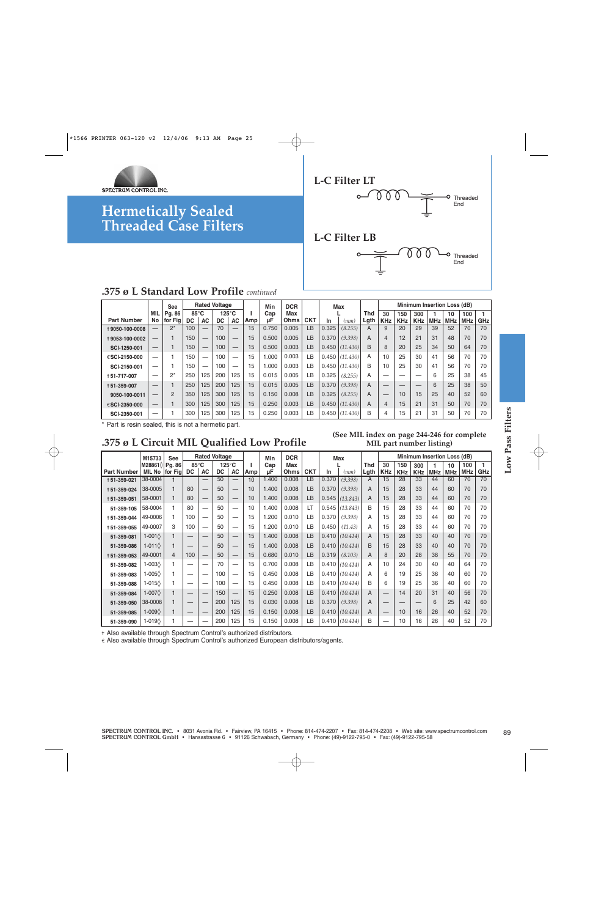



End



|                    |                                | <b>See</b>     |      |     | <b>Rated Voltage</b> |                 |     | Min   | <b>DCR</b> |            |       | Max      |      |                |            |            |            | <b>Minimum Insertion Loss (dB)</b> |            |     |
|--------------------|--------------------------------|----------------|------|-----|----------------------|-----------------|-----|-------|------------|------------|-------|----------|------|----------------|------------|------------|------------|------------------------------------|------------|-----|
|                    | MIL                            | Pg. 86         | 85°C |     |                      | $125^{\circ}$ C |     | Cap   | Max        |            |       |          | Thd  | 30             | 150        | 300        |            | 10                                 | 100        |     |
| <b>Part Number</b> | No                             | for Fig        | DC.  | AC  | DC.                  | AC              | Amp | μF    | Ohms       | <b>CKT</b> | In    | (mm)     | Lgth | <b>KHz</b>     | <b>KHz</b> | <b>KHz</b> | <b>MHz</b> | <b>MHz</b>                         | <b>MHz</b> | GHz |
| +9050-100-0008     | $\overline{\phantom{0}}$       | $2^*$          | 100  |     | 70                   |                 | 15  | 0.750 | 0.005      | LВ         | 0.325 | (8.255)  | A    | 9              | 20         | 29         | 39         | 52                                 | 70         | 70  |
| +9053-100-0002     |                                |                | 150  |     | 100                  |                 | 15  | 0.500 | 0.005      | LB         | 0.370 | (9.398)  | A    | $\overline{4}$ | 12         | 21         | 31         | 48                                 | 70         | 70  |
| SCI-1250-001       | $\qquad \qquad \longleftarrow$ |                | 150  |     | 100                  |                 | 15  | 0.500 | 0.003      | LB         | 0.450 | (11.430) | B    | 8              | 20         | 25         | 34         | 50                                 | 64         | 70  |
| €SCI-2150-000      | –                              |                | 150  | -   | 100                  | -               | 15  | .000  | 0.003      | LВ         | 0.450 | (11.430) | A    | 10             | 25         | 30         | 41         | 56                                 | 70         | 70  |
| SCI-2150-001       | —                              |                | 150  | _   | 100                  |                 | 15  | .000  | 0.003      | ιB.        | 0.450 | (11.430) | B    | 10             | 25         | 30         | 41         | 56                                 | 70         | 70  |
| +51-717-007        |                                | $2^*$          | 250  | 125 | 200                  | 125             | 15  | 0.015 | 0.005      | LВ         | 0.325 | (8.255)  | A    | _              |            |            | 6          | 25                                 | 38         | 45  |
| +51-359-007        |                                |                | 250  | 125 | 200                  | 125             | 15  | 0.015 | 0.005      | LB         | 0.370 | (9.398)  | A    |                |            |            | 6          | 25                                 | 38         | 50  |
| 9050-100-0011      |                                | $\overline{2}$ | 350  | 125 | 300                  | 125             | 15  | 0.150 | 0.008      | LB         | 0.325 | (8.255)  | A    |                | 10         | 15         | 25         | 40                                 | 52         | 60  |
| €SCI-2350-000      |                                |                | 300  | 125 | 300                  | 125             | 15  | 0.250 | 0.003      | LB         | 0.450 | (11.430) | A    | 4              | 15         | 21         | 31         | 50                                 | 70         | 70  |
| SCI-2350-001       | —                              |                | 300  | 125 | 300                  | 125             | 15  | 0.250 | 0.003      | LВ         | 0.450 | (11.430) | B    | 4              | 5          | 21         | 31         | 50                                 | 70         | 70  |

### **.375 ø L Circuit MIL Qualified Low Profile**

#### **(See MIL index on page 244-246 for complete MIL part number listing)**

|                                                                                                                                                              | M15733                           | <b>See</b>     |            |                          | <b>Rated Voltage</b> |                              |          | Min       | <b>DCR</b>  |            |       | <b>Max</b>       |                    |                  |                   |                   |                 | Minimum Insertion Loss (dB) |                   |          |
|--------------------------------------------------------------------------------------------------------------------------------------------------------------|----------------------------------|----------------|------------|--------------------------|----------------------|------------------------------|----------|-----------|-------------|------------|-------|------------------|--------------------|------------------|-------------------|-------------------|-----------------|-----------------------------|-------------------|----------|
| <b>Part Number</b>                                                                                                                                           | M28861\2 Pg. 86<br><b>MIL No</b> | for Fig        | 85°C<br>DC | <b>AC</b>                | DC                   | $125^{\circ}$ C<br><b>AC</b> | т<br>Amp | Cap<br>μF | Max<br>Ohms | <b>CKT</b> | In    | (mm)             | <b>Thd</b><br>Lgth | 30<br><b>KHz</b> | 150<br><b>KHz</b> | 300<br><b>KHz</b> | 1<br><b>MHz</b> | 10<br><b>MHz</b>            | 100<br><b>MHz</b> | 1<br>GHz |
| +51-359-021                                                                                                                                                  | 38-0004                          | 1              |            |                          | 50                   |                              | 10       | 1.400     | 0.008       | LВ         | 0.370 | (9.398)          | A                  | 15               | 28                | 33                | 44              | 60                          | 70                | 70       |
| +51-359-024                                                                                                                                                  | 38-0005                          | 1              | 80         |                          | 50                   |                              | 10       | 1.400     | 0.008       | LB         | 0.370 | (9.398)          | A                  | 15               | 28                | 33                | 44              | 60                          | 70                | 70       |
| +51-359-051                                                                                                                                                  | 58-0001                          | 1              | 80         | $\overline{\phantom{0}}$ | 50                   | $\qquad \qquad -$            | 10       | 1.400     | 0.008       | LB         | 0.545 | (13.843)         | A                  | 15               | 28                | 33                | 44              | 60                          | 70                | 70       |
| 51-359-105                                                                                                                                                   | 58-0004                          | $\mathbf{1}$   | 80         | $\equiv$                 | 50                   | $\equiv$                     | 10       | 1.400     | 0.008       | LT         | 0.545 | (13.843)         | B                  | 15               | 28                | 33                | 44              | 60                          | 70                | 70       |
| +51-359-044                                                                                                                                                  | 49-0006                          | $\mathbf{1}$   | 100        |                          | 50                   |                              | 15       | 1.200     | 0.010       | LB         | 0.370 | (9.398)          | A                  | 15               | 28                | 33                | 44              | 60                          | 70                | 70       |
| +51-359-055                                                                                                                                                  | 49-0007                          | 3              | 100        | $\overline{\phantom{0}}$ | 50                   | $\overline{\phantom{0}}$     | 15       | 1.200     | 0.010       | LB         | 0.450 | (11.43)          | A                  | 15               | 28                | 33                | 44              | 60                          | 70                | 70       |
| 51-359-081                                                                                                                                                   | 1-001 $\Diamond$                 | 1              |            |                          | 50                   |                              | 15       | 1.400     | 0.008       | LB         | 0.410 | (10.414)         | A                  | 15               | 28                | 33                | 40              | 40                          | 70                | 70       |
| 51-359-086                                                                                                                                                   | 1-011 $\diamond$                 | 1              |            |                          | 50                   | $\qquad \qquad -$            | 15       | 1.400     | 0.008       | LB         | 0.410 | (10.414)         | B                  | 15               | 28                | 33                | 40              | 40                          | 70                | 70       |
| +51-359-053                                                                                                                                                  | 49-0001                          | $\overline{4}$ | 100        |                          | 50                   | $\overline{\phantom{0}}$     | 15       | 0.680     | 0.010       | LB         | 0.319 | (8.103)          | A                  | 8                | 20                | 28                | 38              | 55                          | 70                | 70       |
| 51-359-082                                                                                                                                                   | 1-003 $\Diamond$                 | 1              |            | $\overline{\phantom{0}}$ | 70                   | $\overline{\phantom{0}}$     | 15       | 0.700     | 0.008       | LB         | 0.410 | (10.414)         | A                  | 10               | 24                | 30                | 40              | 40                          | 64                | 70       |
| 51-359-083                                                                                                                                                   | 1-005 $\Diamond$                 | 1.             |            | -                        | 100                  |                              | 15       | 0.450     | 0.008       | LB         | 0.410 | (10.414)         | А                  | 6                | 19                | 25                | 36              | 40                          | 60                | 70       |
| 51-359-088                                                                                                                                                   | 1-015 $\Diamond$                 | 1              |            | $\overline{\phantom{0}}$ | 100                  |                              | 15       | 0.450     | 0.008       | LB         |       | $0.410$ (10.414) | B                  | 6                | 19                | 25                | 36              | 40                          | 60                | 70       |
| 51-359-084                                                                                                                                                   | 1-007 $\Diamond$                 | 1              |            |                          | 150                  |                              | 15       | 0.250     | 0.008       | LB         | 0.410 | (10.414)         | A                  |                  | 14                | 20                | 31              | 40                          | 56                | 70       |
| 51-359-050                                                                                                                                                   | 38-0008                          | 1              |            | $\overline{\phantom{0}}$ | 200                  | 125                          | 15       | 0.030     | 0.008       | LB         | 0.370 | (9.398)          | A                  |                  |                   |                   | 6               | 25                          | 42                | 60       |
| 51-359-085                                                                                                                                                   | 1-009 $\Diamond$                 |                |            |                          | 200                  | 125                          | 15       | 0.150     | 0.008       | LB         | 0.410 | (10.414)         | A                  |                  | 10                | 16                | 26              | 40                          | 52                | 70       |
| 51-359-090                                                                                                                                                   | $1-019$                          |                |            |                          | 200                  | 125                          | 15       | 0.150     | 0.008       | LB         | 0.410 | (10.414)         | B                  |                  | 10                | 16                | 26              | 40                          | 52                | 70       |
| + Also available through Spectrum Control's authorized distributors.<br>€ Also available through Spectrum Control's authorized European distributors/agents. |                                  |                |            |                          |                      |                              |          |           |             |            |       |                  |                    |                  |                   |                   |                 |                             |                   |          |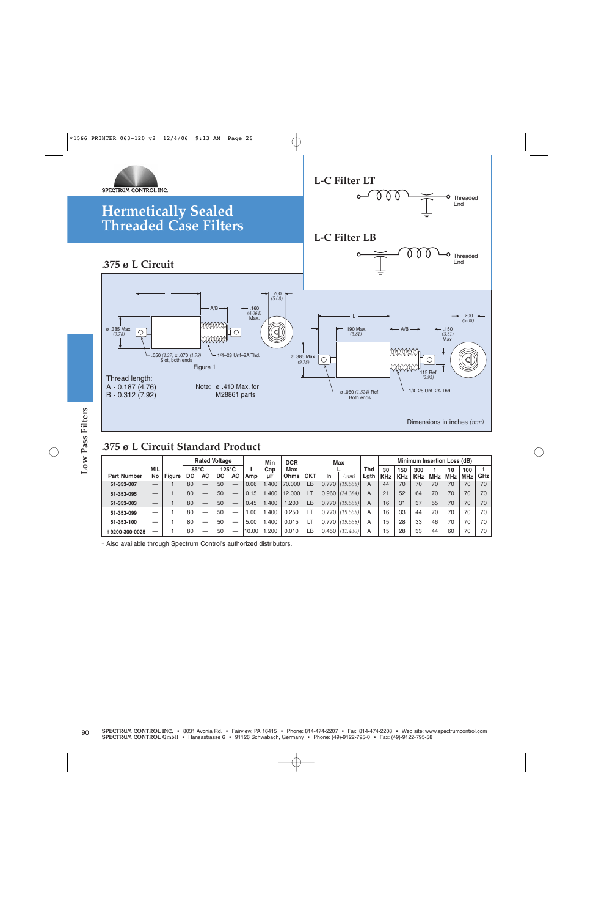

### **.375 ø L Circuit Standard Product**

|                    |                          |              |            |                          | <b>Rated Voltage</b> |                          |                     | Min                                                                  | <b>DCR</b>  |            |    | Max              |                    |                  |                   |                   |                 | Minimum Insertion Loss (dB) |                   |
|--------------------|--------------------------|--------------|------------|--------------------------|----------------------|--------------------------|---------------------|----------------------------------------------------------------------|-------------|------------|----|------------------|--------------------|------------------|-------------------|-------------------|-----------------|-----------------------------|-------------------|
| <b>Part Number</b> | <b>MIL</b><br>No         | Figure       | 85°C<br>DC | <b>AC</b>                | DC                   | $125^{\circ}$ C<br>AC    | $\mathbf{L}$<br>Amp | Cap<br>μF                                                            | Max<br>Ohms | <b>CKT</b> | In | (mm)             | <b>Thd</b><br>Lgth | 30<br><b>KHz</b> | 150<br><b>KHz</b> | 300<br><b>KHz</b> | 1<br><b>MHz</b> | 10<br><b>MHz</b>            | 100<br><b>MHz</b> |
| 51-353-007         |                          | 1            | 80         | $\qquad \qquad -$        | 50                   |                          | 0.06                | 1.400                                                                | 70.000      | LB         |    | $0.770$ (19.558) | $\overline{A}$     | 44               | 70                | 70                | 70              | 70                          | 70                |
| 51-353-095         |                          | 1            | 80         | $\overline{\phantom{m}}$ | 50                   | $\overline{\phantom{m}}$ | 0.15                | 1.400                                                                | 12.000      | LT         |    | $0.960$ (24.384) | A                  | 21               | 52                | 64                | 70              | 70                          | 70                |
| 51-353-003         | $\overline{\phantom{0}}$ | $\mathbf{1}$ | 80         | $\overline{\phantom{m}}$ | 50                   | $\overline{\phantom{m}}$ | 0.45                | 1.400                                                                | 1.200       | LB         |    | $0.770$ (19.558) | A                  | 16               | 31                | 37                | 55              | 70                          | 70                |
| 51-353-099         |                          | 1            | 80         | $\overline{\phantom{m}}$ | 50                   | $\overline{\phantom{m}}$ | 1.00                | 1.400                                                                | 0.250       | LT         |    | $0.770$ (19.558) | Α                  | 16               | 33                | 44                | 70              | 70                          | 70                |
| 51-353-100         | $\overline{\phantom{0}}$ | 1            | 80         |                          | 50                   |                          | 5.00                | 1.400                                                                | 0.015       | LT         |    | $0.770$ (19.558) | Α                  | 15               | 28                | 33                | 46              | 70                          | 70                |
| +9200-300-0025     |                          | 1            | 80         |                          | 50                   |                          | 10.00               | 1.200                                                                | 0.010       | LB         |    | $0.450$ (11.430) | Α                  | 15               | 28                | 33                | 44              | 60                          | 70                |
|                    |                          |              |            |                          |                      |                          |                     | + Also available through Spectrum Control's authorized distributors. |             |            |    |                  |                    |                  |                   |                   |                 |                             |                   |
|                    |                          |              |            |                          |                      |                          |                     |                                                                      |             |            |    |                  |                    |                  |                   |                   |                 |                             |                   |
|                    |                          |              |            |                          |                      |                          |                     |                                                                      |             |            |    |                  |                    |                  |                   |                   |                 |                             |                   |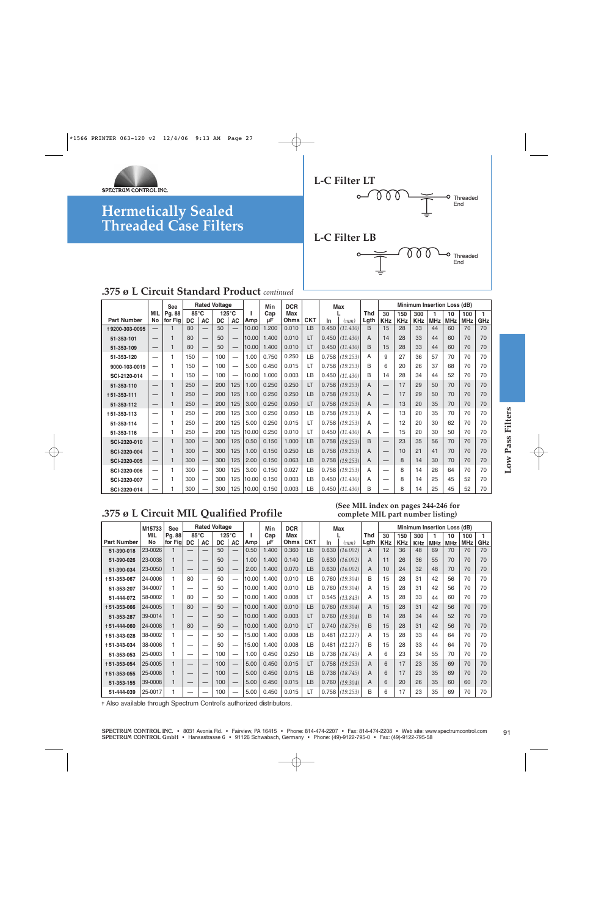



#### **.375 ø L Circuit Standard Product** *continued*

|                    |                                 | <b>See</b> |           |                                   | <b>Rated Voltage</b> |                   |       | Min   | <b>DCR</b> |            |       | <b>Max</b> |            |                               |            |            |            | Minimum Insertion Loss (dB) |            |     |
|--------------------|---------------------------------|------------|-----------|-----------------------------------|----------------------|-------------------|-------|-------|------------|------------|-------|------------|------------|-------------------------------|------------|------------|------------|-----------------------------|------------|-----|
|                    | MIL                             | Pg. 88     | 85°C      |                                   |                      | $125^{\circ}$ C   |       | Cap   | Max        |            |       |            | <b>Thd</b> | 30                            | 150        | 300        |            | 10                          | 100        |     |
| <b>Part Number</b> | <b>No</b>                       | for Fig    | <b>DC</b> | AC                                | DC                   | AC                | Amp   | μF    | Ohms       | <b>CKT</b> | In    | (mm)       | Lgth       | <b>KHz</b>                    | <b>KHz</b> | <b>KHz</b> | <b>MHz</b> | <b>MHz</b>                  | <b>MHz</b> | GHz |
| +9200-303-0095     | $\qquad \qquad -$               |            | 80        | $\qquad \qquad -$                 | 50                   |                   | 10.00 | 1.200 | 0.010      | LB         | 0.450 | (11.430)   | B          | 15                            | 28         | 33         | 44         | 60                          | 70         | 70  |
| 51-353-101         | $\overline{\phantom{m}}$        | ۶          | 80        |                                   | 50                   |                   | 10.00 | 1.400 | 0.010      | LT         | 0.450 | (11.430)   | A          | 14                            | 28         | 33         | 44         | 60                          | 70         | 70  |
| 51-353-109         | $\hspace{0.1mm}-\hspace{0.1mm}$ | 1          | 80        | $\overbrace{\phantom{12322111}}$  | 50                   | $\qquad \qquad -$ | 10.00 | 1.400 | 0.010      | LT         | 0.450 | (11.430)   | B          | 15                            | 28         | 33         | 44         | 60                          | 70         | 70  |
| 51-353-120         |                                 |            | 150       |                                   | 100                  | –                 | 1.00  | 0.750 | 0.250      | LB         | 0.758 | (19.253)   | A          | 9                             | 27         | 36         | 57         | 70                          | 70         | 70  |
| 9000-103-0019      | $\overline{\phantom{m}}$        |            | 150       | $\overline{\phantom{m}}$          | 100                  |                   | 5.00  | 0.450 | 0.015      | LT         | 0.758 | (19.253)   | B          | 6                             | 20         | 26         | 37         | 68                          | 70         | 70  |
| SCI-2120-014       |                                 |            | 150       |                                   | 100                  | —                 | 10.00 | 1.000 | 0.003      | LB         | 0.450 | (11.430)   | B          | 14                            | 28         | 34         | 44         | 52                          | 70         | 70  |
| 51-353-110         | $\hspace{0.1mm}-\hspace{0.1mm}$ | 1          | 250       | $\qquad \qquad -$                 | 200                  | 125               | 1.00  | 0.250 | 0.250      | LT         | 0.758 | (19.253)   | A          |                               | 17         | 29         | 50         | 70                          | 70         | 70  |
| +51-353-111        | $\hspace{0.1mm}-\hspace{0.1mm}$ |            | 250       | $\hspace{0.1mm}-\hspace{0.1mm}$   | 200                  | 125               | 1.00  | 0.250 | 0.250      | LB         | 0.758 | (19.253)   | A          |                               | 17         | 29         | 50         | 70                          | 70         | 70  |
| 51-353-112         | $\hspace{0.1mm}-\hspace{0.1mm}$ | 1          | 250       | $\overline{\phantom{m}}$          | 200                  | 125               | 3.00  | 0.250 | 0.050      | LT         | 0.758 | (19.253)   | A          |                               | 13         | 20         | 35         | 70                          | 70         | 70  |
| $+51 - 353 - 113$  |                                 |            | 250       |                                   | 200                  | 125               | 3.00  | 0.250 | 0.050      | LB         | 0.758 | (19.253)   | A          | -                             | 13         | 20         | 35         | 70                          | 70         | 70  |
| 51-353-114         |                                 |            | 250       |                                   | 200                  | 125               | 5.00  | 0.250 | 0.015      | LT         | 0.758 | (19.253)   | A          | -                             | 12         | 20         | 30         | 62                          | 70         | 70  |
| 51-353-116         |                                 |            | 250       |                                   | 200                  | 125               | 10.00 | 0.250 | 0.010      | LT         | 0.450 | (11.430)   | A          | -                             | 15         | 20         | 30         | 50                          | 70         | 70  |
| SCI-2320-010       | $\hspace{0.1mm}-\hspace{0.1mm}$ | 1          | 300       |                                   | 300                  | 125               | 0.50  | 0.150 | 1.000      | LB         | 0.758 | (19.253)   | B          |                               | 23         | 35         | 56         | 70                          | 70         | 70  |
| SCI-2320-004       | $\hspace{0.1mm}-\hspace{0.1mm}$ | 1          | 300       | $\qquad \qquad -$                 | 300                  | 125               | 1.00  | 0.150 | 0.250      | LB         | 0.758 | (19.253)   | A          | $\overbrace{\phantom{12333}}$ | 10         | 21         | 41         | 70                          | 70         | 70  |
| SCI-2320-005       | $\hspace{0.1mm}-\hspace{0.1mm}$ | 1          | 300       | $\overbrace{\phantom{123221111}}$ | 300                  | 125               | 2.00  | 0.150 | 0.063      | LB         | 0.758 | (19.253)   | A          | $\overbrace{\phantom{12333}}$ | 8          | 14         | 30         | 70                          | 70         | 70  |
| SCI-2320-006       | $\overline{\phantom{m}}$        | 1          | 300       |                                   | 300                  | 125               | 3.00  | 0.150 | 0.027      | LB         | 0.758 | (19.253)   | A          | $\overline{\phantom{0}}$      | 8          | 14         | 26         | 64                          | 70         | 70  |
| SCI-2320-007       |                                 |            | 300       |                                   | 300                  | 125               | 10.00 | 0.150 | 0.003      | LB         | 0.450 | (11.430)   | A          |                               | 8          | 14         | 25         | 45                          | 52         | 70  |
| SCI-2320-014       | $\overline{\phantom{0}}$        |            | 300       |                                   | 300                  | 125               | 10.00 | 0.150 | 0.003      | LB         | 0.450 | (11.430)   | B          | --                            | 8          | 14         | 25         | 45                          | 52         | 70  |

### **.375 ø L Circuit MIL Qualified Profile**

#### **(See MIL index on pages 244-246 for complete MIL part number listing)**

| $+51 - 353 - 113$                                                       |                                                                                                                                                                                                                                                                                                                                                                                                                                                                                                                                                                                                                                                                                                                               | 1                            | 250                      |                                               | 200      | 125                      | 3.00           | 0.250          | 0.050          | LB        | 0.758          | (19.253)                     | Α      |                          | 13       | 20       | 35       | 70       | 70       | 70       |
|-------------------------------------------------------------------------|-------------------------------------------------------------------------------------------------------------------------------------------------------------------------------------------------------------------------------------------------------------------------------------------------------------------------------------------------------------------------------------------------------------------------------------------------------------------------------------------------------------------------------------------------------------------------------------------------------------------------------------------------------------------------------------------------------------------------------|------------------------------|--------------------------|-----------------------------------------------|----------|--------------------------|----------------|----------------|----------------|-----------|----------------|------------------------------|--------|--------------------------|----------|----------|----------|----------|----------|----------|
| 51-353-114                                                              |                                                                                                                                                                                                                                                                                                                                                                                                                                                                                                                                                                                                                                                                                                                               | 1                            | 250                      | $\overline{\phantom{m}}$                      | 200      | 125                      | 5.00           | 0.250          | 0.015          | LT        | 0.758          | (19.253)                     | A      | $\overline{\phantom{0}}$ | 12       | 20       | 30       | 62       | 70       | 70       |
| 51-353-116                                                              |                                                                                                                                                                                                                                                                                                                                                                                                                                                                                                                                                                                                                                                                                                                               | 1                            | 250                      | $\overline{\phantom{m}}$                      | 200      | 125                      | 10.00          | 0.250          | 0.010          | LT        | 0.450          | (11.430)                     | А      | $\overline{\phantom{0}}$ | 15       | 20       | 30       | 50       | 70       | 70       |
| SCI-2320-010                                                            |                                                                                                                                                                                                                                                                                                                                                                                                                                                                                                                                                                                                                                                                                                                               | $\mathbf{1}$                 | 300                      |                                               | 300      | 125                      | 0.50           | 0.150          | 1.000          | LB        | 0.758          | (19.253)                     | B      | $\overline{\phantom{0}}$ | 23       | 35       | 56       | 70       | 70       | 70       |
| SCI-2320-004                                                            |                                                                                                                                                                                                                                                                                                                                                                                                                                                                                                                                                                                                                                                                                                                               | $\mathbf{1}$                 | 300                      |                                               | 300      | 125                      | 1.00           | 0.150          | 0.250          | <b>LB</b> | 0.758          | (19.253)                     | A      |                          | 10       | 21       | 41       | 70       | 70       | 70       |
| SCI-2320-005                                                            |                                                                                                                                                                                                                                                                                                                                                                                                                                                                                                                                                                                                                                                                                                                               | $\mathbf{1}$                 | 300                      |                                               | 300      | 125                      | 2.00           | 0.150          | 0.063          | LB        | 0.758          | (19.253)                     | A      |                          | 8        | 14       | 30       | 70       | 70       | 70       |
| SCI-2320-006                                                            |                                                                                                                                                                                                                                                                                                                                                                                                                                                                                                                                                                                                                                                                                                                               | 1                            | 300                      |                                               | 300      | 125                      | 3.00           | 0.150          | 0.027          | LB        | 0.758          | (19.253)                     | А      |                          | 8        | 14       | 26       | 64       | 70       | 70       |
| SCI-2320-007                                                            |                                                                                                                                                                                                                                                                                                                                                                                                                                                                                                                                                                                                                                                                                                                               | 1                            | 300                      |                                               | 300      | 125                      | 10.00          | 0.150          | 0.003          | LB        |                | $0.450$ $(11.430)$           | А      | -                        | 8        | 14       | 25       | 45       | 52       | 70       |
| SCI-2320-014                                                            |                                                                                                                                                                                                                                                                                                                                                                                                                                                                                                                                                                                                                                                                                                                               |                              | 300                      |                                               | 300      | 125                      | 10.00          | 0.150          | 0.003          | LB        | 0.450          | (11.430)                     | B      |                          | 8        | 14       | 25       | 45       | 52       | 70       |
|                                                                         | (See MIL index on pages 244-246 for<br>.375 ø L Circuit MIL Qualified Profile<br>complete MIL part number listing)<br><b>Rated Voltage</b><br>Minimum Insertion Loss (dB)<br><b>DCR</b><br>M15733<br><b>See</b><br>Min<br><b>Max</b><br>85°C<br>$\mathbf{1}$<br>Pq. 88<br>$125^{\circ}$ C<br>Max<br><b>Thd</b><br>MIL<br>п<br>Cap<br>30<br>100<br>150<br>300<br>10<br>1<br>Ohms<br>Lgth<br>No<br>for Fig<br>DC<br>AC<br>DC<br><b>AC</b><br>Amp<br><b>CKT</b><br>GHz<br>μF<br>In<br><b>KHz</b><br><b>KHz</b><br><b>MHz</b><br><b>MHz</b><br><b>MHz</b><br>(mm)<br><b>KHz</b><br>70<br>23-0026<br>50<br>0.50<br>0.630<br>$\overline{A}$<br>12<br>36<br>70<br>1.400<br>0.360<br>LB<br>(16.002)<br>48<br>69<br>70<br>$\mathbf{1}$ |                              |                          |                                               |          |                          |                |                |                |           |                |                              |        |                          |          |          |          |          |          |          |
|                                                                         |                                                                                                                                                                                                                                                                                                                                                                                                                                                                                                                                                                                                                                                                                                                               |                              |                          |                                               |          |                          |                |                |                |           |                |                              |        |                          |          |          |          |          |          |          |
| <b>Part Number</b>                                                      |                                                                                                                                                                                                                                                                                                                                                                                                                                                                                                                                                                                                                                                                                                                               |                              |                          |                                               |          |                          |                |                |                |           |                |                              |        |                          |          |          |          |          |          |          |
| 51-390-018                                                              |                                                                                                                                                                                                                                                                                                                                                                                                                                                                                                                                                                                                                                                                                                                               |                              |                          |                                               |          |                          |                |                |                |           |                |                              |        |                          |          |          |          |          |          |          |
| 51-390-026                                                              | 23-0038<br>23-0050                                                                                                                                                                                                                                                                                                                                                                                                                                                                                                                                                                                                                                                                                                            | $\mathbf{1}$<br>$\mathbf{1}$ |                          |                                               | 50<br>50 |                          | 1.00<br>2.00   | 1.400<br>1.400 | 0.140<br>0.070 | LB<br>LB  | 0.630<br>0.630 | (16.002)<br>(16.002)         | A<br>A | 11<br>10                 | 26<br>24 | 36<br>32 | 55<br>48 | 70<br>70 | 70<br>70 | 70<br>70 |
| 51-390-034<br>+51-353-067                                               | 24-0006                                                                                                                                                                                                                                                                                                                                                                                                                                                                                                                                                                                                                                                                                                                       | $\mathbf{1}$                 | $\qquad \qquad -$<br>80  | $\qquad \qquad -$<br>$\overline{\phantom{0}}$ | 50       | $\overline{\phantom{m}}$ | 10.00          | 1.400          | 0.010          | LB        | 0.760          | (19.304)                     | B      | 15                       | 28       | 31       | 42       | 56       | 70       | 70       |
|                                                                         |                                                                                                                                                                                                                                                                                                                                                                                                                                                                                                                                                                                                                                                                                                                               |                              |                          |                                               | 50       |                          | 10.00          | 1.400          | 0.010          | LB        | 0.760          | (19.304)                     | A      | 15                       | 28       | 31       | 42       | 56       | 70       | 70       |
|                                                                         |                                                                                                                                                                                                                                                                                                                                                                                                                                                                                                                                                                                                                                                                                                                               |                              |                          |                                               |          |                          |                |                |                |           | 0.545          | (13.843)                     | A      | 15                       | 28       |          |          |          |          |          |
| 51-353-207                                                              | 34-0007                                                                                                                                                                                                                                                                                                                                                                                                                                                                                                                                                                                                                                                                                                                       | 1                            | $\qquad \qquad$          | $\overline{\phantom{0}}$                      |          |                          |                |                |                |           |                |                              |        |                          |          |          |          |          |          |          |
| 51-444-072                                                              | 58-0002<br>24-0005                                                                                                                                                                                                                                                                                                                                                                                                                                                                                                                                                                                                                                                                                                            | 1<br>$\mathbf{1}$            | 80<br>80                 | $\overline{\phantom{0}}$                      | 50<br>50 | $\overline{\phantom{m}}$ | 10.00<br>10.00 | 1.400<br>1.400 | 0.008<br>0.010 | LT<br>LB  | 0.760          | (19.304)                     | A      | 15                       | 28       | 33<br>31 | 44<br>42 | 60<br>56 | 70<br>70 | 70<br>70 |
| 51-353-287                                                              | 39-0014                                                                                                                                                                                                                                                                                                                                                                                                                                                                                                                                                                                                                                                                                                                       | $\mathbf{1}$                 |                          |                                               | 50       | $\qquad \qquad -$        | 10.00          | 1.400          | 0.003          | LT        |                | $0.760$ (19.304)             | B      | 14                       | 28       | 34       | 44       | 52       | 70       | 70       |
|                                                                         | 24-0008                                                                                                                                                                                                                                                                                                                                                                                                                                                                                                                                                                                                                                                                                                                       | $\mathbf{1}$                 | 80                       |                                               | 50       |                          | 10.00          | 1.400          | 0.010          | LT        | 0.740          | (18.796)                     | B      | 15                       | 28       | 31       | 42       | 56       | 70       | 70       |
|                                                                         | 38-0002                                                                                                                                                                                                                                                                                                                                                                                                                                                                                                                                                                                                                                                                                                                       | $\mathbf{1}$                 | $\overline{\phantom{0}}$ | $\overline{\phantom{0}}$                      | 50       | $\overline{\phantom{0}}$ | 15.00          | 1.400          | 0.008          | LB        | 0.481          | (12.217)                     | A      | 15                       | 28       | 33       | 44       | 64       | 70       | 70       |
|                                                                         | 38-0006                                                                                                                                                                                                                                                                                                                                                                                                                                                                                                                                                                                                                                                                                                                       | 1                            |                          | $\overline{\phantom{0}}$                      | 50       |                          | 15.00          | 1.400          | 0.008          | LB        | 0.481          | (12.217)                     | B      | 15                       | 28       | 33       | 44       | 64       | 70       | 70       |
| 51-353-053                                                              | 25-0003                                                                                                                                                                                                                                                                                                                                                                                                                                                                                                                                                                                                                                                                                                                       | 1                            | $\qquad \qquad$          |                                               | 100      | $\overline{\phantom{0}}$ | 1.00           | 0.450          | 0.250          | LB        | 0.738          | (18.745)                     | Α      | 6                        | 23       | 34       | 55       | 70       | 70       | 70       |
| +51-353-066<br>+51-444-060<br>+51-343-028<br>+51-343-034<br>+51-353-054 | 25-0005                                                                                                                                                                                                                                                                                                                                                                                                                                                                                                                                                                                                                                                                                                                       | $\mathbf{1}$                 |                          |                                               | 100      | $\overline{\phantom{0}}$ | 5.00           | 0.450          | 0.015          | LT        | 0.758          | (19.253)                     | A      | 6                        | 17       | 23       | 35       | 69       | 70       | 70       |
|                                                                         | 25-0008                                                                                                                                                                                                                                                                                                                                                                                                                                                                                                                                                                                                                                                                                                                       | $\mathbf{1}$                 |                          |                                               | 100      |                          | 5.00           | 0.450          | 0.015          | LB        | 0.738          | (18.745)                     | A      | 6                        | 17       | 23       | 35       | 69       | 70       | 70       |
| +51-353-055<br>51-353-155                                               | 39-0008<br>25-0017                                                                                                                                                                                                                                                                                                                                                                                                                                                                                                                                                                                                                                                                                                            | $\mathbf{1}$                 | $\overline{\phantom{0}}$ |                                               | 100      | $\qquad \qquad -$        | 5.00           | 0.450          | 0.015          | LB<br>LT  | 0.760          | (19.304)<br>$0.758$ (19.253) | A      | 6<br>6                   | 20<br>17 | 26       | 35<br>35 | 60       | 60<br>70 | 70<br>70 |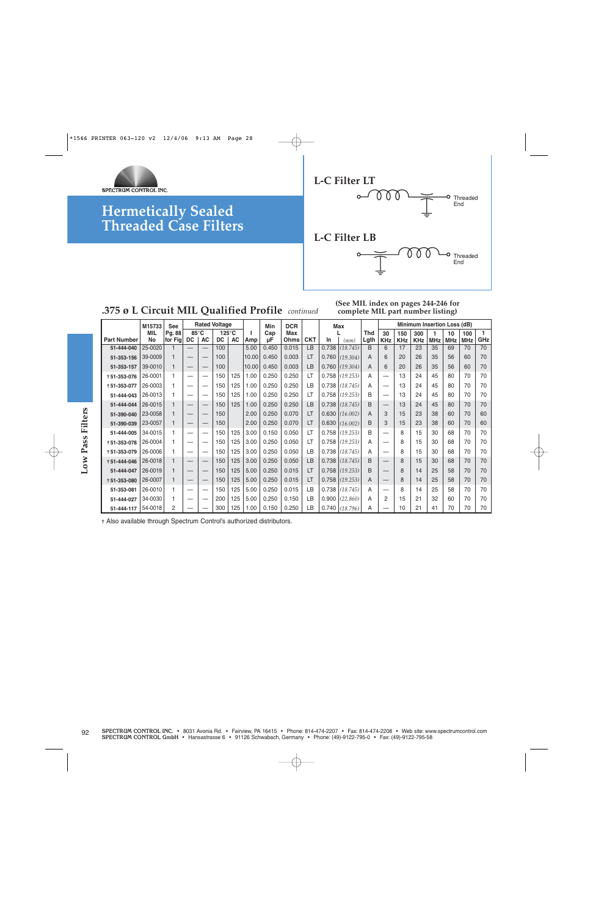



#### **.375 ø L Circuit MIL Qualified Profile** *continued*

**(See MIL index on pages 244-246 for complete MIL part number listing)**

| Pg. 88<br>85°C<br>$125^{\circ}$ C<br><b>Thd</b><br>$\mathbf{I}$<br>Max<br>MIL<br>Cap<br>30<br>300<br>100<br>150<br>10<br>$\mathbf{1}$<br>$\mathsf{AC}$<br>$\sf AC$<br><b>Part Number</b><br>$\mathsf{DC}$<br>DC<br>Amp<br>Ohms<br><b>CKT</b><br>Lgth<br>GHz<br>No<br>for Fig<br>μF<br>In<br>(mm)<br><b>KHz</b><br>$\ensuremath{\mathsf{K}}\ensuremath{\mathsf{H}}\ensuremath{\mathsf{z}}$<br><b>MHz</b><br><b>MHz</b><br><b>KHz</b><br><b>MHz</b><br>$\overline{B}$<br>25-0020<br>100<br>0.015<br>LB<br>0.738   (18.745)<br>17<br>35<br>5.00<br>0.450<br>6<br>23<br>69<br>70<br>51-444-040<br>$\mathbf{1}$<br>39-0009<br>0.450<br>0.003<br>0.760   (19.304)<br>20<br>35<br>100<br>10.00<br>LT<br>6<br>26<br>56<br>60<br>70<br>51-353-156<br>$\mathbf{1}$<br>A<br>0.450<br>39-0010<br>10.00<br>0.003<br>$0.760$ (19.304)<br>70<br>100<br><b>LB</b><br>A<br>6<br>20<br>26<br>35<br>56<br>60<br>51-353-157<br>$\mathbf{1}$<br>$\overline{\phantom{0}}$<br>125<br>1.00<br>0.250<br>0.250<br>LT<br>0.758   (19.253)<br>45<br>26-0001<br>150<br>13<br>24<br>80<br>70<br>70<br>$\mathbf{1}$<br>Α<br>+51-353-076<br>$\overline{\phantom{0}}$<br>$\qquad \qquad -$<br>125<br>1.00<br>0.250<br>0.250<br>LB<br>0.738   (18.745)<br>45<br>26-0003<br>150<br>13<br>24<br>80<br>70<br>70<br>+51-353-077<br>$\mathbf{1}$<br>Α<br>$\qquad \qquad \longleftarrow$<br>—<br>0.250<br>26-0013<br>125<br>1.00<br>0.250<br>$0.758$ (19.253)<br>45<br>150<br>LT<br>В<br>13<br>24<br>80<br>70<br>70<br>51-444-043<br>$\mathbf{1}$<br>$\overline{\phantom{0}}$<br>26-0015<br>125<br>1.00<br>0.250<br>0.250<br>LB<br>0.738   (18.745)<br>150<br>B<br>13<br>24<br>45<br>70<br>70<br>51-444-044<br>80<br>$\mathbf{1}$<br>$\overline{\phantom{m}}$<br>23-0058<br>2.00<br>0.250<br>0.070<br>0.630   (16.002)<br>150<br>LT<br>15<br>23<br>70<br>60<br>51-390-040<br>A<br>3<br>38<br>60<br>$\mathbf{1}$<br>$\overbrace{\phantom{123221111}}$<br>$\overline{\phantom{m}}$<br>23-0057<br>2.00<br>0.250<br>0.070<br>0.630   (16.002)<br>15<br>150<br>LT<br>B<br>3<br>23<br>38<br>70<br>60<br>51-390-039<br>$\mathbf{1}$<br>60<br>$\overline{\phantom{0}}$<br>$\overline{\phantom{0}}$<br>0.050<br>34-0015<br>3.00<br>0.150<br>$0.758$ (19.253)<br>B<br>8<br>51-444-005<br>$\mathbf{1}$<br>150<br>125<br>LT<br>15<br>30<br>68<br>70<br>70<br>-<br>3.00<br>0.250<br>0.050<br>$0.758$ (19.253)<br>26-0004<br>150<br>125<br>LT<br>8<br>15<br>30<br>68<br>70<br>70<br>+51-353-078<br>$\mathbf{1}$<br>Α<br>$\qquad \qquad -$<br>26-0006<br>125<br>3.00<br>0.250<br>0.050<br>0.738   (18.745)<br>150<br>LB<br>8<br>15<br>30<br>68<br>70<br>70<br>+51-353-079<br>$\mathbf{1}$<br>Α<br>$\overline{\phantom{m}}$<br>—<br>0.250<br>0.050<br>0.738   (18.745)<br>26-0018<br>150<br>125<br>3.00<br><b>LB</b><br>8<br>30<br>70<br>+51-444-046<br>$\mathbf{1}$<br>B<br>15<br>68<br>70<br>$\overline{\phantom{m}}$<br>26-0019<br>125<br>5.00<br>0.250<br>0.015<br>$0.758$ (19.253)<br>25<br>150<br>LT<br>B<br>8<br>58<br>70<br>70<br>51-444-047<br>$\mathbf{1}$<br>14<br>26-0007<br>125<br>$5.00$<br>0.250<br>0.015<br>$0.758$ (19.253)<br>25<br>$\mathbf{1}$<br>150<br>LT<br>A<br>8<br>58<br>70<br>70<br>+51-353-080<br>14<br>$\overline{\phantom{0}}$<br>$\overline{\phantom{0}}$<br>$\overline{\phantom{0}}$<br>0.015<br>26-0010<br>5.00<br>0.250<br>LB<br>0.738   (18.745)<br>25<br>$\mathbf{1}$<br>150<br>125<br>$\overline{\phantom{0}}$<br>8<br>14<br>58<br>70<br>70<br>51-353-081<br>$\overline{\phantom{0}}$<br>Α<br>34-0030<br>125<br>5.00<br>0.250<br>0.150<br>0.900   (22.860)<br>51-444-027<br>200<br>LB<br>2<br>15<br>21<br>32<br>70<br>70<br>Α<br>60<br>$\mathbf{1}$<br>$\qquad \qquad -$<br>54-0018<br>0.250<br>$0.740$ (18.796)<br>51-444-117<br>2<br>125<br>1.00<br>0.150<br>LB<br>10<br>21<br>41<br>70<br>70<br>300<br>Α<br>70 | + Also available through Spectrum Control's authorized distributors. |  | M15733 | <b>See</b> |  | <b>Rated Voltage</b> |  | Min | <b>DCR</b> |  | Max |  |  | Minimum Insertion Loss (dB) |              |
|------------------------------------------------------------------------------------------------------------------------------------------------------------------------------------------------------------------------------------------------------------------------------------------------------------------------------------------------------------------------------------------------------------------------------------------------------------------------------------------------------------------------------------------------------------------------------------------------------------------------------------------------------------------------------------------------------------------------------------------------------------------------------------------------------------------------------------------------------------------------------------------------------------------------------------------------------------------------------------------------------------------------------------------------------------------------------------------------------------------------------------------------------------------------------------------------------------------------------------------------------------------------------------------------------------------------------------------------------------------------------------------------------------------------------------------------------------------------------------------------------------------------------------------------------------------------------------------------------------------------------------------------------------------------------------------------------------------------------------------------------------------------------------------------------------------------------------------------------------------------------------------------------------------------------------------------------------------------------------------------------------------------------------------------------------------------------------------------------------------------------------------------------------------------------------------------------------------------------------------------------------------------------------------------------------------------------------------------------------------------------------------------------------------------------------------------------------------------------------------------------------------------------------------------------------------------------------------------------------------------------------------------------------------------------------------------------------------------------------------------------------------------------------------------------------------------------------------------------------------------------------------------------------------------------------------------------------------------------------------------------------------------------------------------------------------------------------------------------------------------------------------------------------------------------------------------------------------------------------------------------------------------------------------------------------------------------------------------------------------------------------------------------------------------------------------------------------------------------------------------------------------------------------------------------------------------------------------------------------------------------------------------------------------------------------------------------------------------------------------------------------------------------------------------|----------------------------------------------------------------------|--|--------|------------|--|----------------------|--|-----|------------|--|-----|--|--|-----------------------------|--------------|
|                                                                                                                                                                                                                                                                                                                                                                                                                                                                                                                                                                                                                                                                                                                                                                                                                                                                                                                                                                                                                                                                                                                                                                                                                                                                                                                                                                                                                                                                                                                                                                                                                                                                                                                                                                                                                                                                                                                                                                                                                                                                                                                                                                                                                                                                                                                                                                                                                                                                                                                                                                                                                                                                                                                                                                                                                                                                                                                                                                                                                                                                                                                                                                                                                                                                                                                                                                                                                                                                                                                                                                                                                                                                                                                                                                                                |                                                                      |  |        |            |  |                      |  |     |            |  |     |  |  |                             | $\mathbf{1}$ |
|                                                                                                                                                                                                                                                                                                                                                                                                                                                                                                                                                                                                                                                                                                                                                                                                                                                                                                                                                                                                                                                                                                                                                                                                                                                                                                                                                                                                                                                                                                                                                                                                                                                                                                                                                                                                                                                                                                                                                                                                                                                                                                                                                                                                                                                                                                                                                                                                                                                                                                                                                                                                                                                                                                                                                                                                                                                                                                                                                                                                                                                                                                                                                                                                                                                                                                                                                                                                                                                                                                                                                                                                                                                                                                                                                                                                |                                                                      |  |        |            |  |                      |  |     |            |  |     |  |  |                             | 70           |
|                                                                                                                                                                                                                                                                                                                                                                                                                                                                                                                                                                                                                                                                                                                                                                                                                                                                                                                                                                                                                                                                                                                                                                                                                                                                                                                                                                                                                                                                                                                                                                                                                                                                                                                                                                                                                                                                                                                                                                                                                                                                                                                                                                                                                                                                                                                                                                                                                                                                                                                                                                                                                                                                                                                                                                                                                                                                                                                                                                                                                                                                                                                                                                                                                                                                                                                                                                                                                                                                                                                                                                                                                                                                                                                                                                                                |                                                                      |  |        |            |  |                      |  |     |            |  |     |  |  |                             |              |
|                                                                                                                                                                                                                                                                                                                                                                                                                                                                                                                                                                                                                                                                                                                                                                                                                                                                                                                                                                                                                                                                                                                                                                                                                                                                                                                                                                                                                                                                                                                                                                                                                                                                                                                                                                                                                                                                                                                                                                                                                                                                                                                                                                                                                                                                                                                                                                                                                                                                                                                                                                                                                                                                                                                                                                                                                                                                                                                                                                                                                                                                                                                                                                                                                                                                                                                                                                                                                                                                                                                                                                                                                                                                                                                                                                                                |                                                                      |  |        |            |  |                      |  |     |            |  |     |  |  |                             |              |
|                                                                                                                                                                                                                                                                                                                                                                                                                                                                                                                                                                                                                                                                                                                                                                                                                                                                                                                                                                                                                                                                                                                                                                                                                                                                                                                                                                                                                                                                                                                                                                                                                                                                                                                                                                                                                                                                                                                                                                                                                                                                                                                                                                                                                                                                                                                                                                                                                                                                                                                                                                                                                                                                                                                                                                                                                                                                                                                                                                                                                                                                                                                                                                                                                                                                                                                                                                                                                                                                                                                                                                                                                                                                                                                                                                                                |                                                                      |  |        |            |  |                      |  |     |            |  |     |  |  |                             |              |
|                                                                                                                                                                                                                                                                                                                                                                                                                                                                                                                                                                                                                                                                                                                                                                                                                                                                                                                                                                                                                                                                                                                                                                                                                                                                                                                                                                                                                                                                                                                                                                                                                                                                                                                                                                                                                                                                                                                                                                                                                                                                                                                                                                                                                                                                                                                                                                                                                                                                                                                                                                                                                                                                                                                                                                                                                                                                                                                                                                                                                                                                                                                                                                                                                                                                                                                                                                                                                                                                                                                                                                                                                                                                                                                                                                                                |                                                                      |  |        |            |  |                      |  |     |            |  |     |  |  |                             |              |
|                                                                                                                                                                                                                                                                                                                                                                                                                                                                                                                                                                                                                                                                                                                                                                                                                                                                                                                                                                                                                                                                                                                                                                                                                                                                                                                                                                                                                                                                                                                                                                                                                                                                                                                                                                                                                                                                                                                                                                                                                                                                                                                                                                                                                                                                                                                                                                                                                                                                                                                                                                                                                                                                                                                                                                                                                                                                                                                                                                                                                                                                                                                                                                                                                                                                                                                                                                                                                                                                                                                                                                                                                                                                                                                                                                                                |                                                                      |  |        |            |  |                      |  |     |            |  |     |  |  |                             |              |
|                                                                                                                                                                                                                                                                                                                                                                                                                                                                                                                                                                                                                                                                                                                                                                                                                                                                                                                                                                                                                                                                                                                                                                                                                                                                                                                                                                                                                                                                                                                                                                                                                                                                                                                                                                                                                                                                                                                                                                                                                                                                                                                                                                                                                                                                                                                                                                                                                                                                                                                                                                                                                                                                                                                                                                                                                                                                                                                                                                                                                                                                                                                                                                                                                                                                                                                                                                                                                                                                                                                                                                                                                                                                                                                                                                                                |                                                                      |  |        |            |  |                      |  |     |            |  |     |  |  |                             |              |
|                                                                                                                                                                                                                                                                                                                                                                                                                                                                                                                                                                                                                                                                                                                                                                                                                                                                                                                                                                                                                                                                                                                                                                                                                                                                                                                                                                                                                                                                                                                                                                                                                                                                                                                                                                                                                                                                                                                                                                                                                                                                                                                                                                                                                                                                                                                                                                                                                                                                                                                                                                                                                                                                                                                                                                                                                                                                                                                                                                                                                                                                                                                                                                                                                                                                                                                                                                                                                                                                                                                                                                                                                                                                                                                                                                                                |                                                                      |  |        |            |  |                      |  |     |            |  |     |  |  |                             |              |
|                                                                                                                                                                                                                                                                                                                                                                                                                                                                                                                                                                                                                                                                                                                                                                                                                                                                                                                                                                                                                                                                                                                                                                                                                                                                                                                                                                                                                                                                                                                                                                                                                                                                                                                                                                                                                                                                                                                                                                                                                                                                                                                                                                                                                                                                                                                                                                                                                                                                                                                                                                                                                                                                                                                                                                                                                                                                                                                                                                                                                                                                                                                                                                                                                                                                                                                                                                                                                                                                                                                                                                                                                                                                                                                                                                                                |                                                                      |  |        |            |  |                      |  |     |            |  |     |  |  |                             |              |
|                                                                                                                                                                                                                                                                                                                                                                                                                                                                                                                                                                                                                                                                                                                                                                                                                                                                                                                                                                                                                                                                                                                                                                                                                                                                                                                                                                                                                                                                                                                                                                                                                                                                                                                                                                                                                                                                                                                                                                                                                                                                                                                                                                                                                                                                                                                                                                                                                                                                                                                                                                                                                                                                                                                                                                                                                                                                                                                                                                                                                                                                                                                                                                                                                                                                                                                                                                                                                                                                                                                                                                                                                                                                                                                                                                                                |                                                                      |  |        |            |  |                      |  |     |            |  |     |  |  |                             |              |
|                                                                                                                                                                                                                                                                                                                                                                                                                                                                                                                                                                                                                                                                                                                                                                                                                                                                                                                                                                                                                                                                                                                                                                                                                                                                                                                                                                                                                                                                                                                                                                                                                                                                                                                                                                                                                                                                                                                                                                                                                                                                                                                                                                                                                                                                                                                                                                                                                                                                                                                                                                                                                                                                                                                                                                                                                                                                                                                                                                                                                                                                                                                                                                                                                                                                                                                                                                                                                                                                                                                                                                                                                                                                                                                                                                                                |                                                                      |  |        |            |  |                      |  |     |            |  |     |  |  |                             |              |
|                                                                                                                                                                                                                                                                                                                                                                                                                                                                                                                                                                                                                                                                                                                                                                                                                                                                                                                                                                                                                                                                                                                                                                                                                                                                                                                                                                                                                                                                                                                                                                                                                                                                                                                                                                                                                                                                                                                                                                                                                                                                                                                                                                                                                                                                                                                                                                                                                                                                                                                                                                                                                                                                                                                                                                                                                                                                                                                                                                                                                                                                                                                                                                                                                                                                                                                                                                                                                                                                                                                                                                                                                                                                                                                                                                                                |                                                                      |  |        |            |  |                      |  |     |            |  |     |  |  |                             |              |
|                                                                                                                                                                                                                                                                                                                                                                                                                                                                                                                                                                                                                                                                                                                                                                                                                                                                                                                                                                                                                                                                                                                                                                                                                                                                                                                                                                                                                                                                                                                                                                                                                                                                                                                                                                                                                                                                                                                                                                                                                                                                                                                                                                                                                                                                                                                                                                                                                                                                                                                                                                                                                                                                                                                                                                                                                                                                                                                                                                                                                                                                                                                                                                                                                                                                                                                                                                                                                                                                                                                                                                                                                                                                                                                                                                                                |                                                                      |  |        |            |  |                      |  |     |            |  |     |  |  |                             |              |
|                                                                                                                                                                                                                                                                                                                                                                                                                                                                                                                                                                                                                                                                                                                                                                                                                                                                                                                                                                                                                                                                                                                                                                                                                                                                                                                                                                                                                                                                                                                                                                                                                                                                                                                                                                                                                                                                                                                                                                                                                                                                                                                                                                                                                                                                                                                                                                                                                                                                                                                                                                                                                                                                                                                                                                                                                                                                                                                                                                                                                                                                                                                                                                                                                                                                                                                                                                                                                                                                                                                                                                                                                                                                                                                                                                                                |                                                                      |  |        |            |  |                      |  |     |            |  |     |  |  |                             |              |
|                                                                                                                                                                                                                                                                                                                                                                                                                                                                                                                                                                                                                                                                                                                                                                                                                                                                                                                                                                                                                                                                                                                                                                                                                                                                                                                                                                                                                                                                                                                                                                                                                                                                                                                                                                                                                                                                                                                                                                                                                                                                                                                                                                                                                                                                                                                                                                                                                                                                                                                                                                                                                                                                                                                                                                                                                                                                                                                                                                                                                                                                                                                                                                                                                                                                                                                                                                                                                                                                                                                                                                                                                                                                                                                                                                                                |                                                                      |  |        |            |  |                      |  |     |            |  |     |  |  |                             |              |
|                                                                                                                                                                                                                                                                                                                                                                                                                                                                                                                                                                                                                                                                                                                                                                                                                                                                                                                                                                                                                                                                                                                                                                                                                                                                                                                                                                                                                                                                                                                                                                                                                                                                                                                                                                                                                                                                                                                                                                                                                                                                                                                                                                                                                                                                                                                                                                                                                                                                                                                                                                                                                                                                                                                                                                                                                                                                                                                                                                                                                                                                                                                                                                                                                                                                                                                                                                                                                                                                                                                                                                                                                                                                                                                                                                                                |                                                                      |  |        |            |  |                      |  |     |            |  |     |  |  |                             |              |
|                                                                                                                                                                                                                                                                                                                                                                                                                                                                                                                                                                                                                                                                                                                                                                                                                                                                                                                                                                                                                                                                                                                                                                                                                                                                                                                                                                                                                                                                                                                                                                                                                                                                                                                                                                                                                                                                                                                                                                                                                                                                                                                                                                                                                                                                                                                                                                                                                                                                                                                                                                                                                                                                                                                                                                                                                                                                                                                                                                                                                                                                                                                                                                                                                                                                                                                                                                                                                                                                                                                                                                                                                                                                                                                                                                                                |                                                                      |  |        |            |  |                      |  |     |            |  |     |  |  |                             |              |
|                                                                                                                                                                                                                                                                                                                                                                                                                                                                                                                                                                                                                                                                                                                                                                                                                                                                                                                                                                                                                                                                                                                                                                                                                                                                                                                                                                                                                                                                                                                                                                                                                                                                                                                                                                                                                                                                                                                                                                                                                                                                                                                                                                                                                                                                                                                                                                                                                                                                                                                                                                                                                                                                                                                                                                                                                                                                                                                                                                                                                                                                                                                                                                                                                                                                                                                                                                                                                                                                                                                                                                                                                                                                                                                                                                                                |                                                                      |  |        |            |  |                      |  |     |            |  |     |  |  |                             |              |
|                                                                                                                                                                                                                                                                                                                                                                                                                                                                                                                                                                                                                                                                                                                                                                                                                                                                                                                                                                                                                                                                                                                                                                                                                                                                                                                                                                                                                                                                                                                                                                                                                                                                                                                                                                                                                                                                                                                                                                                                                                                                                                                                                                                                                                                                                                                                                                                                                                                                                                                                                                                                                                                                                                                                                                                                                                                                                                                                                                                                                                                                                                                                                                                                                                                                                                                                                                                                                                                                                                                                                                                                                                                                                                                                                                                                |                                                                      |  |        |            |  |                      |  |     |            |  |     |  |  |                             |              |
|                                                                                                                                                                                                                                                                                                                                                                                                                                                                                                                                                                                                                                                                                                                                                                                                                                                                                                                                                                                                                                                                                                                                                                                                                                                                                                                                                                                                                                                                                                                                                                                                                                                                                                                                                                                                                                                                                                                                                                                                                                                                                                                                                                                                                                                                                                                                                                                                                                                                                                                                                                                                                                                                                                                                                                                                                                                                                                                                                                                                                                                                                                                                                                                                                                                                                                                                                                                                                                                                                                                                                                                                                                                                                                                                                                                                |                                                                      |  |        |            |  |                      |  |     |            |  |     |  |  |                             |              |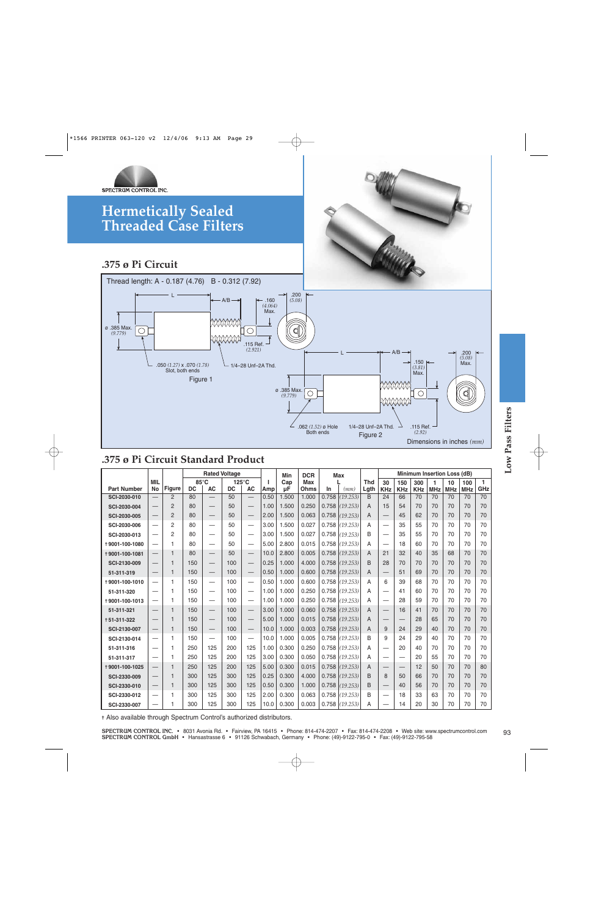

### **.375 ø Pi Circuit Standard Product**

| .375 ø Pi Circuit Standard Product |                                 |                |           |                          |             |                          |           |           |             |       |                  |                    |                          |                   |                             |                 |                  |                   |                     |
|------------------------------------|---------------------------------|----------------|-----------|--------------------------|-------------|--------------------------|-----------|-----------|-------------|-------|------------------|--------------------|--------------------------|-------------------|-----------------------------|-----------------|------------------|-------------------|---------------------|
|                                    |                                 |                |           | <b>Rated Voltage</b>     |             |                          |           | Min       | <b>DCR</b>  |       | <b>Max</b>       |                    |                          |                   | Minimum Insertion Loss (dB) |                 |                  |                   |                     |
| <b>Part Number</b>                 | <b>MIL</b><br>No                | <b>Figure</b>  | <b>DC</b> | 85°C<br><b>AC</b>        | 125°C<br>DC | АC                       | J.<br>Amp | Cap<br>μF | Max<br>Ohms | In    | (mm)             | <b>Thd</b><br>Lgth | 30<br><b>KHz</b>         | 150<br><b>KHz</b> | 300<br><b>KHz</b>           | 1<br><b>MHz</b> | 10<br><b>MHz</b> | 100<br><b>MHz</b> | $\mathbf{1}$<br>GHz |
| SCI-2030-010                       |                                 | $\overline{2}$ | 80        |                          | 50          |                          | 0.50      | 1.500     | 1.000       |       | $0.758$ (19.253) | B                  | 24                       | 66                | 70                          | 70              | 70               | 70                | 70                  |
| SCI-2030-004                       |                                 | $\overline{2}$ | 80        |                          | 50          | -                        | 1.00      | 1.500     | 0.250       |       | $0.758$ (19.253) | A                  | 15                       | 54                | 70                          | 70              | 70               | 70                | 70                  |
| SCI-2030-005                       |                                 | $\overline{2}$ | 80        |                          | 50          |                          | 2.00      | 1.500     | 0.063       | 0.758 | (19.253)         | A                  | $\overline{\phantom{0}}$ | 45                | 62                          | 70              | 70               | 70                | 70                  |
| SCI-2030-006                       |                                 | $\overline{2}$ | 80        | $\overline{\phantom{0}}$ | 50          | $\overline{\phantom{0}}$ | 3.00      | 1.500     | 0.027       |       | $0.758$ (19.253) | A                  | $\overline{\phantom{0}}$ | 35                | 55                          | 70              | 70               | 70                | 70                  |
| SCI-2030-013                       |                                 | $\overline{2}$ | 80        | $\overline{\phantom{0}}$ | 50          |                          | 3.00      | 1.500     | 0.027       |       | $0.758$ (19.253) | B                  | $\overline{\phantom{0}}$ | 35                | 55                          | 70              | 70               | 70                | 70                  |
| +9001-100-1080                     | $\overline{\phantom{0}}$        | 1              | 80        |                          | 50          |                          | 5.00      | 2.800     | 0.015       |       | $0.758$ (19.253) | A                  |                          | 18                | 60                          | 70              | 70               | 70                | 70                  |
| +9001-100-1081                     |                                 | $\mathbf{1}$   | 80        |                          | 50          | $\overline{\phantom{0}}$ | 10.0      | 2.800     | 0.005       |       | $0.758$ (19.253) | A                  | 21                       | 32                | 40                          | 35              | 68               | 70                | 70                  |
| SCI-2130-009                       |                                 | 1              | 150       |                          | 100         |                          | 0.25      | 1.000     | 4.000       |       | $0.758$ (19.253) | <sub>B</sub>       | 28                       | 70                | 70                          | 70              | 70               | 70                | 70                  |
| 51-311-319                         |                                 | 1              | 150       | $\qquad \qquad -$        | 100         | $\overline{\phantom{0}}$ | 0.50      | 1.000     | 0.600       |       | $0.758$ (19.253) | A                  | $\overline{\phantom{m}}$ | 51                | 69                          | 70              | 70               | 70                | 70                  |
| +9001-100-1010                     | —                               | 1              | 150       | $\equiv$                 | 100         | $\equiv$                 | 0.50      | 1.000     | 0.600       |       | $0.758$ (19.253) | A                  | 6                        | 39                | 68                          | 70              | 70               | 70                | 70                  |
| 51-311-320                         |                                 | 1              | 150       | $\overline{\phantom{0}}$ | 100         | $\overline{\phantom{0}}$ | 1.00      | 1.000     | 0.250       |       | $0.758$ (19.253) | А                  | $\overline{\phantom{0}}$ | 41                | 60                          | 70              | 70               | 70                | 70                  |
| +9001-100-1013                     | $\overline{\phantom{0}}$        | 1              | 150       | $\overline{\phantom{0}}$ | 100         | $\overline{\phantom{0}}$ | 1.00      | 1.000     | 0.250       |       | $0.758$ (19.253) | A                  | $\overline{\phantom{0}}$ | 28                | 59                          | 70              | 70               | 70                | 70                  |
| 51-311-321                         |                                 | 1              | 150       |                          | 100         |                          | 3.00      | 1.000     | 0.060       |       | $0.758$ (19.253) | A                  |                          | 16                | 41                          | 70              | 70               | 70                | 70                  |
| +51-311-322                        |                                 | 1              | 150       |                          | 100         |                          | 5.00      | 1.000     | 0.015       | 0.758 | (19.253)         | A                  | $\qquad \qquad -$        |                   | 28                          | 65              | 70               | 70                | 70                  |
| SCI-2130-007                       |                                 | 1              | 150       |                          | 100         |                          | 10.0      | 1.000     | 0.003       | 0.758 | (19.253)         | A                  | 9                        | 24                | 29                          | 40              | 70               | 70                | 70                  |
| SCI-2130-014                       | —                               | 1              | 150       | $\overline{\phantom{0}}$ | 100         | $\equiv$                 | 10.0      | 1.000     | 0.005       |       | $0.758$ (19.253) | B                  | 9                        | 24                | 29                          | 40              | 70               | 70                | 70                  |
| 51-311-316                         |                                 | 1              | 250       | 125                      | 200         | 125                      | 1.00      | 0.300     | 0.250       |       | $0.758$ (19.253) | A                  |                          | 20                | 40                          | 70              | 70               | 70                | 70                  |
| 51-311-317                         |                                 | 1              | 250       | 125                      | 200         | 125                      | 3.00      | 0.300     | 0.050       |       | $0.758$ (19.253) | A                  |                          |                   | 20                          | 55              | 70               | 70                | 70                  |
| +9001-100-1025                     |                                 | 1              | 250       | 125                      | 200         | 125                      | 5.00      | 0.300     | 0.015       | 0.758 | (19.253)         | A                  | $\overline{\phantom{0}}$ |                   | 12                          | 50              | 70               | 70                | 80                  |
| SCI-2330-009                       |                                 | 1              | 300       | 125                      | 300         | 125                      | 0.25      | 0.300     | 4.000       | 0.758 | (19.253)         | B                  | 8                        | 50                | 66                          | 70              | 70               | 70                | 70                  |
| SCI-2330-010                       | $\hspace{0.1mm}-\hspace{0.1mm}$ | 1              | 300       | 125                      | 300         | 125                      | 0.50      | 0.300     | 1.000       |       | $0.758$ (19.253) | B                  | $\qquad \qquad -$        | 40                | 56                          | 70              | 70               | 70                | 70                  |
| SCI-2330-012                       | $\overline{\phantom{0}}$        | 1              | 300       | 125                      | 300         | 125                      | 2.00      | 0.300     | 0.063       | 0.758 | (19.253)         | B                  |                          | 18                | 33                          | 63              | 70               | 70                | 70                  |
| SCI-2330-007                       |                                 | 1              | 300       | 125                      | 300         | 125                      | 10.0      | 0.300     | 0.003       |       | $0.758$ (19.253) | A                  |                          | 14                | 20                          | 30              | 70               | 70                | 70                  |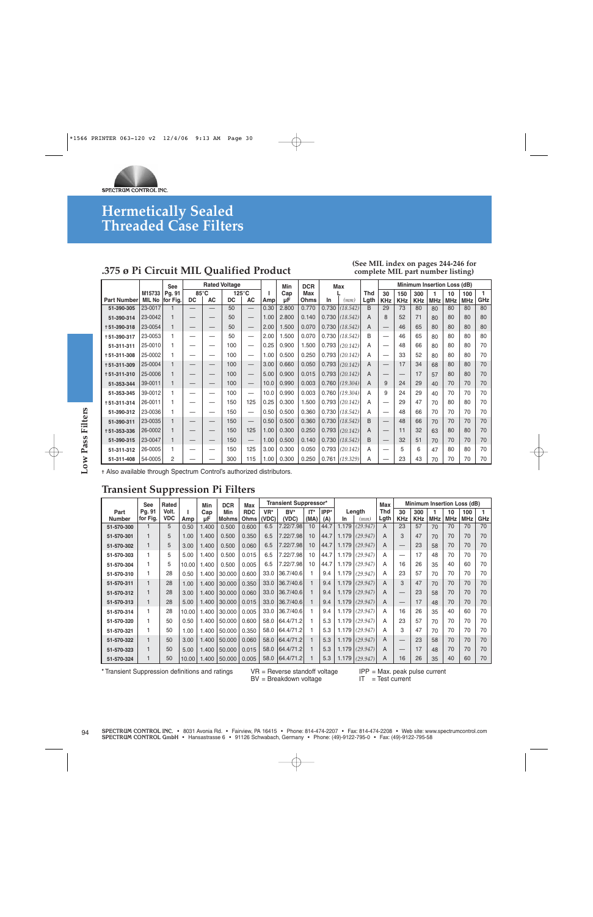

### **.375 ø Pi Circuit MIL Qualified Product**

#### **(See MIL index on pages 244-246 for complete MIL part number listing)**

|                    |         | <b>See</b> |                |                          | <b>Rated Voltage</b> |                                 |      | Min   | <b>DCR</b>  |       | <b>Max</b> |      |                                  |            |            |     | Minimum Insertion Loss (dB) |            |     |
|--------------------|---------|------------|----------------|--------------------------|----------------------|---------------------------------|------|-------|-------------|-------|------------|------|----------------------------------|------------|------------|-----|-----------------------------|------------|-----|
|                    | M15733  | Pg. 91     | $85^{\circ}$ C |                          |                      | $125^{\circ}$ C                 |      | Cap   | <b>Max</b>  |       |            | Thd  | 30                               | 150        | 300        |     | 10                          | 100        |     |
| <b>Part Number</b> | MIL No  | for Fig.   | <b>DC</b>      | <b>AC</b>                | <b>DC</b>            | <b>AC</b>                       | Amp  | μF    | <b>Ohms</b> | In    | (mm)       | Lgth | <b>KHz</b>                       | <b>KHz</b> | <b>KHz</b> | MHz | <b>MHz</b>                  | <b>MHz</b> | GHz |
| 51-390-305         | 23-0017 |            |                | $\overline{\phantom{0}}$ | 50                   | $\overline{\phantom{0}}$        | 0.30 | 2.800 | 0.770       | 0.730 | (18.542)   | B    | 29                               | 73         | 80         | 80  | 80                          | 80         | 80  |
| 51-390-314         | 23-0042 |            |                |                          | 50                   | $\qquad \qquad -$               | 1.00 | 2.800 | 0.140       | 0.730 | (18.542)   | A    | 8                                | 52         | 71         | 80  | 80                          | 80         | 80  |
| +51-390-318        | 23-0054 |            |                |                          | 50                   | $\overline{\phantom{m}}$        | 2.00 | 1.500 | 0.070       | 0.730 | (18.542)   | A    | $\overbrace{\phantom{12322111}}$ | 46         | 65         | 80  | 80                          | 80         | 80  |
| +51-390-317        | 23-0053 |            |                | —                        | 50                   |                                 | 2.00 | 1.500 | 0.070       | 0.730 | (18.542)   | B    | —                                | 46         | 65         | 80  | 80                          | 80         | 80  |
| 51-311-311         | 25-0010 |            |                | —                        | 100                  |                                 | 0.25 | 0.900 | 1.500       | 0.793 | (20.142)   | A    | –                                | 48         | 66         | 80  | 80                          | 80         | 70  |
| +51-311-308        | 25-0002 |            |                |                          | 100                  |                                 | 1.00 | 0.500 | 0.250       | 0.793 | (20.142)   | A    | –                                | 33         | 52         | 80  | 80                          | 80         | 70  |
| +51-311-309        | 25-0004 |            | —              |                          | 100                  | $\overline{\phantom{m}}$        | 3.00 | 0.660 | 0.050       | 0.793 | (20.142)   | A    |                                  | 17         | 34         | 68  | 80                          | 80         | 70  |
| $+51-311-310$      | 25-0006 |            |                |                          | 100                  |                                 | 5.00 | 0.900 | 0.015       | 0.793 | (20.142)   | A    |                                  |            | 17         | 57  | 80                          | 80         | 70  |
| 51-353-344         | 39-0011 |            | —              |                          | 100                  | $\hspace{0.1mm}-\hspace{0.1mm}$ | 10.0 | 0.990 | 0.003       | 0.760 | (19.304)   | A    | 9                                | 24         | 29         | 40  | 70                          | 70         | 70  |
| 51-353-345         | 39-0012 |            |                |                          | 100                  |                                 | 10.0 | 0.990 | 0.003       | 0.760 | (19.304)   | A    | 9                                | 24         | 29         | 40  | 70                          | 70         | 70  |
| +51-311-314        | 26-0011 |            |                |                          | 150                  | 125                             | 0.25 | 0.300 | 1.500       | 0.793 | (20.142)   | A    | –                                | 29         | 47         | 70  | 80                          | 80         | 70  |
| 51-390-312         | 23-0036 |            |                |                          | 150                  |                                 | 0.50 | 0.500 | 0.360       | 0.730 | (18.542)   | A    | –                                | 48         | 66         | 70  | 70                          | 70         | 70  |
| 51-390-311         | 23-0035 |            |                | —                        | 150                  |                                 | 0.50 | 0.500 | 0.360       | 0.730 | (18.542)   | B    |                                  | 48         | 66         | 70  | 70                          | 70         | 70  |
| +51-353-336        | 26-0002 |            |                |                          | 150                  | 125                             | 1.00 | 0.300 | 0.250       | 0.793 | (20.142)   | A    | $\overbrace{\phantom{12322111}}$ | 11         | 32         | 63  | 80                          | 80         | 70  |
| 51-390-315         | 23-0047 |            |                |                          | 150                  | $\hspace{0.1mm}-\hspace{0.1mm}$ | 1.00 | 0.500 | 0.140       | 0.730 | (18.542)   | B    | $\overline{\phantom{m}}$         | 32         | 51         | 70  | 70                          | 70         | 70  |
| 51-311-312         | 26-0005 |            |                | –                        | 150                  | 125                             | 3.00 | 0.300 | 0.050       | 0.793 | (20.142)   | A    |                                  | 5          | 6          | 47  | 80                          | 80         | 70  |
| 51-311-408         | 54-0005 | 2          |                |                          | 300                  | 115                             | 1.00 | 0.300 | 0.250       | 0.761 | (19.329)   | A    |                                  | 23         | 43         | 70  | 70                          | 70         | 70  |

#### **Transient Suppression Pi Filters**

|                                                                                                                 | 23-0036                    | 1              |                          |                                  | 150            | $\overline{\phantom{0}}$ | 0.50       | 0.500                        | 0.360        |              | 0.730   (18.542) | A                            |                          | 48                       | 66         | 70         | 70                          | 70         | 70       |
|-----------------------------------------------------------------------------------------------------------------|----------------------------|----------------|--------------------------|----------------------------------|----------------|--------------------------|------------|------------------------------|--------------|--------------|------------------|------------------------------|--------------------------|--------------------------|------------|------------|-----------------------------|------------|----------|
| 51-390-311                                                                                                      | 23-0035                    | 1              |                          |                                  | 150            |                          | 0.50       | 0.500                        | 0.360        |              | $0.730$ (18.542) | B                            |                          | 48                       | 66         | 70         | 70                          | 70         | 70       |
| +51-353-336                                                                                                     | 26-0002                    | $\mathbf{1}$   |                          | $\overbrace{\phantom{12322111}}$ | 150            | 125                      | 1.00       | 0.300                        | 0.250        |              | $0.793$ (20.142) | A                            |                          | 11                       | 32         | 63         | 80                          | 80         | 70       |
| 51-390-315                                                                                                      | 23-0047                    | $\mathbf{1}$   | $\overline{\phantom{0}}$ | $\overline{\phantom{0}}$         | 150            | $\qquad \qquad -$        | 1.00       | 0.500                        | 0.140        |              | 0.730   (18.542) | B                            | $\overline{\phantom{0}}$ | 32                       | 51         | 70         | 70                          | 70         | 70       |
| 51-311-312                                                                                                      | 26-0005                    | $\mathbf{1}$   | $\overline{\phantom{0}}$ | $\qquad \qquad$                  | 150            | 125                      | 3.00       | 0.300                        | 0.050        |              | $0.793$ (20.142) | Α                            | $\overline{\phantom{0}}$ | 5                        | 6          | 47         | 80                          | 80         | 70       |
| 51-311-408                                                                                                      | 54-0005                    | $\overline{2}$ |                          |                                  | 300            | 115                      | 1.00       | 0.300                        | 0.250        |              | $0.761$ (19.329) | A                            |                          | 23                       | 43         | 70         | 70                          | 70         | 70       |
| + Also available through Spectrum Control's authorized distributors.<br><b>Transient Suppression Pi Filters</b> |                            |                |                          |                                  |                |                          |            |                              |              |              |                  |                              |                          |                          |            |            |                             |            |          |
|                                                                                                                 | <b>See</b>                 | Rated          |                          | Min                              | <b>DCR</b>     | Max                      |            | <b>Transient Suppressor*</b> |              |              |                  |                              | <b>Max</b>               |                          |            |            | Minimum Insertion Loss (dB) |            |          |
| Part                                                                                                            | Pg. 91                     | Volt.          | т                        | Cap                              | Min            | <b>RDC</b>               | VR*        | BV*                          | IT*          | IPP*         |                  | Length                       | <b>Thd</b>               | 30                       | 300        | 1          | 10                          | 100        | 1        |
| <b>Number</b>                                                                                                   | for Fig.<br>$\overline{1}$ | <b>VDC</b>     | Amp                      | μF                               | <b>Mohms</b>   | Ohms                     | (VDC)      | (VDC)                        | (MA)         | (A)          | In               | (mm)                         | Lgth                     | <b>KHz</b>               | <b>KHz</b> | <b>MHz</b> | <b>MHz</b>                  | <b>MHz</b> | GHz      |
| 51-570-300                                                                                                      | $\mathbf{1}$               | 5<br>5         | 0.50                     | 1.400                            | 0.500          | 0.600                    | 6.5<br>6.5 | 7.22/7.98<br>7.22/7.98       | 10<br>10     | 44.7<br>44.7 | 1.179            | (29.947)<br>$1.179$ (29.947) | $\overline{A}$<br>A      | $\overline{23}$<br>3     | 57<br>47   | 70         | 70<br>70                    | 70<br>70   | 70<br>70 |
| 51-570-301<br>51-570-302                                                                                        | $\mathbf{1}$               | 5              | 1.00<br>3.00             | 1.400<br>1.400                   | 0.500<br>0.500 | 0.350<br>0.060           | 6.5        | 7.22/7.98                    | 10           | 44.7         |                  | $1.179$ (29.947)             | A                        |                          | 23         | 70<br>58   | 70                          | 70         | 70       |
| 51-570-303                                                                                                      | $\mathbf{1}$               | 5              | 5.00                     | 1.400                            | 0.500          | 0.015                    | 6.5        | 7.22/7.98                    | 10           | 44.7         | 1.179            | (29.947)                     | A                        |                          | 17         | 48         | 70                          | 70         | 70       |
| 51-570-304                                                                                                      | 1                          | 5              | 10.00                    | 1.400                            | 0.500          | 0.005                    | 6.5        | 7.22/7.98                    | 10           | 44.7         | 1.179            | (29.947)                     | A                        | 16                       | 26         | 35         | 40                          | 60         | 70       |
| 51-570-310                                                                                                      | $\mathbf{1}$               | 28             | 0.50                     | 1.400                            | 30.000         | 0.600                    | 33.0       | 36.7/40.6                    | $\mathbf{1}$ | 9.4          |                  | $1.179$ (29.947)             | A                        | 23                       | 57         | 70         | 70                          | 70         | 70       |
| 51-570-311                                                                                                      | $\mathbf{1}$               | 28             | 1.00                     | 1.400                            | 30.000         | 0.350                    | 33.0       | 36.7/40.6                    | $\mathbf{1}$ | 9.4          |                  | $1.179$ (29.947)             | A                        | 3                        | 47         | 70         | 70                          | 70         | 70       |
| 51-570-312                                                                                                      | $\mathbf{1}$               | 28             | 3.00                     | 1.400                            | 30.000         | 0.060                    | 33.0       | 36.7/40.6                    | $\mathbf{1}$ | 9.4          |                  | $1.179$ (29.947)             | A                        |                          | 23         | 58         | 70                          | 70         | 70       |
| 51-570-313                                                                                                      | $\mathbf{1}$               | 28             | 5.00                     | 1.400                            | 30.000         | 0.015                    | 33.0       | 36.7/40.6                    | $\mathbf{1}$ | 9.4          | 1.179            | (29.947)                     | A                        | $\overline{\phantom{0}}$ | 17         | 48         | 70                          | 70         | 70       |
| 51-570-314                                                                                                      | $\mathbf{1}$               | 28             | 10.00                    | 1.400                            | 30.000         | 0.005                    | 33.0       | 36.7/40.6                    | $\mathbf{1}$ | 9.4          |                  | $1.179$ (29.947)             | A                        | 16                       | 26         | 35         | 40                          | 60         | 70       |
| 51-570-320                                                                                                      | $\mathbf{1}$               | 50             | 0.50                     | 1.400                            | 50.000         | 0.600                    | 58.0       | 64.4/71.2                    | 1            | 5.3          | 1.179            | (29.947)                     | A                        | 23                       | 57         | 70         | 70                          | 70         | 70       |
| 51-570-321                                                                                                      | 1                          | 50             | 1.00                     | 1.400                            | 50.000         | 0.350                    | 58.0       | 64.4/71.2                    | -1           | 5.3          | 1.179            | (29.947)                     | A                        | 3                        | 47         | 70         | 70                          | 70         | 70       |
| 51-570-322                                                                                                      | $\mathbf{1}$               | 50             | 3.00                     | 1.400                            | 50.000         | 0.060                    | 58.0       | 64.4/71.2                    | $\mathbf{1}$ | 5.3          | 1.179            | (29.947)                     | A                        |                          | 23         | 58         | 70                          | 70         | 70       |
| 51-570-323                                                                                                      | $\mathbf{1}$               | 50             | 5.00                     | 1.400                            | 50.000         | 0.015                    | 58.0       | 64.4/71.2                    |              | 5.3          |                  | $1.179$ (29.947)             | A                        |                          | 17         | 48         | 70                          | 70         | 70       |
| 51-570-324                                                                                                      | $\mathbf{1}$               | 50             | 10.00                    | 1.400                            | 50.000         | 0.005                    | 58.0       | 64.4/71.2                    | 1            | 5.3          |                  | $1.179$ (29.947)             | A                        | 16                       | 26         | 35         | 40                          | 60         | 70       |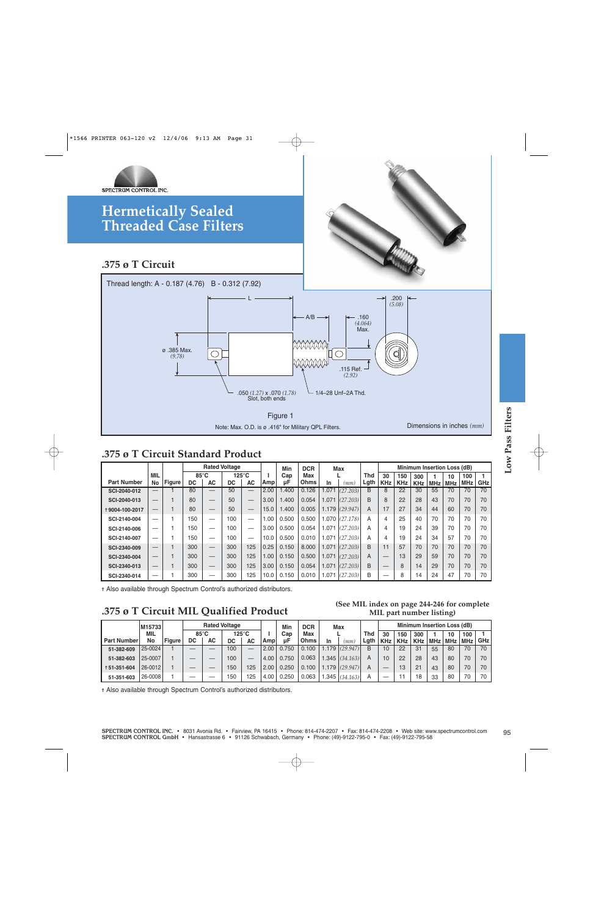

**.375 ø T Circuit**



#### **.375 ø T Circuit Standard Product**

|                                                                                                                                                                                                                                                                                                                                                                                                                                                                                                                                                                                                        |                                 |                   |                   | <b>Rated Voltage</b>     |                       |                          |              | Min              | <b>DCR</b>                |                | Max                                         |                    |                                                      |                          | Minimum Insertion Loss (dB) |                            |                  |                   |                     |
|--------------------------------------------------------------------------------------------------------------------------------------------------------------------------------------------------------------------------------------------------------------------------------------------------------------------------------------------------------------------------------------------------------------------------------------------------------------------------------------------------------------------------------------------------------------------------------------------------------|---------------------------------|-------------------|-------------------|--------------------------|-----------------------|--------------------------|--------------|------------------|---------------------------|----------------|---------------------------------------------|--------------------|------------------------------------------------------|--------------------------|-----------------------------|----------------------------|------------------|-------------------|---------------------|
| <b>Part Number</b>                                                                                                                                                                                                                                                                                                                                                                                                                                                                                                                                                                                     | <b>MIL</b><br><b>No</b>         | <b>Figure</b>     | 85°C<br><b>DC</b> | <b>AC</b>                | $125^{\circ}$ C<br>DC | <b>AC</b>                | ı.<br>Amp    | Cap<br>μF        | Max<br>Ohms               | In             | L<br>(mm)                                   | <b>Thd</b><br>Lgth | 30<br><b>KHz</b>                                     | 150<br><b>KHz</b>        | 300<br><b>KHz</b>           | 1<br><b>MHz</b>            | 10<br><b>MHz</b> | 100<br><b>MHz</b> | 1<br>GHz            |
| SCI-2040-012                                                                                                                                                                                                                                                                                                                                                                                                                                                                                                                                                                                           |                                 | $\mathbf{1}$      | 80                | $\overline{\phantom{0}}$ | 50                    |                          | 2.00         | 1.400            | 0.126                     | 1.071          | (27.203)                                    | B                  | 8                                                    | 22                       | 30                          | 55                         | 70               | 70                | 70                  |
| SCI-2040-013                                                                                                                                                                                                                                                                                                                                                                                                                                                                                                                                                                                           | $\overline{\phantom{0}}$        | $\mathbf{1}$      | 80                |                          | 50                    |                          | 3.00         | 1.400            | 0.054                     | 1.071          | (27.203)                                    | B                  | 8                                                    | 22                       | 28                          | 43                         | 70               | 70                | 70                  |
| +9004-100-2017                                                                                                                                                                                                                                                                                                                                                                                                                                                                                                                                                                                         | $\overbrace{\phantom{1232211}}$ | $\mathbf{1}$      | 80                |                          | 50                    |                          | 15.0         | 1.400            | 0.005                     |                | $1.179$ (29.947)                            | A                  | 17                                                   | 27                       | 34                          | 44                         | 60               | 70                | 70                  |
| SCI-2140-004                                                                                                                                                                                                                                                                                                                                                                                                                                                                                                                                                                                           | $\overline{\phantom{0}}$        | $\mathbf{1}$      | 150               | $\equiv$                 | 100                   | $\overline{\phantom{0}}$ | 1.00         | 0.500            | 0.500                     |                | $1.070$ (27.178)                            | A                  | $\overline{4}$                                       | 25                       | 40                          | 70                         | 70               | 70                | 70                  |
| SCI-2140-006                                                                                                                                                                                                                                                                                                                                                                                                                                                                                                                                                                                           | $\overline{\phantom{0}}$        | 1                 | 150               | $\overline{\phantom{0}}$ | 100                   | $\overline{\phantom{0}}$ | 3.00         | 0.500            | 0.054                     | 1.071          | (27.203)                                    | A                  | 4                                                    | 19                       | 24                          | 39                         | 70               | 70                | 70                  |
| SCI-2140-007                                                                                                                                                                                                                                                                                                                                                                                                                                                                                                                                                                                           |                                 | 1                 | 150               | $\overline{\phantom{0}}$ | 100                   |                          | 10.0         | 0.500            | 0.010                     | 1.071          | (27.203)                                    | A                  | $\overline{4}$                                       | 19                       | 24                          | 34                         | 57               | 70                | 70                  |
| SCI-2340-009                                                                                                                                                                                                                                                                                                                                                                                                                                                                                                                                                                                           |                                 | $\mathbf{1}$      | 300               |                          | 300                   | 125                      | 0.25         | 0.150            | 8.000                     | 1.071          | (27.203)                                    | B                  | 11                                                   | 57                       | 70                          | 70                         | 70               | 70                | 70                  |
| SCI-2340-004                                                                                                                                                                                                                                                                                                                                                                                                                                                                                                                                                                                           |                                 |                   |                   |                          |                       |                          |              |                  |                           |                |                                             |                    |                                                      |                          |                             |                            |                  |                   |                     |
|                                                                                                                                                                                                                                                                                                                                                                                                                                                                                                                                                                                                        |                                 |                   |                   |                          |                       |                          |              |                  |                           |                |                                             |                    |                                                      |                          |                             |                            |                  |                   |                     |
| 300<br>125<br>1.00<br>0.150<br>0.500<br>1.071<br>(27.203)<br>13<br>29<br>70<br>70<br>70<br>$\mathbf{1}$<br>300<br>$\mathsf{A}$<br>59<br>70<br>$\mathbf{1}$<br>300<br>300<br>125<br>3.00<br>0.150<br>0.054<br>1.071<br>(27.203)<br>B<br>8<br>14<br>29<br>70<br>70<br>SCI-2340-013<br>$-$<br>$\overline{\phantom{0}}$<br>$\mathbf{1}$<br>300<br>0.150<br>1.071<br><sub>B</sub><br>8<br>14<br>47<br>$\equiv$<br>300<br>125<br>10.0<br>0.010<br>(27.203)<br>$\overline{\phantom{0}}$<br>24<br>70<br>70<br>$\overline{\phantom{0}}$<br>+ Also available through Spectrum Control's authorized distributors. |                                 |                   |                   |                          |                       |                          |              |                  |                           |                |                                             |                    |                                                      |                          |                             |                            |                  |                   |                     |
| SCI-2340-014<br>.375 ø T Circuit MIL Qualified Product                                                                                                                                                                                                                                                                                                                                                                                                                                                                                                                                                 |                                 |                   |                   |                          |                       |                          |              |                  |                           |                | (See MIL index on page 244-246 for complete |                    |                                                      | MIL part number listing) |                             |                            |                  |                   |                     |
|                                                                                                                                                                                                                                                                                                                                                                                                                                                                                                                                                                                                        |                                 |                   |                   | <b>Rated Voltage</b>     |                       |                          |              |                  |                           |                |                                             |                    |                                                      |                          | Minimum Insertion Loss (dB) |                            |                  |                   |                     |
|                                                                                                                                                                                                                                                                                                                                                                                                                                                                                                                                                                                                        | M15733<br><b>MIL</b><br>No      | Figure            | DC                | 85°C<br>AC               | $125^{\circ}$ C<br>DC | AC                       | п.<br>Amp    | Min<br>Cap<br>μF | <b>DCR</b><br>Max<br>Ohms | In             | <b>Max</b><br>(mm)                          | <b>Thd</b><br>Lgth | 30<br><b>KHz</b>                                     | 150<br><b>KHz</b>        | 300<br><b>KHz</b>           | $\mathbf{1}$<br><b>MHz</b> | 10<br><b>MHz</b> | 100<br><b>MHz</b> | $\mathbf{1}$<br>GHz |
|                                                                                                                                                                                                                                                                                                                                                                                                                                                                                                                                                                                                        | 25-0024                         |                   |                   |                          | 100                   |                          | 2.00         | 0.750            | 0.100                     | 1.179          | (29.947)                                    | $\overline{B}$     | 10                                                   | 22                       | 31                          | 55                         | 80               | 70                | 70                  |
| <b>Part Number</b><br>51-382-609<br>51-382-603                                                                                                                                                                                                                                                                                                                                                                                                                                                                                                                                                         | 25-0007                         | $\mathbf{1}$      |                   |                          | 100                   |                          | 4.00         | 0.750            | 0.063                     | 1.345          | (34.163)                                    | A                  | 10                                                   | 22                       | 28                          | 43                         | 80               | 70                | 70                  |
| +51-351-604<br>51-351-603                                                                                                                                                                                                                                                                                                                                                                                                                                                                                                                                                                              | 26-0012<br>26-0008              | $\mathbf{1}$<br>1 |                   |                          | 150<br>150            | 125<br>125               | 2.00<br>4.00 | 0.250<br>0.250   | 0.100<br>0.063            | 1.179<br>1.345 | (29.947)<br>(34.163)                        | A<br>A             | $\overline{\phantom{m}}$<br>$\overline{\phantom{0}}$ | 13<br>11                 | 21<br>18                    | 43<br>33                   | 80<br>80         | 70<br>70          | 70<br>70            |

### **.375 ø T Circuit MIL Qualified Product**

#### **(See MIL index on page 244-246 for complete MIL part number listing)**

|                    | M15733  |               |                |    | <b>Rated Voltage</b> |           |      | Min   | <b>DCR</b>  |      | Max      |      |            |            | <b>Minimum Insertion Loss (dB)</b> |     |     |            |       |
|--------------------|---------|---------------|----------------|----|----------------------|-----------|------|-------|-------------|------|----------|------|------------|------------|------------------------------------|-----|-----|------------|-------|
|                    | MIL     |               | $85^{\circ}$ C |    |                      | 125°C     |      | Cap   | Max         |      |          | Thd  | 30         | 150        | 300                                |     | 10  | 100        |       |
| <b>Part Number</b> | No      | <b>Figure</b> | DC             | AC | DC                   | <b>AC</b> | Amp  | uF    | <b>Ohms</b> | In   | mm       | Lgth | <b>KHz</b> | <b>KHz</b> | <b>KHz</b>                         | MHz | MHz | <b>MHz</b> | GHz I |
| 51-382-609         | 25-0024 |               | _              |    | 100                  |           | 2.00 | 0.750 | 0.100       | .179 | (29.947) | B    | 10         | 22         | 31                                 | 55  | 80  | 70         | 70    |
| 51-382-603         | 25-0007 |               | _              |    | 100                  |           | 4.00 | 0.750 | 0.063       | .345 | (34.163) | A    | 10         | 22         | 28                                 | 43  | 80  | 70         | 70    |
| +51-351-604        | 26-0012 |               |                |    | 150                  | 125       | 2.00 | 0.250 | 0.100       | .179 | (29.947) | A    |            | 13         | 21                                 | 43  | 80  | 70         | 70    |
| 51-351-603         | 26-0008 |               |                |    | 50                   | 125       | 4.00 | 0.250 | 0.063       | .345 | (34.163) | А    | --         |            | 18                                 | 33  | 80  | 70         | 70    |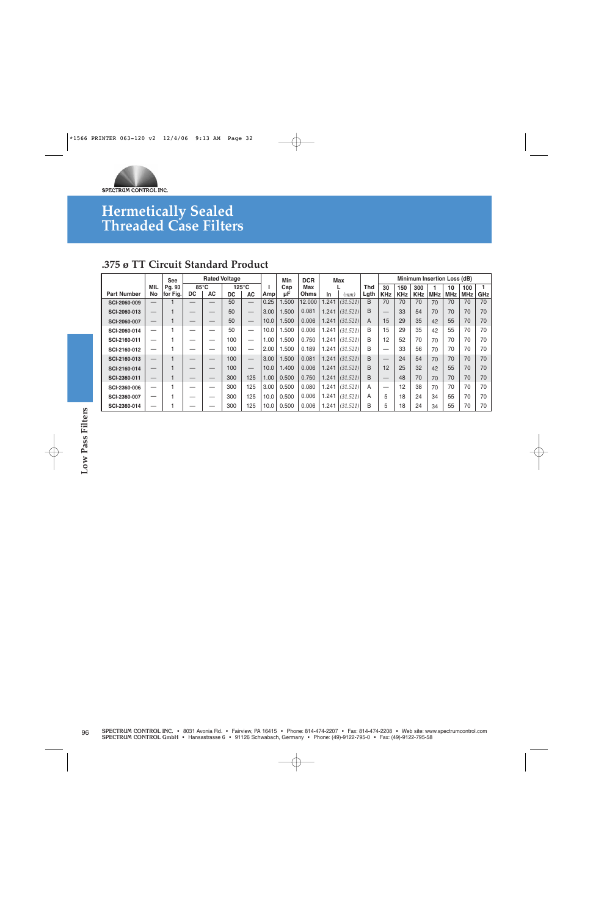

### **.375 ø TT Circuit Standard Product**

|                    |                          | <b>See</b> |                |    | <b>Rated Voltage</b> |                                 |      | Min   | <b>DCR</b> |       | Max      |      |            |            |            |            | Minimum Insertion Loss (dB) |            |     |
|--------------------|--------------------------|------------|----------------|----|----------------------|---------------------------------|------|-------|------------|-------|----------|------|------------|------------|------------|------------|-----------------------------|------------|-----|
|                    | <b>MIL</b>               | Pg. 93     | $85^{\circ}$ C |    |                      | $125^{\circ}$ C                 |      | Cap   | Max        |       |          | Thd  | 30         | 150        | 300        |            | 10                          | 100        |     |
| <b>Part Number</b> | No                       | for Fig.   | DC             | АC | DC                   | АC                              | Ampl | μF    | Ohms       | In    | (mm)     | Lgth | <b>KHz</b> | <b>KHz</b> | <b>KHz</b> | <b>MHz</b> | <b>MHz</b>                  | <b>MHz</b> | GHz |
| SCI-2060-009       | $\overline{\phantom{0}}$ |            |                |    | 50                   | $\hspace{0.1mm}-\hspace{0.1mm}$ | 0.25 | .500  | 12.000     | .241  | (31.521) | B    | 70         | 70         | 70         | 70         | 70                          | 70         | 70  |
| SCI-2060-013       |                          |            |                |    | 50                   | $\hspace{0.1mm}-\hspace{0.1mm}$ | 3.00 | .500  | 0.081      | 1.241 | (31.521) | B    | —          | 33         | 54         | 70         | 70                          | 70         | 70  |
| SCI-2060-007       | —                        |            |                |    | 50                   |                                 | 10.0 | .500  | 0.006      | 1.241 | (31.521) | A    | 15         | 29         | 35         | 42         | 55                          | 70         | 70  |
| SCI-2060-014       | —                        |            | -              |    | 50                   |                                 | 10.0 | .500  | 0.006      | 1.241 | (31.521) | B    | 15         | 29         | 35         | 42         | 55                          | 70         | 70  |
| SCI-2160-011       | –                        |            | --             |    | 100                  |                                 | 1.00 | .500  | 0.750      | 1.241 | (31.521) | B    | 12         | 52         | 70         | 70         | 70                          | 70         | 70  |
| SCI-2160-012       | –                        |            | –              |    | 100                  |                                 | 2.00 | .500  | 0.189      | 1.241 | (31.521) | B    | –          | 33         | 56         | 70         | 70                          | 70         | 70  |
| SCI-2160-013       | —                        |            |                |    | 100                  |                                 | 3.00 | .500  | 0.081      | 1.241 | (31.521) | B    |            | 24         | 54         | 70         | 70                          | 70         | 70  |
| SCI-2160-014       | –                        |            | _              |    | 100                  |                                 | 10.0 | 1.400 | 0.006      | 1.241 | (31.521) | B    | 12         | 25         | 32         | 42         | 55                          | 70         | 70  |
| SCI-2360-011       | —                        |            | –              |    | 300                  | 125                             | 1.00 | 0.500 | 0.750      | 1.241 | (31.521) | B    |            | 48         | 70         | 70         | 70                          | 70         | 70  |
| SCI-2360-006       | —                        |            | --             |    | 300                  | 125                             | 3.00 | 0.500 | 0.080      | .241  | (31.521) | Α    | —          | 12         | 38         | 70         | 70                          | 70         | 70  |
| SCI-2360-007       | –                        |            |                |    | 300                  | 125                             | 10.0 | 0.500 | 0.006      | 1.241 | (31.521) | A    | 5          | 18         | 24         | 34         | 55                          | 70         | 70  |
| SCI-2360-014       | --                       |            |                |    | 300                  | 125                             | 10.0 | 0.500 | 0.006      | .241  | (31.521) | B    | 5          | 18         | 24         | 34         | 55                          | 70         | 70  |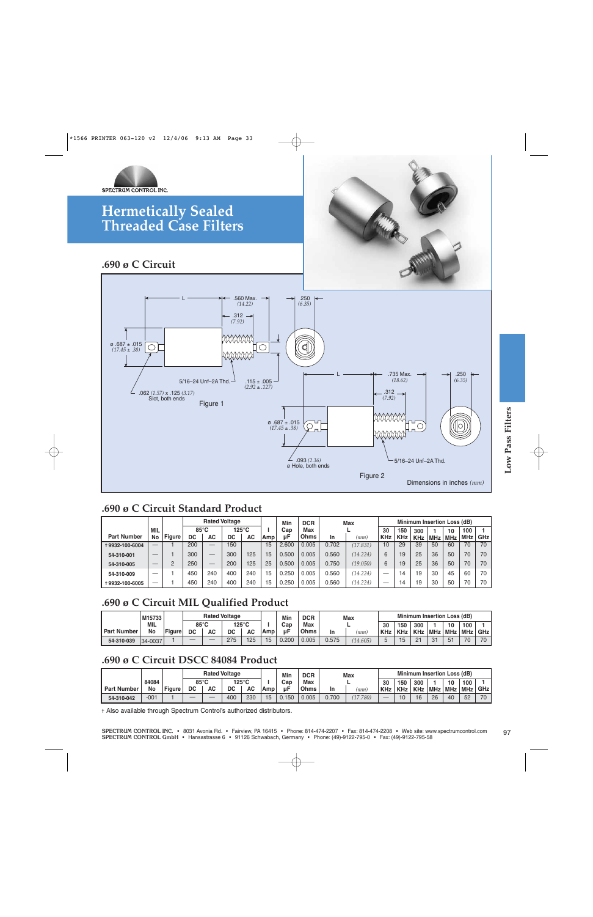

### **.690 ø C Circuit**



### **.690 ø C Circuit Standard Product**

|                    |            |               |     |                | <b>Rated Voltage</b> |       |     | Min   | <b>DCR</b> |           | <b>Max</b> |            |     | Minimum Insertion Loss (dB) |            |            |            |            |
|--------------------|------------|---------------|-----|----------------|----------------------|-------|-----|-------|------------|-----------|------------|------------|-----|-----------------------------|------------|------------|------------|------------|
|                    | <b>MIL</b> |               |     | $85^{\circ}$ C |                      | 125°C |     | Cap   | Max        |           |            | 30         | 150 | 300                         |            | 10         | 100        |            |
| <b>Part Number</b> | No         | <b>Figure</b> | DC  | AC             | DC                   | AC    | Amp | иF    | Ohms       | <b>In</b> | (mm)       | <b>KHz</b> | KHz | <b>KHz</b>                  | <b>MHz</b> | <b>MHz</b> | <b>MHz</b> | <b>GHz</b> |
| +9932-100-6004     | $-$        |               | 200 | _              | 150                  |       | 15  | 2.600 | 0.005      | 0.702     | (17.831)   | 10         | 29  | 39                          | 50         | 60         | 70         | 70         |
| 54-310-001         | $-$        |               | 300 | _              | 300                  | 125   | 15  | 0.500 | 0.005      | 0.560     | (14.224)   | 6          | 19  | 25                          | 36         | 50         | 70         | 70         |
| 54-310-005         |            | C             | 250 | _              | 200                  | 125   | 25  | 0.500 | 0.005      | 0.750     | (19.050)   | 6          | 19  | 25                          | 36         | 50         | 70         | 70         |
| 54-310-009         |            |               | 450 | 240            | 400                  | 240   | 15  | 0.250 | 0.005      | 0.560     | (14.224)   | _          | 14  | 19                          | 30         | 45         | 60         | 70         |
| +9932-100-6005     |            |               | 450 | 240            | 400                  | 240   | 15  | .250  | 0.005      | 0.560     | (14.224)   | –          | 14  | 19                          | 30         | 50         | 70         | 70         |

### **.690 ø C Circuit MIL Qualified Product**

|                    | M15733  |               |     |                | <b>Rated Voltage</b> |           |     | Min   | <b>DCR</b> |       | Max      |            |            | <b>Minimum Insertion Loss (dB)</b> |                      |                |              |            |
|--------------------|---------|---------------|-----|----------------|----------------------|-----------|-----|-------|------------|-------|----------|------------|------------|------------------------------------|----------------------|----------------|--------------|------------|
|                    | MIL     |               |     | $85^{\circ}$ C |                      | 125°C     |     | Cap   | Max        |       |          | 30         | 150        | 300                                |                      | 10             | 100          |            |
| <b>Part Number</b> | No      | <b>Figure</b> | DC  | AC             | DC                   | <b>AC</b> | Amp | цF    | Ohms       | In    | (mm)     | <b>KHz</b> | <b>KHz</b> | <b>KHz</b>                         | <b>MHz</b>           | MHz MHz        |              | <b>GHz</b> |
| 54-310-039         | 34-0037 |               | $-$ | _              | 275                  | 125       | 15  | 0.200 | 0.005      | 0.575 | (14.605) |            | 15         | 21                                 | $\Omega$<br>$\cup$ . | F <sub>1</sub> | $70^{\circ}$ | 70         |

### **.690 ø C Circuit DSCC 84084 Product**

|                    |        |               |    |                | <b>Rated Voltage</b> |           |     | Min  | <b>DCR</b> |       | <b>Max</b> |            |            | <b>Minimum Insertion Loss (dB)</b> |            |            |            |       |
|--------------------|--------|---------------|----|----------------|----------------------|-----------|-----|------|------------|-------|------------|------------|------------|------------------------------------|------------|------------|------------|-------|
|                    | 84084  |               |    | $85^{\circ}$ C |                      | 125°C     |     | Cap  | Max        |       |            | 30         | 150        | 300                                |            | 10         | 100        |       |
| <b>Part Number</b> | No     | <b>Figure</b> | DC | AC             | DC                   | <b>AC</b> | Amp | цF   | Ohms       | In    | (mm)       | <b>KHz</b> | <b>KHz</b> | <b>KHz</b>                         | <b>MHz</b> | <b>MHz</b> | <b>MHz</b> | GHz I |
| 54-310-042         | $-001$ |               | _  |                | 400                  | 230       | 15  | .150 | 0.005      | 0.700 | (17.780)   | _          |            | AC<br>◡                            | 26         | 40         | 52         | 70    |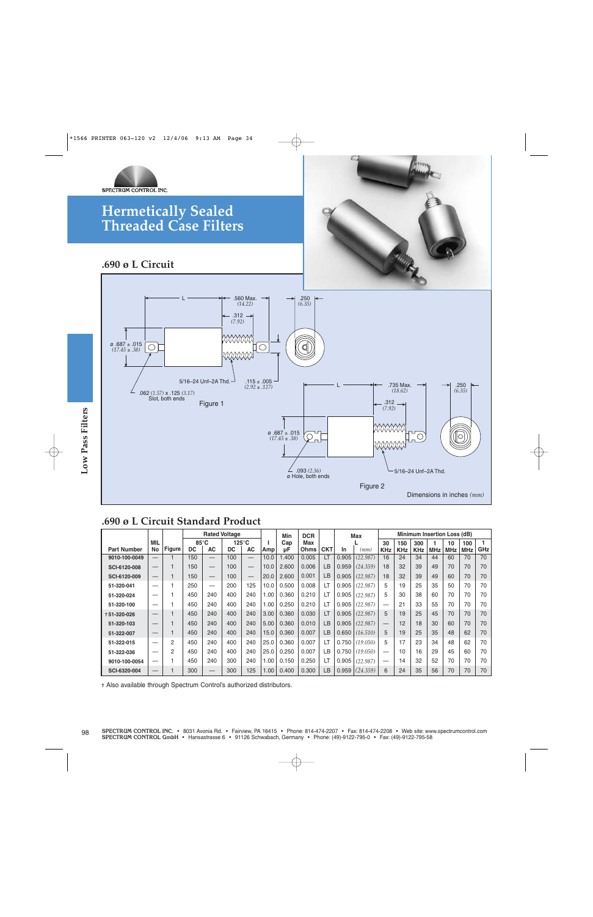



**.690 ø L Circuit**



### **.690 ø L Circuit Standard Product**

|                                                                                                                      |                          |                |                             |                          |           |                              |           | $(17.45 \pm .38)$ | .093(2.36)<br>ø Hole, both ends |            |       | Figure 2 |                  |                   |                   | 5/16-24 Unf-2A Thd.<br>Dimensions in inches $(mm)$ |                  | 0                 |     |
|----------------------------------------------------------------------------------------------------------------------|--------------------------|----------------|-----------------------------|--------------------------|-----------|------------------------------|-----------|-------------------|---------------------------------|------------|-------|----------|------------------|-------------------|-------------------|----------------------------------------------------|------------------|-------------------|-----|
| .690 ø L Circuit Standard Product<br><b>Rated Voltage</b><br>Minimum Insertion Loss (dB)<br><b>DCR</b><br>Min<br>Max |                          |                |                             |                          |           |                              |           |                   |                                 |            |       |          |                  |                   |                   |                                                    |                  |                   |     |
| <b>Part Number</b>                                                                                                   | MIL<br>No                | <b>Figure</b>  | $85^{\circ}$ C<br><b>DC</b> | <b>AC</b>                | <b>DC</b> | $125^{\circ}$ C<br><b>AC</b> | л.<br>Amp | Cap<br>μF         | Max<br>Ohms                     | <b>CKT</b> | In    | (mm)     | 30<br><b>KHz</b> | 150<br><b>KHz</b> | 300<br><b>KHz</b> | $\mathbf{1}$<br><b>MHz</b>                         | 10<br><b>MHz</b> | 100<br><b>MHz</b> | GHz |
| 9010-100-0049                                                                                                        |                          | $\mathbf{1}$   | 150                         |                          | 100       |                              | 10.0      | 1.400             | 0.005                           | LT         | 0.905 | (22.987) | 16               | 24                | 34                | 44                                                 | 60               | 70                |     |
| SCI-6120-008                                                                                                         |                          | $\mathbf{1}$   | 150                         |                          | 100       |                              | 10.0      | 2.600             | 0.006                           | LB         | 0.959 | (24.359) | 18               | 32                | 39                | 49                                                 | 70               | 70                |     |
| SCI-6120-009                                                                                                         |                          | $\mathbf{1}$   | 150                         | $\overline{\phantom{0}}$ | 100       | $\qquad \qquad -$            | 20.0      | 2.600             | 0.001                           | LB         | 0.905 | (22.987) | 18               | 32                | 39                | 49                                                 | 60               | 70                |     |
| 51-320-041                                                                                                           | —                        | $\overline{1}$ | 250                         | $\overline{\phantom{m}}$ | 200       | 125                          | 10.0      | 0.500             | 0.008                           | LT         | 0.905 | (22.987) | 5                | 19                | 25                | 35                                                 | 50               | 70                |     |
| 51-320-024                                                                                                           | $\overline{\phantom{0}}$ | 1              | 450                         | 240                      | 400       | 240                          | 1.00      | 0.360             | 0.210                           | LT         | 0.905 | (22.987) | 5                | 30                | 38                | 60                                                 | 70               | 70                |     |
| 51-320-100                                                                                                           | $\overline{\phantom{0}}$ | $\mathbf{1}$   | 450                         | 240                      | 400       | 240                          | 1.00      | 0.250             | 0.210                           | LT         | 0.905 | (22.987) |                  | 21                | 33                | 55                                                 | 70               | 70                |     |
| +51-320-026                                                                                                          |                          | $\mathbf{1}$   | 450                         | 240                      | 400       | 240                          | 3.00      | 0.360             | 0.030                           | LT         | 0.905 | (22.987) | 5                | 19                | 25                | 45                                                 | 70               | 70                |     |
| 51-320-103                                                                                                           | $\qquad \qquad -$        | $\mathbf{1}$   | 450                         | 240                      | 400       | 240                          | 5.00      | 0.360             | 0.010                           | LB         | 0.905 | (22.987) |                  | 12                | 18                | 30                                                 | 60               | 70                |     |
| 51-322-007                                                                                                           | —                        | $\mathbf{1}$   | 450                         | 240                      | 400       | 240                          | 15.0      | 0.360             | 0.007                           | <b>LB</b>  | 0.650 | (16.510) | 5                | 19                | 25                | 35                                                 | 48               | 62                |     |
| 51-322-015                                                                                                           | $\overline{\phantom{0}}$ | $\overline{c}$ | 450                         | 240                      | 400       | 240                          | 25.0      | 0.360             | 0.007                           | LT         | 0.750 | (19.050) | 5                | 17                | 23                | 34                                                 | 48               | 62                |     |
| 51-322-036                                                                                                           |                          | $\overline{2}$ | 450                         | 240                      | 400       | 240                          | 25.0      | 0.250             | 0.007                           | LB.        | 0.750 | (19.050) | -                | 10                | 16                | 29                                                 | 45               | 60                |     |
|                                                                                                                      |                          | 1              | 450                         | 240                      | 300       | 240                          | 1.00      | 0.150             | 0.250                           | LT         | 0.905 | (22.987) |                  | 14                | 32                | 52                                                 | 70               | 70                |     |
| 9010-100-0054<br>SCI-6320-004                                                                                        |                          | $\overline{1}$ | 300                         |                          | 300       | 125                          | 1.00      | 0.400             | 0.300                           | LB         | 0.959 | (24.359) | 6                | 24                | 35                | 56                                                 | 70               | 70                |     |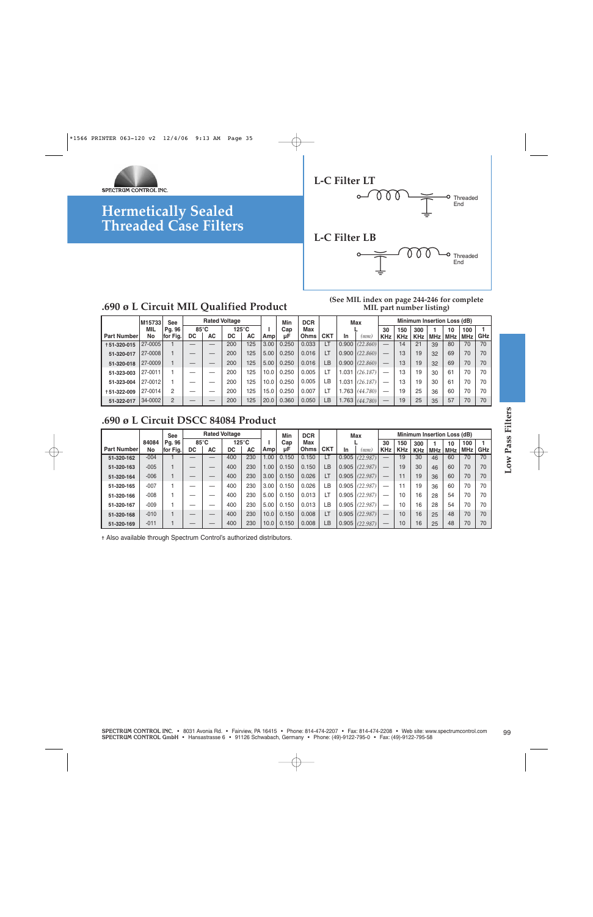



### **.690 ø L Circuit MIL Qualified Product**

#### **(See MIL index on page 244-246 for complete MIL part number listing)**

|                    | M15733     | See          |    |                | <b>Rated Voltage</b> |                 |      | Min   | <b>DCR</b> |            |       | <b>Max</b>         |            |            |            |     | Minimum Insertion Loss (dB) |            |            |
|--------------------|------------|--------------|----|----------------|----------------------|-----------------|------|-------|------------|------------|-------|--------------------|------------|------------|------------|-----|-----------------------------|------------|------------|
|                    | <b>MIL</b> | Pg. 96       |    | $85^{\circ}$ C |                      | $125^{\circ}$ C |      | Cap   | Max        |            |       |                    | 30         | 150        | 300        |     | 10                          | 100        |            |
| <b>Part Number</b> | No         | Fig.<br>lfor | DC | AC             | DC                   | AC              | Ampl | иF    | Ohms I     | <b>CKT</b> | In.   | (mm)               | <b>KHz</b> | <b>KHz</b> | <b>KHz</b> | MHz | <b>MHz</b>                  | <b>MHz</b> | <b>GHz</b> |
| +51-320-015        | 27-0005    |              |    |                | 200                  | 125             | 3.00 | 0.250 | 0.033      |            | 0.900 | (22.860)           |            | 14         | 21         | 39  | 80                          | 70         | 70         |
| 51-320-017         | 27-0008    |              |    |                | 200                  | 125             | 5.00 | 0.250 | 0.016      |            |       | $0.900$ $(22.860)$ |            | 13         | 19         | 32  | 69                          | 70         | 70         |
| 51-320-018         | 27-0009    |              |    |                | 200                  | 125             | 5.00 | 0.250 | 0.016      | LB         |       | $0.900$ $(22.860)$ |            | 13         | 19         | 32  | 69                          | 70         | 70         |
| 51-323-003         | 27-0011    |              |    |                | 200                  | 125             | 10.0 | 0.250 | 0.005      |            | 1.031 | (26.187)           |            | 13         | 19         | 30  | 61                          | 70         | 70         |
| 51-323-004         | 27-0012    |              |    |                | 200                  | 125             | 10.0 | 0.250 | 0.005      | ιB.        | 1.031 | (26.187)           |            | 13         | 19         | 30  | 61                          | 70         | 70         |
| +51-322-009        | 27-0014    | 2            |    |                | 200                  | 125             | 15.0 | 0.250 | 0.007      |            | 1.763 | (44.780)           |            | 19         | 25         | 36  | 60                          | 70         | 70         |
| 51-322-017         | 34-0002    | 2            |    |                | 200                  | 125             | 20.0 | 0.360 | 0.050      | LВ         | 1.763 | (44.780)           |            | 19         | 25         | 35  | 57                          | 70         | 70         |

### **.690 ø L Circuit DSCC 84084 Product**

|                                                                                           |             | <b>See</b>         |                          | <b>Rated Voltage</b>     |                       |     |          | Min       | <b>DCR</b>  |            |             | <b>Max</b>       |                                        |                  | Minimum Insertion Loss (dB) |                  |                  |                  |                     |
|-------------------------------------------------------------------------------------------|-------------|--------------------|--------------------------|--------------------------|-----------------------|-----|----------|-----------|-------------|------------|-------------|------------------|----------------------------------------|------------------|-----------------------------|------------------|------------------|------------------|---------------------|
| <b>Part Number</b>                                                                        | 84084<br>No | Pg. 96<br>for Fig. | 85°C<br>DC               | <b>AC</b>                | $125^{\circ}$ C<br>DC | AC  | L<br>Amp | Cap<br>μF | Max<br>Ohms | <b>CKT</b> |             |                  | 30                                     | 150              | 300                         | $\mathbf{1}$     | 10               | 100              | $\mathbf{1}$<br>GHz |
| 51-320-162                                                                                | $-004$      |                    | $\overline{\phantom{0}}$ |                          | 400                   | 230 | 1.00     | 0.150     | 0.150       | LT         | In<br>0.905 | (mm)<br>(22.987) | <b>KHz</b><br>$\overline{\phantom{m}}$ | <b>KHz</b><br>19 | <b>KHz</b><br>30            | <b>MHz</b><br>46 | <b>MHz</b><br>60 | <b>MHz</b><br>70 | 70                  |
| 51-320-163                                                                                | $-005$      | $\mathbf{1}$       |                          |                          | 400                   | 230 | 1.00     | 0.150     | 0.150       | LB         | 0.905       | (22.987)         | $\qquad \qquad -$                      | 19               | 30                          | 46               | 60               | 70               | 70                  |
| 51-320-164                                                                                | $-006$      | 1                  | $\overline{\phantom{0}}$ | $\overline{\phantom{0}}$ | 400                   | 230 | 3.00     | 0.150     | 0.026       | LT         | 0.905       | (22.987)         | $\qquad \qquad -$                      | 11               | 19                          | 36               | 60               | 70               | 70                  |
| 51-320-165                                                                                | $-007$      | $\mathbf{1}$       | —                        | —                        | 400                   | 230 | 3.00     | 0.150     | 0.026       | LB         | 0.905       | (22.987)         |                                        | 11               | 19                          | 36               | 60               | 70               | 70                  |
| 51-320-166                                                                                | $-008$      | 1                  | —                        | $\overline{\phantom{0}}$ | 400                   | 230 | 5.00     | 0.150     | 0.013       | LT         | 0.905       | (22.987)         |                                        | 10               | 16                          | 28               | 54               | 70               | 70                  |
| 51-320-167                                                                                | $-009$      | $\mathbf{1}$       | $\overline{\phantom{0}}$ |                          | 400                   | 230 | 5.00     | 0.150     | 0.013       | LB         | 0.905       | (22.987)         | $\overline{\phantom{0}}$               | 10               | 16                          | 28               | 54               | 70               | 70                  |
| 51-320-168                                                                                | $-010$      | $\mathbf{1}$       |                          |                          | 400                   | 230 | 10.0     | 0.150     | 0.008       | LT         | 0.905       | (22.987)         |                                        | 10               | 16                          | 25               | 48               | 70               | 70                  |
| 51-320-169                                                                                | $-011$      | $\mathbf{1}$       |                          |                          | 400                   | 230 | 10.0     | 0.150     | 0.008       | LB         |             |                  |                                        | 10               | 16                          | 25               | 48               | 70               | 70                  |
| 0.905<br>(22.987)<br>+ Also available through Spectrum Control's authorized distributors. |             |                    |                          |                          |                       |     |          |           |             |            |             |                  |                                        |                  |                             |                  |                  |                  |                     |
|                                                                                           |             |                    |                          |                          |                       |     |          |           |             |            |             |                  |                                        |                  |                             |                  |                  |                  |                     |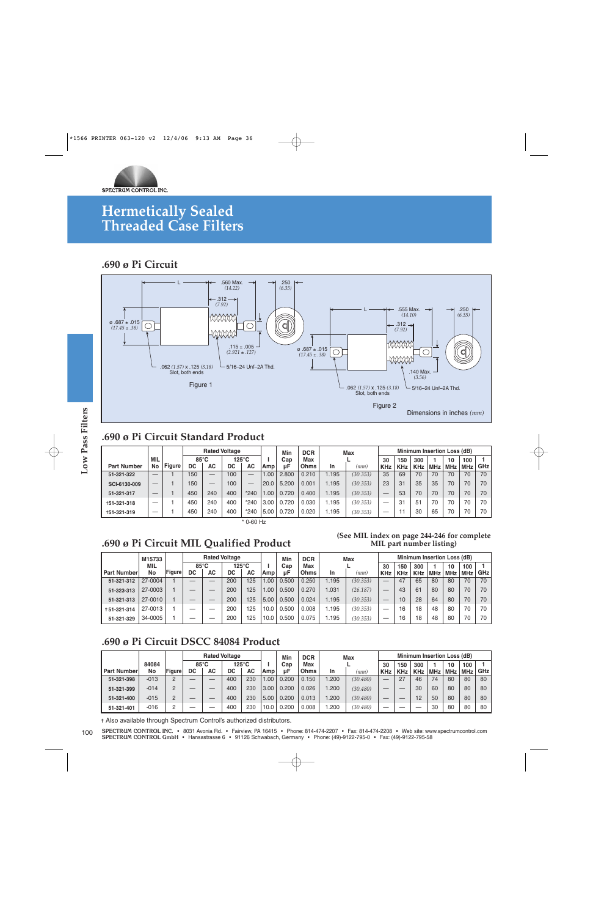

### **.690 ø Pi Circuit**



### **.690 ø Pi Circuit Standard Product**

|                    |            |               |                |     | <b>Rated Voltage</b> |                               |      | Min   | <b>DCR</b>  |       | Max      |            |            | Minimum Insertion Loss (dB) |            |            |            |            |
|--------------------|------------|---------------|----------------|-----|----------------------|-------------------------------|------|-------|-------------|-------|----------|------------|------------|-----------------------------|------------|------------|------------|------------|
|                    | <b>MIL</b> |               | $85^{\circ}$ C |     |                      | 125°C                         |      | Cap   | Max         |       |          | 30         | 150        | 300                         |            | 10         | 100        |            |
| <b>Part Number</b> | No         | <b>Figure</b> | DC             | AC  | DC                   | <b>AC</b>                     | Amp  | uЕ    | <b>Ohms</b> | In    | (mm)     | <b>KHz</b> | <b>KHz</b> | <b>KHz</b>                  | <b>MHz</b> | <b>MHz</b> | <b>MHz</b> | <b>GHz</b> |
| 51-321-322         |            |               | 150            | _   | 0 <sup>0</sup>       | _                             | .00. | 2.800 | 0.210       | .195  | (30.353) | 35         | 69         | 70                          | 70         | 70         | 70         | 70         |
| SCI-6130-009       |            |               | 150            | _   | 0 <sup>0</sup>       | $\overbrace{\phantom{aaaaa}}$ | 20.0 | 5.200 | 0.001       | I.195 | (30.353) | 23         | 31         | 35                          | 35         | 70         | 70         | 70         |
| 51-321-317         |            |               | 450            | 240 | 400                  | $*240$                        | .00  | 720   | 0.400       | I.195 | (30.353) |            | 53         | 70                          | 70         | 70         | 70         | 70         |
| +51-321-318        |            |               | 450            | 240 | 400                  | $*240$                        | 3.00 | 720   | 0.030       | .195  | (30.353) |            | 31         | 5 <sup>1</sup>              | 70         | 70         | 70         | 70         |
| +51-321-319        |            |               | 450            | 240 | 400                  | $*240$                        | 5.00 | .720  | 0.020       | . 195 | (30.353) |            |            | 30                          | 65         | 70         | 70         | 70         |

\* 0-60 Hz

### **.690 ø Pi Circuit MIL Qualified Product**

#### **(See MIL index on page 244-246 for complete MIL part number listing)**

|               | M15733  |               |                |           | <b>Rated Voltage</b> |           |      | Min   | <b>DCR</b>  |       | Max      |            |            |            |       | <b>Minimum Insertion Loss (dB)</b> |            |            |
|---------------|---------|---------------|----------------|-----------|----------------------|-----------|------|-------|-------------|-------|----------|------------|------------|------------|-------|------------------------------------|------------|------------|
|               | MIL     |               | $85^{\circ}$ C |           | $125^{\circ}$ C      |           |      | Cap   | Max         |       |          | 30         | 150        | 300        |       | 10                                 | 100        |            |
| l Part Number | No      | <b>Figure</b> | DC             | <b>AC</b> | DC                   | <b>AC</b> | Amp  | цF    | <b>Ohms</b> | In    | (mm)     | <b>KHz</b> | <b>KHz</b> | <b>KHz</b> | MHz I | MHz                                | <b>MHz</b> | <b>GHz</b> |
| 51-321-312    | 27-0004 |               |                | _         | 200                  | 125       | .00  | 0.500 | 0.250       | 1.195 | (30.353) |            | 47         | 65         | 80    | 80                                 | 70         | 70         |
| 51-323-313    | 27-0003 |               |                |           | 200                  | 125       | .00  | 0.500 | 0.270       | .031  | (26.187) |            | 43         | 61         | 80    | 80                                 | 70         | 70         |
| 51-321-313    | 27-0010 |               |                |           | 200                  | 125       | 5.00 | 0.500 | 0.024       | 1.195 | (30.353) |            | 10         | 28         | 64    | 80                                 | 70         | 70         |
| +51-321-314   | 27-0013 |               |                |           | 200                  | 125       | 10.0 | 0.500 | 0.008       | 1.195 | (30.353) | –          | 16         | 18         | 48    | 80                                 | 70         | 70         |
| 51-321-329    | 34-0005 |               |                |           | 200                  | 125       | 10.0 | 0.500 | 0.075       | .195  | (30.353) | _          | 16         | 18         | 48    | 80                                 | 70         | 70         |

### **.690 ø Pi Circuit DSCC 84084 Product**

|                    |        |        |                |    | <b>Rated Voltage</b> |           |      | Min   | <b>DCR</b>  |      | Max      |            |            |            |            | Minimum Insertion Loss (dB) |     |       |
|--------------------|--------|--------|----------------|----|----------------------|-----------|------|-------|-------------|------|----------|------------|------------|------------|------------|-----------------------------|-----|-------|
|                    | 84084  |        | $85^{\circ}$ C |    |                      | 125°C     |      | Cap   | Max         |      |          | 30         | 150        | 300        |            | 10                          | 100 |       |
| <b>Part Number</b> | No     | Figure | DC             | АC | DC                   | <b>AC</b> | Amp  | uF    | <b>Ohms</b> | In   | (mm)     | <b>KHz</b> | <b>KHz</b> | <b>KHz</b> | <b>MHz</b> | MHz                         | MHz | GHz I |
| 51-321-398         | $-013$ | C      | _              |    | 400                  | 230       | .00. | 0.200 | 0.150       | .200 | (30.480) |            | 27         | 46         | 74         | 80                          | 80  | 80    |
| 51-321-399         | $-014$ | C      | _              |    | 400                  | 230       | 3.00 | 0.200 | 0.026       | .200 | (30.480) |            |            | 30         | 60         | 80                          | 80  | 80    |
| 51-321-400         | $-015$ | C      |                |    | 400                  | 230       | 5.00 | 0.200 | 0.013       | .200 | (30.480) | _          |            | 12         | 50         | 80                          | 80  | 80    |
| 51-321-401         | -016   |        |                |    | 400                  | 230       | 10.0 | 0.200 | 0.008       | .200 | (30.480) |            |            |            | 30         | 80                          | 80  | 80    |

✝ Also available through Spectrum Control's authorized distributors.

**SPECTRUM CONTROL INC.** • 8031 Avonia Rd. • Fairview, PA 16415 • Phone: 814-474-2207 • Fax: 814-474-2208 • Web site: www.spectrumcontrol.com **SPECTRUM CONTROL INC. •** 8031 Avonia Rd. • Fairview, PA 16415 • Phone: 814-474-2207 • Fax: 814-474-2208 • Web site: ww<br>**SPECTRUM CONTROL GmbH** • Hansastrasse 6 • 91126 Schwabach, Germany • Phone: (49)-9122-795-0 • Fax: (4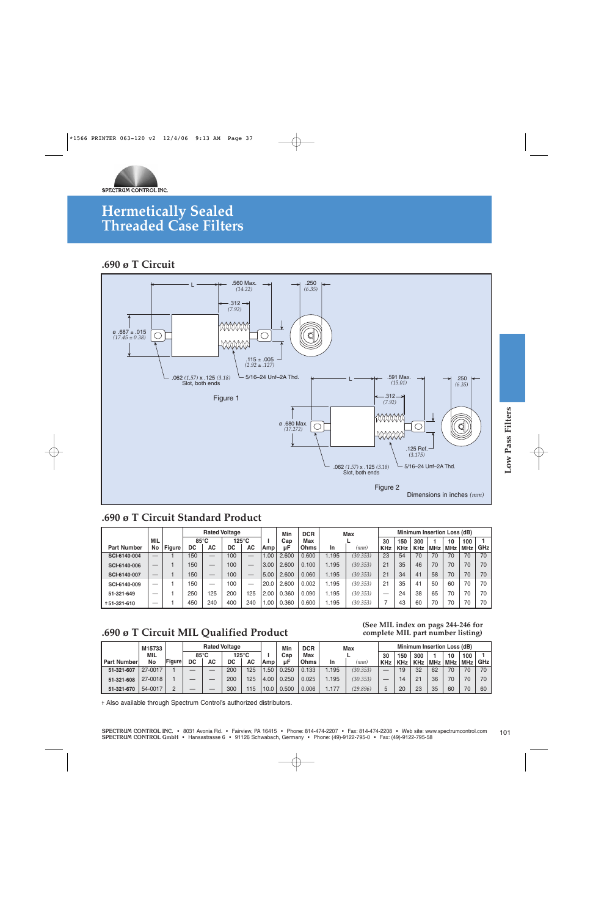

### **.690 ø T Circuit**



### **.690 ø T Circuit Standard Product**

|                    |     |               |     |                | <b>Rated Voltage</b> |                 |      | Min   | <b>DCR</b>  |       | <b>Max</b> |            |            | Minimum Insertion Loss (dB) |     |            |            |            |
|--------------------|-----|---------------|-----|----------------|----------------------|-----------------|------|-------|-------------|-------|------------|------------|------------|-----------------------------|-----|------------|------------|------------|
|                    | MIL |               |     | $85^{\circ}$ C |                      | $125^{\circ}$ C |      | Cap   | Max         |       |            | 30         | 150        | 300                         |     | 10         | 100        |            |
| <b>Part Number</b> | No  | <b>Figure</b> | DC  | АC             | DC                   | <b>AC</b>       | Amp! | цF    | <b>Ohms</b> | In    | (mm)       | <b>KHz</b> | <b>KHz</b> | <b>KHz</b>                  | MHz | <b>MHz</b> | <b>MHz</b> | <b>GHz</b> |
| SCI-6140-004       |     |               | 150 | _              | 100                  | –               | .00  | 2.600 | 0.600       | .195  | (30.353)   | 23         | 54         |                             | 70  | 70         | 70         | 70         |
| SCI-6140-006       |     |               | 150 |                | 100                  |                 | 3.00 | 2.600 | 0.100       | 1.195 | (30.353)   | 21         | 35         | 46                          | 70  | 70         | 70         | 70         |
| SCI-6140-007       |     |               | 150 | _              | 100                  |                 | 5.00 | 2.600 | 0.060       | 1.195 | (30.353)   | 21         | 34         | 41                          | 58  | 70         | 70         | 70         |
| SCI-6140-009       |     |               | 150 | _              | 100                  |                 | 20.0 | 2.600 | 0.002       | 1.195 | (30.353)   | 21         | 35         | 41                          | 50  | 60         | 70         | 70         |
| 51-321-649         | –   |               | 250 | 25             | 200                  | 125             | 2.00 | 0.360 | 0.090       | .195  | (30.353)   |            | 24         | 38                          | 65  | 70         | 70         | 70         |
| +51-321-610        | _   |               | 450 | 240            | 400                  | 240             | .00  | 0.360 | 0.600       | 1.195 | (30.353)   |            | 43         | 60                          | 70  | 70         | 70         | 70         |

### **.690 ø T Circuit MIL Qualified Product**

#### **85°C 125°C Rated Voltage DC AC** — — 5 19 14 20 32 21 23 62 36 35 70 70 60 **Minimum Insertion Loss (dB) I Amp Min Cap µF 150** Part Number | No Figure DC | AC | DC | AC |Amp | µF |Ohms | In | ( $mm$ ) | KHz | KHz **51-321-607 51-321-608 51-321-670 Figure 300 KHz 1 MHz 10 MHz 100 MHz 1 GHz 30 KHz** 1 1 2 1.50 4.00 10.0 0.250 0.250 0.500 70 70 70 70 70 60 — — — 200 200 300 — — — 125 125 115 **DC AC M15733 MIL No** 27-0017 27-0018 54-0017 **Max L** 1.195 1.195 1.177 *(30.353) (30.353) (29.896)* **In** *(mm)* **DCR Max Ohms** 0.133 0.025 0.006

✝ Also available through Spectrum Control's authorized distributors.

**(See MIL index on pags 244-246 for complete MIL part number listing)**